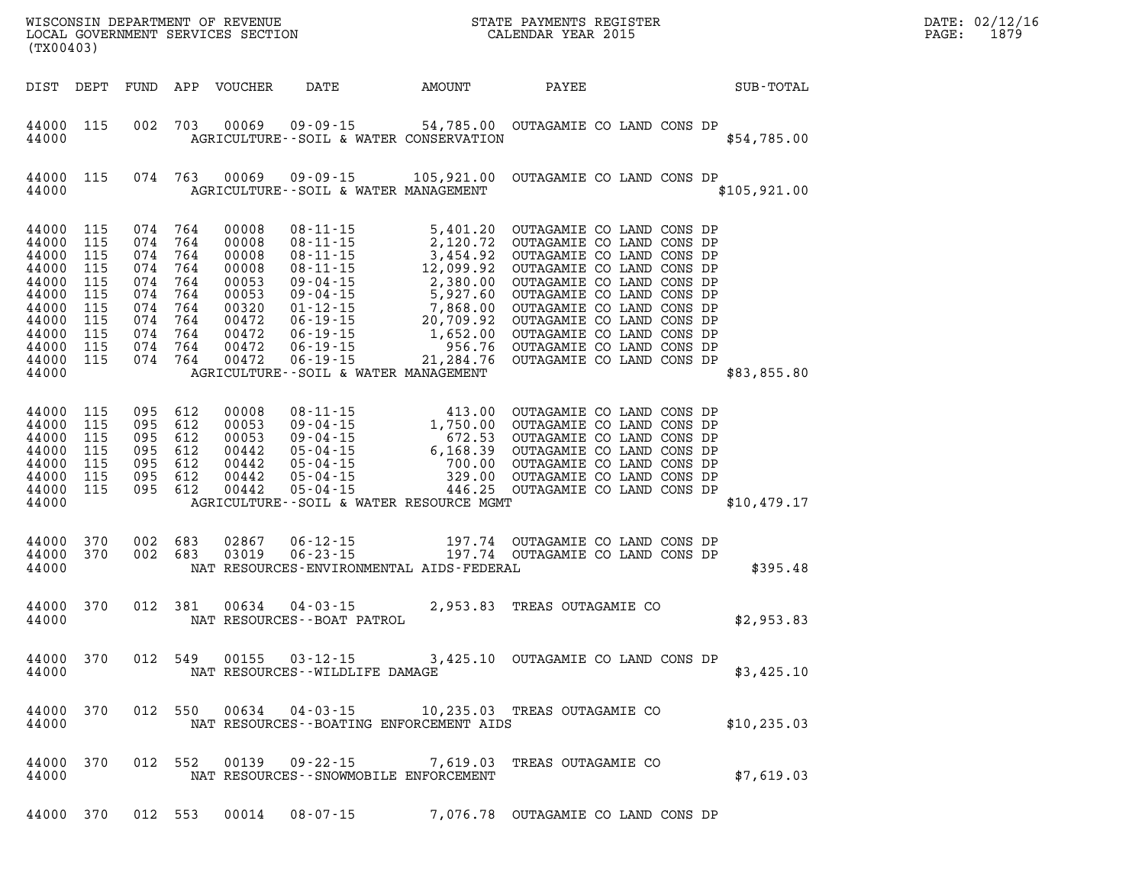| (TX00403)                                                                                                            |                                                      |                                                                                                                       |         |                                 | WISCONSIN DEPARTMENT OF REVENUE<br>LOCAL GOVERNMENT SERVICES SECTION TERMS CONFIDENT STATE PAYMENTS REGISTER |                                                                                                             |  |  |  |  | $\mathbb{E} \mathbf{R}$ | $\mathtt{PAGE:}$ | DATE: 02/12/16<br>1879 |
|----------------------------------------------------------------------------------------------------------------------|------------------------------------------------------|-----------------------------------------------------------------------------------------------------------------------|---------|---------------------------------|--------------------------------------------------------------------------------------------------------------|-------------------------------------------------------------------------------------------------------------|--|--|--|--|-------------------------|------------------|------------------------|
|                                                                                                                      |                                                      |                                                                                                                       |         |                                 |                                                                                                              | DIST DEPT FUND APP VOUCHER DATE AMOUNT PAYEE SUB-TOTAL                                                      |  |  |  |  |                         |                  |                        |
| 44000 115<br>44000                                                                                                   |                                                      | 002 703                                                                                                               |         |                                 |                                                                                                              | 00069  09-09-15  54,785.00  OUTAGAMIE CO LAND CONS DP<br>AGRICULTURE--SOIL & WATER CONSERVATION             |  |  |  |  | \$54,785.00             |                  |                        |
| 44000                                                                                                                | 44000 115 074 763                                    |                                                                                                                       |         |                                 |                                                                                                              | 00069  09-09-15  105,921.00  OUTAGAMIE CO LAND CONS DP<br>AGRICULTURE - SOIL & WATER MANAGEMENT             |  |  |  |  | \$105, 921.00           |                  |                        |
| 44000 115<br>44000<br>44000<br>44000<br>44000<br>44000<br>44000<br>44000<br>44000<br>44000 115<br>44000 115<br>44000 | 115<br>115<br>115<br>115<br>115<br>115<br>115<br>115 | 074 764<br>074 764<br>074 764<br>074 764<br>074 764<br>074 764<br>074 764<br>074 764<br>074 764<br>074 764<br>074 764 |         |                                 |                                                                                                              | AGRICULTURE--SOIL & WATER MANAGEMENT                                                                        |  |  |  |  | \$83,855.80             |                  |                        |
| 44000 115<br>44000<br>44000<br>44000<br>44000<br>44000 115<br>44000 115<br>44000                                     | 115<br>115<br>115<br>115                             | 095 612<br>095 612<br>095 612<br>095 612<br>095 612<br>095 612<br>095 612                                             |         |                                 |                                                                                                              | AGRICULTURE--SOIL & WATER RESOURCE MGMT                                                                     |  |  |  |  | \$10,479.17             |                  |                        |
| 44000 370<br>44000 370<br>44000                                                                                      |                                                      | 002 683<br>002 683                                                                                                    |         | 02867<br>03019                  |                                                                                                              | NAT RESOURCES-ENVIRONMENTAL AIDS-FEDERAL                                                                    |  |  |  |  | \$395.48                |                  |                        |
| 44000                                                                                                                | 44000 370                                            |                                                                                                                       | 012 381 | NAT RESOURCES - - BOAT PATROL   |                                                                                                              | 00634 04-03-15 2,953.83 TREAS OUTAGAMIE CO                                                                  |  |  |  |  | \$2,953.83              |                  |                        |
| 44000                                                                                                                |                                                      |                                                                                                                       |         | NAT RESOURCES - WILDLIFE DAMAGE |                                                                                                              | 44000 370 012 549 00155 03-12-15 3,425.10 OUTAGAMIE CO LAND CONS DP                                         |  |  |  |  | \$3,425.10              |                  |                        |
| 44000                                                                                                                |                                                      |                                                                                                                       |         |                                 |                                                                                                              | 44000 370 012 550 00634 04-03-15 10,235.03 TREAS OUTAGAMIE CO<br>NAT RESOURCES - - BOATING ENFORCEMENT AIDS |  |  |  |  | \$10, 235.03            |                  |                        |
| 44000                                                                                                                |                                                      |                                                                                                                       |         |                                 |                                                                                                              | 44000 370 012 552 00139 09-22-15 7,619.03 TREAS OUTAGAMIE CO<br>NAT RESOURCES - - SNOWMOBILE ENFORCEMENT    |  |  |  |  | \$7,619.03              |                  |                        |

**44000 370 012 553 00014 08-07-15 7,076.78 OUTAGAMIE CO LAND CONS DP**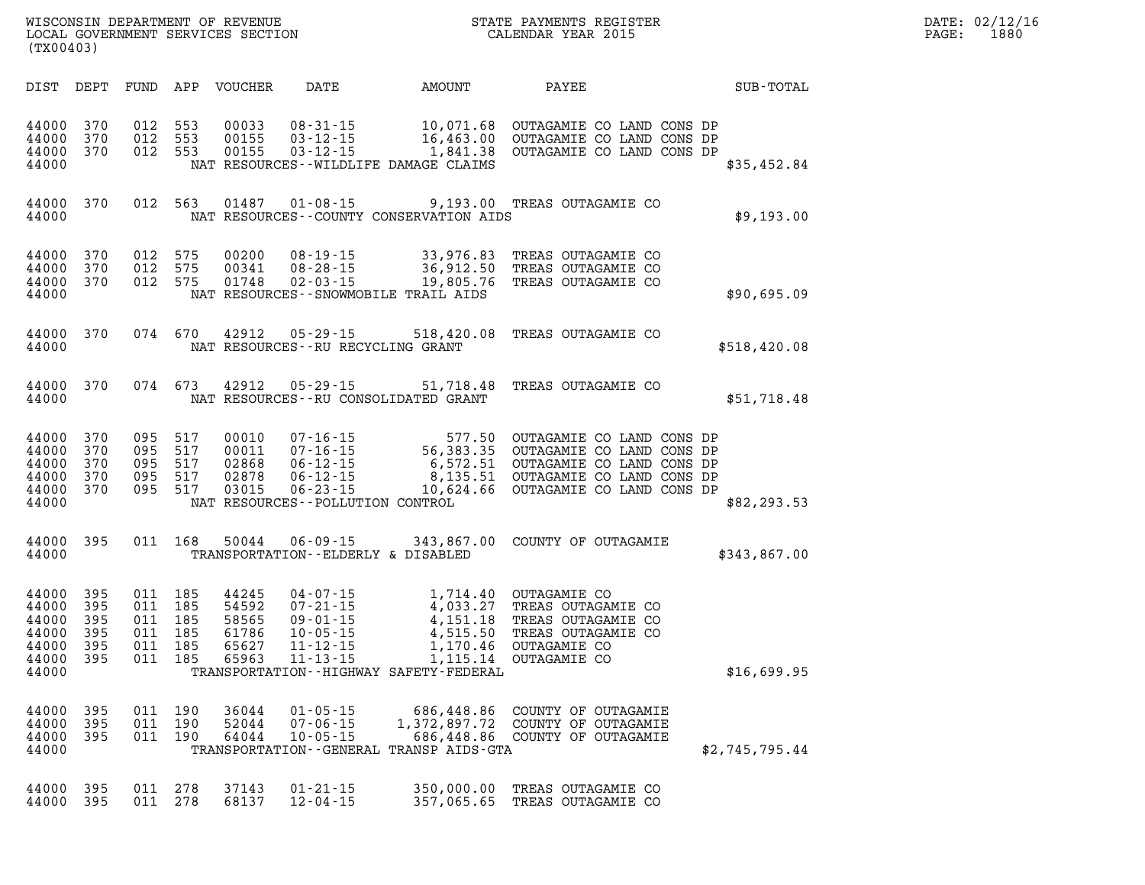| (TX00403)                                                   |                                          |                               |                                                    |                                                    |                                                                                              |                                                                                                           |                                                                                                                                                                                               |                | PAGE: | DATE: 02/12/16<br>1880 |
|-------------------------------------------------------------|------------------------------------------|-------------------------------|----------------------------------------------------|----------------------------------------------------|----------------------------------------------------------------------------------------------|-----------------------------------------------------------------------------------------------------------|-----------------------------------------------------------------------------------------------------------------------------------------------------------------------------------------------|----------------|-------|------------------------|
| DIST DEPT                                                   |                                          |                               |                                                    | FUND APP VOUCHER                                   |                                                                                              | DATE AMOUNT                                                                                               | PAYEE                                                                                                                                                                                         | SUB-TOTAL      |       |                        |
| 44000 370<br>44000<br>44000 370<br>44000                    | 370                                      | 012 553<br>012                | 553<br>012 553                                     | 00033<br>00155<br>00155                            | 08-31-15<br>$03 - 12 - 15$                                                                   | 16,463.00<br>$03 - 12 - 15$ 1,841.38<br>NAT RESOURCES -- WILDLIFE DAMAGE CLAIMS                           | 10,071.68 OUTAGAMIE CO LAND CONS DP<br>OUTAGAMIE CO LAND CONS DP<br>OUTAGAMIE CO LAND CONS DP                                                                                                 | \$35,452.84    |       |                        |
| 44000 370<br>44000                                          |                                          |                               | 012 563                                            | 01487                                              |                                                                                              | NAT RESOURCES - COUNTY CONSERVATION AIDS                                                                  | 01-08-15 9,193.00 TREAS OUTAGAMIE CO                                                                                                                                                          | \$9,193.00     |       |                        |
| 44000<br>44000<br>44000 370<br>44000                        | 370<br>370                               | 012 575<br>012 575<br>012 575 |                                                    | 00200<br>00341<br>01748                            |                                                                                              | 08-19-15 33,976.83<br>08-28-15 36,912.50<br>02-03-15 19,805.76<br>NAT RESOURCES - - SNOWMOBILE TRAIL AIDS | TREAS OUTAGAMIE CO<br>TREAS OUTAGAMIE CO<br>TREAS OUTAGAMIE CO                                                                                                                                | \$90,695.09    |       |                        |
| 44000 370<br>44000                                          |                                          |                               |                                                    | 074 670 42912                                      | $05 - 29 - 15$<br>NAT RESOURCES - - RU RECYCLING GRANT                                       |                                                                                                           | 518,420.08 TREAS OUTAGAMIE CO                                                                                                                                                                 | \$518,420.08   |       |                        |
| 44000 370<br>44000                                          |                                          |                               | 074 673                                            | 42912                                              | $05 - 29 - 15$                                                                               | NAT RESOURCES--RU CONSOLIDATED GRANT                                                                      | 51,718.48 TREAS OUTAGAMIE CO                                                                                                                                                                  | \$51,718.48    |       |                        |
| 44000<br>44000<br>44000<br>44000<br>44000 370<br>44000      | 370<br>370<br>370<br>370                 | 095 517                       | 095 517<br>095 517<br>095 517<br>095 517           | 00010<br>00011<br>02868<br>02878<br>03015          | $06 - 23 - 15$<br>NAT RESOURCES - - POLLUTION CONTROL                                        |                                                                                                           | 07-16-15<br>07-16-15 56,383.35 OUTAGAMIE CO LAND CONS DP<br>06-12-15 6,572.51 OUTAGAMIE CO LAND CONS DP<br>06-12-15 6,572.51 OUTAGAMIE CO LAND CONS DP<br>10,624.66 OUTAGAMIE CO LAND CONS DP | \$82, 293.53   |       |                        |
| 44000 395<br>44000                                          |                                          |                               | 011 168                                            | 50044                                              | TRANSPORTATION--ELDERLY & DISABLED                                                           |                                                                                                           | 06-09-15 343,867.00 COUNTY OF OUTAGAMIE                                                                                                                                                       | \$343,867.00   |       |                        |
| 44000<br>44000<br>44000<br>44000<br>44000<br>44000<br>44000 | 395<br>395<br>395<br>395<br>395<br>- 395 | 011<br>011<br>011             | 011 185<br>185<br>011 185<br>185<br>185<br>011 185 | 44245<br>54592<br>58565<br>61786<br>65627<br>65963 | 04-07-15<br>$07 - 21 - 15$<br>$09 - 01 - 15$<br>$10 - 05 - 15$<br>$11 - 12 - 15$<br>11-13-15 | $4,033.27$<br>$4,151.18$<br>$4,515.50$<br>1,170.46<br>TRANSPORTATION - - HIGHWAY SAFETY - FEDERAL         | 1,714.40 OUTAGAMIE CO<br>TREAS OUTAGAMIE CO<br>TREAS OUTAGAMIE CO<br>TREAS OUTAGAMIE CO<br>OUTAGAMIE CO<br>1,115.14 OUTAGAMIE CO                                                              | \$16,699.95    |       |                        |
| 44000<br>44000<br>44000<br>44000                            | 395<br>395<br>395                        |                               | 011 190<br>011 190<br>011 190                      | 36044<br>52044<br>64044                            | $01 - 05 - 15$<br>$07 - 06 - 15$<br>$10 - 05 - 15$                                           | TRANSPORTATION--GENERAL TRANSP AIDS-GTA                                                                   | 686,448.86 COUNTY OF OUTAGAMIE<br>1,372,897.72 COUNTY OF OUTAGAMIE<br>686,448.86 COUNTY OF OUTAGAMIE                                                                                          | \$2,745,795.44 |       |                        |
| 44000<br>44000 395                                          | 395                                      | 011<br>011                    | 278<br>278                                         | 37143<br>68137                                     | $01 - 21 - 15$<br>$12 - 04 - 15$                                                             | 350,000.00                                                                                                | TREAS OUTAGAMIE CO<br>357,065.65 TREAS OUTAGAMIE CO                                                                                                                                           |                |       |                        |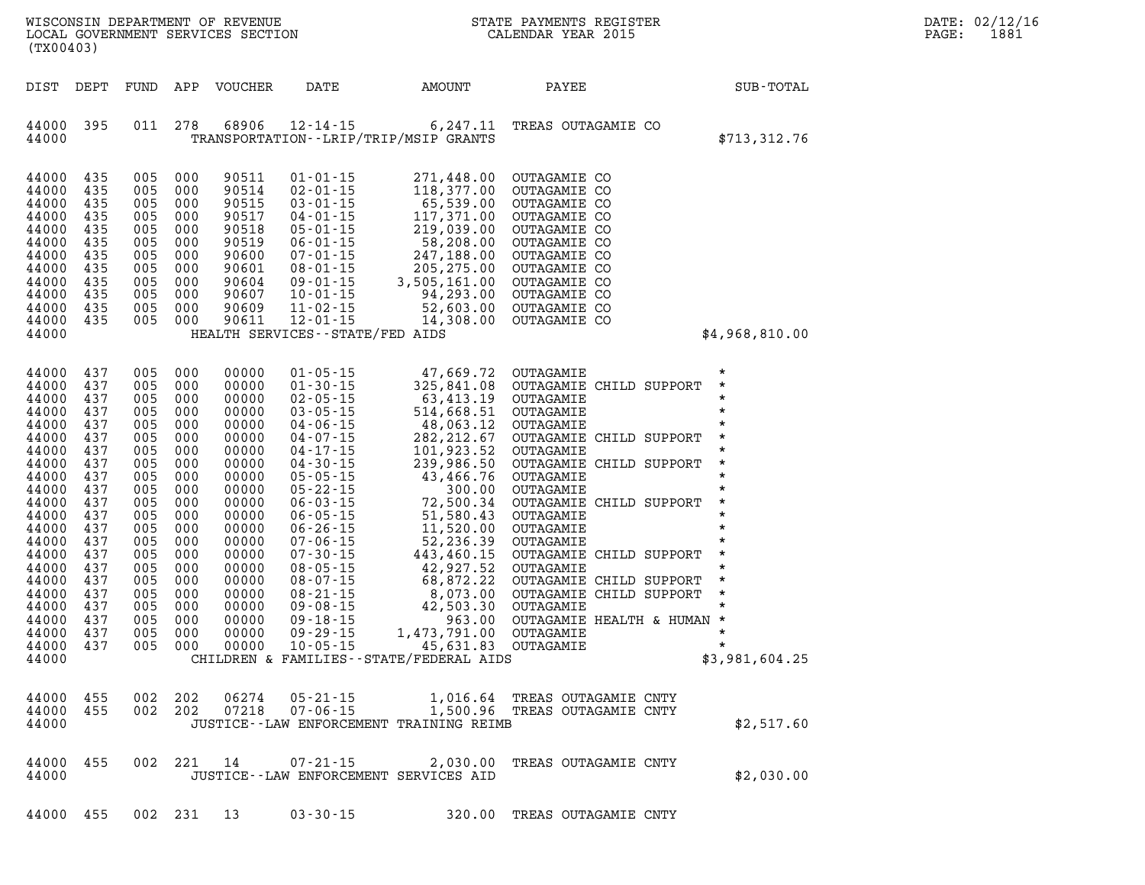| N <sub>N</sub><br>WISCONSIN DEPARTMENT OF REVENUE<br>LOCAL GOVERNMENT SERVICES SECTION<br>(TX00403)                                                                                                         |                                                                                                                                                        |                                                                                                                                                        |                                                                                                                                                        |                                                                                                                                                                                                    |                                                                                                                                                                                                                                                                                                                                                                                                    |                                                                                                                                                                                                                                                                                                                                                                                                                                                                                          | STATE PAYMENTS REGISTER<br>CALENDAR YEAR 2015                                                                                                                                                                                                                                                                                                                                            |  | DATE: 02/12/16<br>PAGE:                         | 1881 |  |
|-------------------------------------------------------------------------------------------------------------------------------------------------------------------------------------------------------------|--------------------------------------------------------------------------------------------------------------------------------------------------------|--------------------------------------------------------------------------------------------------------------------------------------------------------|--------------------------------------------------------------------------------------------------------------------------------------------------------|----------------------------------------------------------------------------------------------------------------------------------------------------------------------------------------------------|----------------------------------------------------------------------------------------------------------------------------------------------------------------------------------------------------------------------------------------------------------------------------------------------------------------------------------------------------------------------------------------------------|------------------------------------------------------------------------------------------------------------------------------------------------------------------------------------------------------------------------------------------------------------------------------------------------------------------------------------------------------------------------------------------------------------------------------------------------------------------------------------------|------------------------------------------------------------------------------------------------------------------------------------------------------------------------------------------------------------------------------------------------------------------------------------------------------------------------------------------------------------------------------------------|--|-------------------------------------------------|------|--|
| DIST                                                                                                                                                                                                        | DEPT                                                                                                                                                   | FUND                                                                                                                                                   |                                                                                                                                                        | APP VOUCHER                                                                                                                                                                                        | DATE                                                                                                                                                                                                                                                                                                                                                                                               | AMOUNT                                                                                                                                                                                                                                                                                                                                                                                                                                                                                   | PAYEE                                                                                                                                                                                                                                                                                                                                                                                    |  | SUB-TOTAL                                       |      |  |
| 44000<br>44000                                                                                                                                                                                              | 395                                                                                                                                                    | 011                                                                                                                                                    | 278                                                                                                                                                    | 68906                                                                                                                                                                                              | TRANSPORTATION - - LRIP/TRIP/MSIP GRANTS                                                                                                                                                                                                                                                                                                                                                           | $12 - 14 - 15$ 6, 247.11                                                                                                                                                                                                                                                                                                                                                                                                                                                                 | TREAS OUTAGAMIE CO                                                                                                                                                                                                                                                                                                                                                                       |  | \$713, 312.76                                   |      |  |
| 44000<br>44000<br>44000<br>44000<br>44000<br>44000<br>44000<br>44000<br>44000<br>44000<br>44000<br>44000<br>44000                                                                                           | 435<br>435<br>435<br>435<br>435<br>435<br>435<br>435<br>435<br>435<br>435<br>435                                                                       | 005<br>005<br>005<br>005<br>005<br>005<br>005<br>005<br>005<br>005<br>005<br>005                                                                       | 000<br>000<br>000<br>000<br>000<br>000<br>000<br>000<br>000<br>000<br>000<br>000                                                                       | 90511<br>90514<br>90515<br>90517<br>90518<br>90519<br>90600<br>90601<br>90604<br>90607<br>90609<br>90611                                                                                           | $01 - 01 - 15$<br>$02 - 01 - 15$<br>$03 - 01 - 15$<br>$10 - 01 - 15$<br>$11 - 02 - 15$<br>$12 - 01 - 15$<br>HEALTH SERVICES - - STATE/FED AIDS                                                                                                                                                                                                                                                     | 271,448.00<br>118,377.00<br>65,539.00<br>$03-01-15$<br>$04-01-15$<br>$05-01-15$<br>$06-01-15$<br>$07-01-15$<br>$08-01-15$<br>$08-01-15$<br>$08-01-15$<br>$08-01-15$<br>$09-01-15$<br>$09-01-15$<br>$09-01-15$<br>$09-01-15$<br>$09-01-15$<br>$09-01-15$<br>$09-01-15$<br>94,293.00<br>52,603.00<br>14,308.00                                                                                                                                                                             | OUTAGAMIE CO<br>OUTAGAMIE CO<br>OUTAGAMIE CO<br>OUTAGAMIE CO<br>OUTAGAMIE CO<br>OUTAGAMIE CO<br>OUTAGAMIE CO<br>OUTAGAMIE CO<br>OUTAGAMIE CO<br>OUTAGAMIE CO<br>OUTAGAMIE CO<br>OUTAGAMIE CO                                                                                                                                                                                             |  | \$4,968,810.00                                  |      |  |
| 44000<br>44000<br>44000<br>44000<br>44000<br>44000<br>44000<br>44000<br>44000<br>44000<br>44000<br>44000<br>44000<br>44000<br>44000<br>44000<br>44000<br>44000<br>44000<br>44000<br>44000<br>44000<br>44000 | 437<br>437<br>437<br>437<br>437<br>437<br>437<br>437<br>437<br>437<br>437<br>437<br>437<br>437<br>437<br>437<br>437<br>437<br>437<br>437<br>437<br>437 | 005<br>005<br>005<br>005<br>005<br>005<br>005<br>005<br>005<br>005<br>005<br>005<br>005<br>005<br>005<br>005<br>005<br>005<br>005<br>005<br>005<br>005 | 000<br>000<br>000<br>000<br>000<br>000<br>000<br>000<br>000<br>000<br>000<br>000<br>000<br>000<br>000<br>000<br>000<br>000<br>000<br>000<br>000<br>000 | 00000<br>00000<br>00000<br>00000<br>00000<br>00000<br>00000<br>00000<br>00000<br>00000<br>00000<br>00000<br>00000<br>00000<br>00000<br>00000<br>00000<br>00000<br>00000<br>00000<br>00000<br>00000 | $01 - 05 - 15$<br>$01 - 30 - 15$<br>$02 - 05 - 15$<br>$03 - 05 - 15$<br>$04 - 06 - 15$<br>04-07-15<br>$04 - 17 - 15$<br>$04 - 30 - 15$<br>$05 - 05 - 15$<br>$05 - 22 - 15$<br>$06 - 03 - 15$<br>$06 - 05 - 15$<br>$06 - 26 - 15$<br>$07 - 06 - 15$<br>$07 - 30 - 15$<br>$08 - 05 - 15$<br>$08 - 07 - 15$<br>$08 - 21 - 15$<br>$09 - 08 - 15$<br>$09 - 18 - 15$<br>$09 - 29 - 15$<br>$10 - 05 - 15$ | 47,669.72 OUTAGAMIE<br>$47,669.72$<br>$325,841.08$<br>$63,413.19$<br>$514,668.51$<br>$48,063.12$<br>$282,212.67$<br>$101,923.52$<br>$239,986.50$<br>$43,466.76$<br>$300.00$<br>$72,500.34$<br>$51,580.43$<br>$11.520.00$<br>$11,520.00$<br>$52,236.39$<br>$443,460.15$<br>$42,927.52$<br>$68,872.22$<br>$8,073.00$<br>$8,073.00$<br>$42,503.30$<br>$963.00$<br>$1,473,791.00$<br>$45.631.83$<br>1,473,791.00 OUTAGAMIE<br>45,631.83 OUTAGAMIE<br>CHILDREN & FAMILIES--STATE/FEDERAL AIDS | 325,841.08 OUTAGAMIE CHILD SUPPORT<br>OUTAGAMIE<br>OUTAGAMIE<br>OUTAGAMIE<br>OUTAGAMIE CHILD SUPPORT<br>OUTAGAMIE<br>OUTAGAMIE CHILD SUPPORT<br>OUTAGAMIE<br>OUTAGAMIE<br>OUTAGAMIE CHILD SUPPORT<br>OUTAGAMIE<br>OUTAGAMIE<br>OUTAGAMIE<br>OUTAGAMIE CHILD SUPPORT<br>OUTAGAMIE<br>OUTAGAMIE CHILD SUPPORT<br>OUTAGAMIE CHILD SUPPORT<br>OUTAGAMIE<br>963.00 OUTAGAMIE HEALTH & HUMAN * |  | $\star$<br>$\star$<br>$\star$<br>\$3,981,604.25 |      |  |
| 44000<br>44000<br>44000                                                                                                                                                                                     | 455<br>455                                                                                                                                             | 002 202<br>002 202                                                                                                                                     |                                                                                                                                                        | 06274<br>07218                                                                                                                                                                                     | 05-21-15<br>$07 - 06 - 15$                                                                                                                                                                                                                                                                                                                                                                         | JUSTICE--LAW ENFORCEMENT TRAINING REIMB                                                                                                                                                                                                                                                                                                                                                                                                                                                  | 1,016.64 TREAS OUTAGAMIE CNTY<br>1,500.96 TREAS OUTAGAMIE CNTY                                                                                                                                                                                                                                                                                                                           |  | \$2,517.60                                      |      |  |
| 44000<br>44000                                                                                                                                                                                              | 455                                                                                                                                                    |                                                                                                                                                        | 002 221 14                                                                                                                                             |                                                                                                                                                                                                    | 07-21-15<br>JUSTICE--LAW ENFORCEMENT SERVICES AID                                                                                                                                                                                                                                                                                                                                                  | 2,030.00                                                                                                                                                                                                                                                                                                                                                                                                                                                                                 | TREAS OUTAGAMIE CNTY                                                                                                                                                                                                                                                                                                                                                                     |  | \$2,030.00                                      |      |  |

**44000 455 002 231 13 03-30-15 320.00 TREAS OUTAGAMIE CNTY**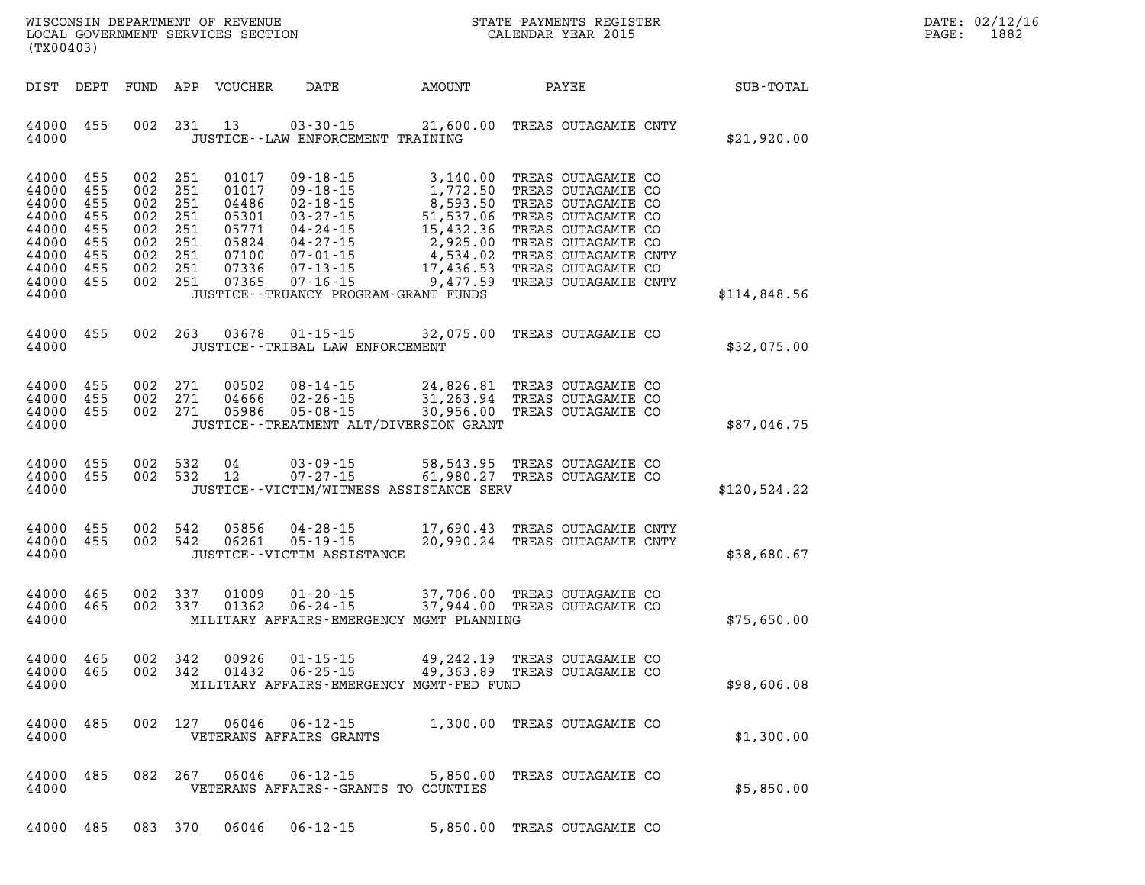| $\mathtt{DATE}$ : | 02/12/16 |
|-------------------|----------|
| PAGE:             | 1882     |

| (TX00403)                                                                              |                                                             |                                                                                                 |                    |                  | WISCONSIN DEPARTMENT OF REVENUE<br>LOCAL GOVERNMENT SERVICES SECTION TERM CALENDAR YEAR 2015                                                                                                                                                                                                                 |                              |              | D<br>$P\zeta$               |  |              |  |
|----------------------------------------------------------------------------------------|-------------------------------------------------------------|-------------------------------------------------------------------------------------------------|--------------------|------------------|--------------------------------------------------------------------------------------------------------------------------------------------------------------------------------------------------------------------------------------------------------------------------------------------------------------|------------------------------|--------------|-----------------------------|--|--------------|--|
| DIST DEPT                                                                              |                                                             |                                                                                                 |                    | FUND APP VOUCHER | DATE AMOUNT                                                                                                                                                                                                                                                                                                  |                              | <b>PAYEE</b> |                             |  | SUB-TOTAL    |  |
| 44000 455<br>44000                                                                     |                                                             |                                                                                                 |                    | 002 231 13       | 03-30-15 21,600.00 TREAS OUTAGAMIE CNTY<br>JUSTICE - - LAW ENFORCEMENT TRAINING                                                                                                                                                                                                                              |                              |              |                             |  | \$21,920.00  |  |
| 44000<br>44000<br>44000<br>44000<br>44000<br>44000<br>44000<br>44000<br>44000<br>44000 | 455<br>455<br>455<br>455<br>455<br>455<br>455<br>455<br>455 | 002 251<br>002 251<br>002 251<br>002 251<br>002 251<br>002 251<br>002 251<br>002 251<br>002 251 |                    | 01017            | $09 - 18 - 15$<br>01017 09-18-15 1,772.50 TREAS OUTAGAMIE CO<br>04486 02-18-15 8,593.50 TREAS OUTAGAMIE CO<br>05301 03-27-15 51,537.06 TREAS OUTAGAMIE CO<br>05771 04-24-15 15,432.36 TREAS OUTAGAMIE CO<br>05824 04-27-15 2,925.00 TREAS OUTAGAMIE CO<br>07100<br>JUSTICE - - TRUANCY PROGRAM - GRANT FUNDS | 3,140.00 TREAS OUTAGAMIE CO  |              |                             |  | \$114,848.56 |  |
| 44000<br>44000                                                                         | 455                                                         |                                                                                                 |                    |                  | 002  263  03678  01-15-15  32,075.00 TREAS OUTAGAMIE CO<br>JUSTICE - - TRIBAL LAW ENFORCEMENT                                                                                                                                                                                                                |                              |              |                             |  | \$32,075.00  |  |
| 44000<br>44000<br>44000<br>44000                                                       | 455<br>455<br>455                                           | 002 271<br>002 271                                                                              | 002 271            |                  | 00502  08-14-15  24,826.81 TREAS OUTAGAMIE CO<br>04666  02-26-15  31,263.94 TREAS OUTAGAMIE CO<br>05986  05-08-15  30,956.00 TREAS OUTAGAMIE CO<br>JUSTICE - - TREATMENT ALT/DIVERSION GRANT                                                                                                                 |                              |              |                             |  | \$87,046.75  |  |
| 44000 455<br>44000 455<br>44000                                                        |                                                             |                                                                                                 | 002 532<br>002 532 | 04<br>12         | 03-09-15 58,543.95 TREAS OUTAGAMIE CO<br>$07 - 27 - 15$<br>JUSTICE -- VICTIM/WITNESS ASSISTANCE SERV                                                                                                                                                                                                         | 61,980.27 TREAS OUTAGAMIE CO |              |                             |  | \$120,524.22 |  |
| 44000 455<br>44000<br>44000                                                            | 455                                                         | 002 542                                                                                         | 002 542            |                  | JUSTICE - - VICTIM ASSISTANCE                                                                                                                                                                                                                                                                                |                              |              |                             |  | \$38,680.67  |  |
| 44000<br>44000 465<br>44000                                                            | 465                                                         | 002 337                                                                                         | 002 337            | 01009<br>01362   | $01 - 20 - 15$<br>06-24-15 37,944.00 TREAS OUTAGAMIE CO<br>MILITARY AFFAIRS-EMERGENCY MGMT PLANNING                                                                                                                                                                                                          | 37,706.00 TREAS OUTAGAMIE CO |              |                             |  | \$75,650.00  |  |
| 44000<br>44000<br>44000                                                                | 465<br>465                                                  |                                                                                                 | 002 342<br>002 342 | 00926<br>01432   | $01 - 15 - 15$<br>06-25-15 49,363.89 TREAS OUTAGAMIE CO<br>MILITARY AFFAIRS-EMERGENCY MGMT-FED FUND                                                                                                                                                                                                          | 49,242.19 TREAS OUTAGAMIE CO |              |                             |  | \$98,606.08  |  |
| 44000<br>44000                                                                         | 485                                                         |                                                                                                 | 002 127            | 06046            | 06-12-15<br>VETERANS AFFAIRS GRANTS                                                                                                                                                                                                                                                                          |                              |              | 1,300.00 TREAS OUTAGAMIE CO |  | \$1,300.00   |  |
| 44000<br>44000                                                                         | 485                                                         |                                                                                                 | 082 267            | 06046            | 06-12-15<br>VETERANS AFFAIRS -- GRANTS TO COUNTIES                                                                                                                                                                                                                                                           |                              |              | 5,850.00 TREAS OUTAGAMIE CO |  | \$5,850.00   |  |
| 44000                                                                                  | 485                                                         | 083 370                                                                                         |                    | 06046            | $06 - 12 - 15$                                                                                                                                                                                                                                                                                               |                              |              | 5,850.00 TREAS OUTAGAMIE CO |  |              |  |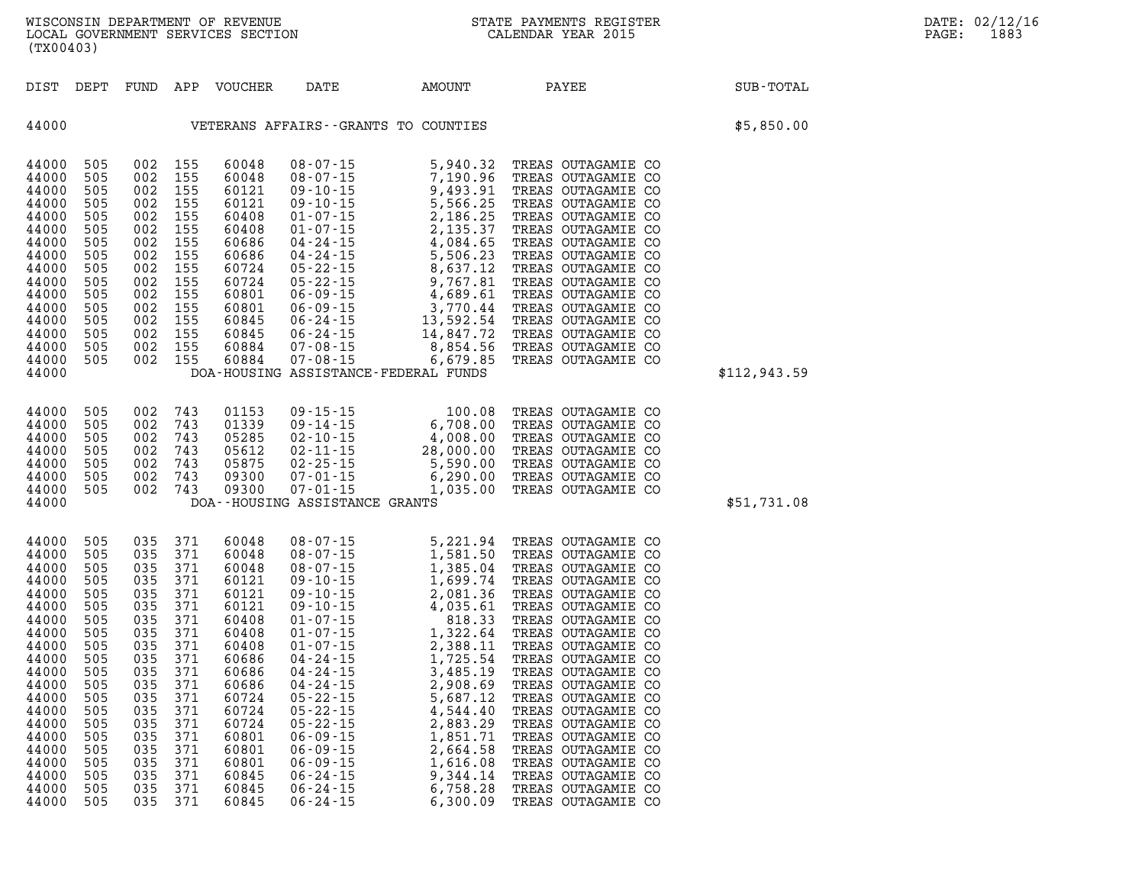| (TX00403)                                                                                                                                                                        |                                                                                                                                                       |                                                                                                    |                                                                                                                                                                          |                                                                                                                                                                                           |                                                                                                                                                                                                                |                                                                                                                                                                                                                                                                                                                                                                                                                                                                            | STATE PAYMENTS REGISTER                                                                                                                                                                                                                                                                                                                                                                                                                                                             |              | DATE: 02/12/16<br>PAGE:<br>1883 |
|----------------------------------------------------------------------------------------------------------------------------------------------------------------------------------|-------------------------------------------------------------------------------------------------------------------------------------------------------|----------------------------------------------------------------------------------------------------|--------------------------------------------------------------------------------------------------------------------------------------------------------------------------|-------------------------------------------------------------------------------------------------------------------------------------------------------------------------------------------|----------------------------------------------------------------------------------------------------------------------------------------------------------------------------------------------------------------|----------------------------------------------------------------------------------------------------------------------------------------------------------------------------------------------------------------------------------------------------------------------------------------------------------------------------------------------------------------------------------------------------------------------------------------------------------------------------|-------------------------------------------------------------------------------------------------------------------------------------------------------------------------------------------------------------------------------------------------------------------------------------------------------------------------------------------------------------------------------------------------------------------------------------------------------------------------------------|--------------|---------------------------------|
|                                                                                                                                                                                  |                                                                                                                                                       |                                                                                                    |                                                                                                                                                                          | DIST DEPT FUND APP VOUCHER                                                                                                                                                                | DATE                                                                                                                                                                                                           | <b>AMOUNT</b>                                                                                                                                                                                                                                                                                                                                                                                                                                                              | PAYEE                                                                                                                                                                                                                                                                                                                                                                                                                                                                               | SUB-TOTAL    |                                 |
|                                                                                                                                                                                  |                                                                                                                                                       |                                                                                                    |                                                                                                                                                                          |                                                                                                                                                                                           |                                                                                                                                                                                                                | 44000    VETERANS AFFAIRS - GRANTS TO COUNTIES                                                                                                                                                                                                                                                                                                                                                                                                                             |                                                                                                                                                                                                                                                                                                                                                                                                                                                                                     | \$5,850.00   |                                 |
| 44000<br>44000<br>44000<br>44000<br>44000<br>44000<br>44000<br>44000<br>44000<br>44000<br>44000<br>44000<br>44000<br>44000<br>44000                                              | 44000 505<br>505<br>505<br>505<br>505<br>505<br>505<br>505<br>505<br>505<br>505<br>505<br>505<br>505<br>- 505<br>44000 505                            | 002                                                                                                | 002 155<br>002 155<br>002 155<br>002 155<br>002 155<br>002 155<br>002 155<br>155<br>002 155<br>002 155<br>002 155<br>002 155<br>002 155<br>002 155<br>002 155<br>002 155 | 60048<br>60048<br>60121<br>60121<br>60408<br>60408<br>60686<br>60686<br>60724<br>60724<br>60801<br>60801<br>60845<br>60845<br>60884<br>60884                                              | 07-08-15                                                                                                                                                                                                       | 6,679.85<br>DOA-HOUSING ASSISTANCE-FEDERAL FUNDS                                                                                                                                                                                                                                                                                                                                                                                                                           | TREAS OUTAGAMIE CO<br>TREAS OUTAGAMIE CO<br>TREAS OUTAGAMIE CO<br>TREAS OUTAGAMIE CO<br>TREAS OUTAGAMIE CO<br>TREAS OUTAGAMIE CO<br>TREAS OUTAGAMIE CO<br>TREAS OUTAGAMIE CO<br>TREAS OUTAGAMIE CO<br>TREAS OUTAGAMIE CO<br>TREAS OUTAGAMIE CO<br>TREAS OUTAGAMIE CO<br>TREAS OUTAGAMIE CO<br>TREAS OUTAGAMIE CO<br>TREAS OUTAGAMIE CO<br>TREAS OUTAGAMIE CO                                                                                                                        | \$112,943.59 |                                 |
| 44000<br>44000<br>44000<br>44000<br>44000<br>44000<br>44000                                                                                                                      | 505<br>505<br>505<br>505<br>505<br>505<br>44000 505                                                                                                   | 002<br>002                                                                                         | 002 743<br>002 743<br>002 743<br>002 743<br>002 743<br>743<br>743                                                                                                        | 01153<br>01339<br>05285<br>05612<br>05875<br>09300<br>09300                                                                                                                               | DOA--HOUSING ASSISTANCE GRANTS                                                                                                                                                                                 |                                                                                                                                                                                                                                                                                                                                                                                                                                                                            | 09-15-15<br>09-14-15<br>09-14-15<br>02-10-15<br>100.08 TREAS OUTAGAMIE CO<br>02-10-15<br>28,000.00 TREAS OUTAGAMIE CO<br>02-25-15<br>5,590.00 TREAS OUTAGAMIE CO<br>07-01-15<br>6,290.00 TREAS OUTAGAMIE CO<br>07-01-15<br>6,290.00 TREAS OUTAGAMIE CO                                                                                                                                                                                                                              | \$51,731.08  |                                 |
| 44000<br>44000<br>44000<br>44000<br>44000<br>44000<br>44000<br>44000<br>44000<br>44000<br>44000<br>44000<br>44000<br>44000<br>44000<br>44000<br>44000<br>44000<br>44000<br>44000 | 505<br>505<br>505<br>505<br>505<br>505<br>505<br>505<br>505<br>505<br>505<br>505<br>505<br>505<br>505<br>505<br>505<br>505<br>505<br>505<br>44000 505 | 035<br>035<br>035<br>035<br>035<br>035 371<br>035<br>035<br>035<br>035<br>035<br>035<br>035<br>035 | 035 371<br>035 371<br>035 371<br>035 371<br>371<br>371<br>371<br>371<br>371<br>371<br>371<br>371<br>- 371<br>371<br>- 371<br>371<br>035 371<br>371<br>035 371<br>035 371 | 60048<br>60048<br>60048<br>60121<br>60121<br>60121<br>60408<br>60408<br>60408<br>60686<br>60686<br>60686<br>60724<br>60724<br>60724<br>60801<br>60801<br>60801<br>60845<br>60845<br>60845 | 04-24-15<br>$04 - 24 - 15$<br>$04 - 24 - 15$<br>$05 - 22 - 15$<br>$05 - 22 - 15$<br>$05 - 22 - 15$<br>$06 - 09 - 15$<br>$06 - 09 - 15$<br>$06 - 09 - 15$<br>$06 - 24 - 15$<br>$06 - 24 - 15$<br>$06 - 24 - 15$ | $\begin{array}{llllll} 08\cdot 07\cdot 15 & 5, 221.\,94 \\ 08\cdot 07\cdot 15 & 1, 581.\,50 \\ 08\cdot 07\cdot 15 & 1, 385.\,04 \\ 09\cdot 10\cdot 15 & 1, 699.\,74 \\ 09\cdot 10\cdot 15 & 2, 081.\,36 \\ 09\cdot 10\cdot 15 & 4, 035.\,61 \\ 01\cdot 07\cdot 15 & 1, 322.\,64 \\ 01\cdot 07\cdot 15 & 2, 388.\,11 \\ 04$<br>1,725.54<br>3,485.19<br>2,908.69<br>5,687.12<br>4,544.40<br>2,883.29<br>1,851.71<br>2,664.58<br>1,616.08<br>9,344.14<br>6,758.28<br>6,300.09 | 5,221.94 TREAS OUTAGAMIE CO<br>TREAS OUTAGAMIE CO<br>TREAS OUTAGAMIE CO<br>TREAS OUTAGAMIE CO<br>TREAS OUTAGAMIE CO<br>TREAS OUTAGAMIE CO<br>TREAS OUTAGAMIE CO<br>TREAS OUTAGAMIE CO<br>TREAS OUTAGAMIE CO<br>TREAS OUTAGAMIE CO<br>TREAS OUTAGAMIE CO<br>TREAS OUTAGAMIE CO<br>TREAS OUTAGAMIE CO<br>TREAS OUTAGAMIE CO<br>TREAS OUTAGAMIE CO<br>TREAS OUTAGAMIE CO<br>TREAS OUTAGAMIE CO<br>TREAS OUTAGAMIE CO<br>TREAS OUTAGAMIE CO<br>TREAS OUTAGAMIE CO<br>TREAS OUTAGAMIE CO |              |                                 |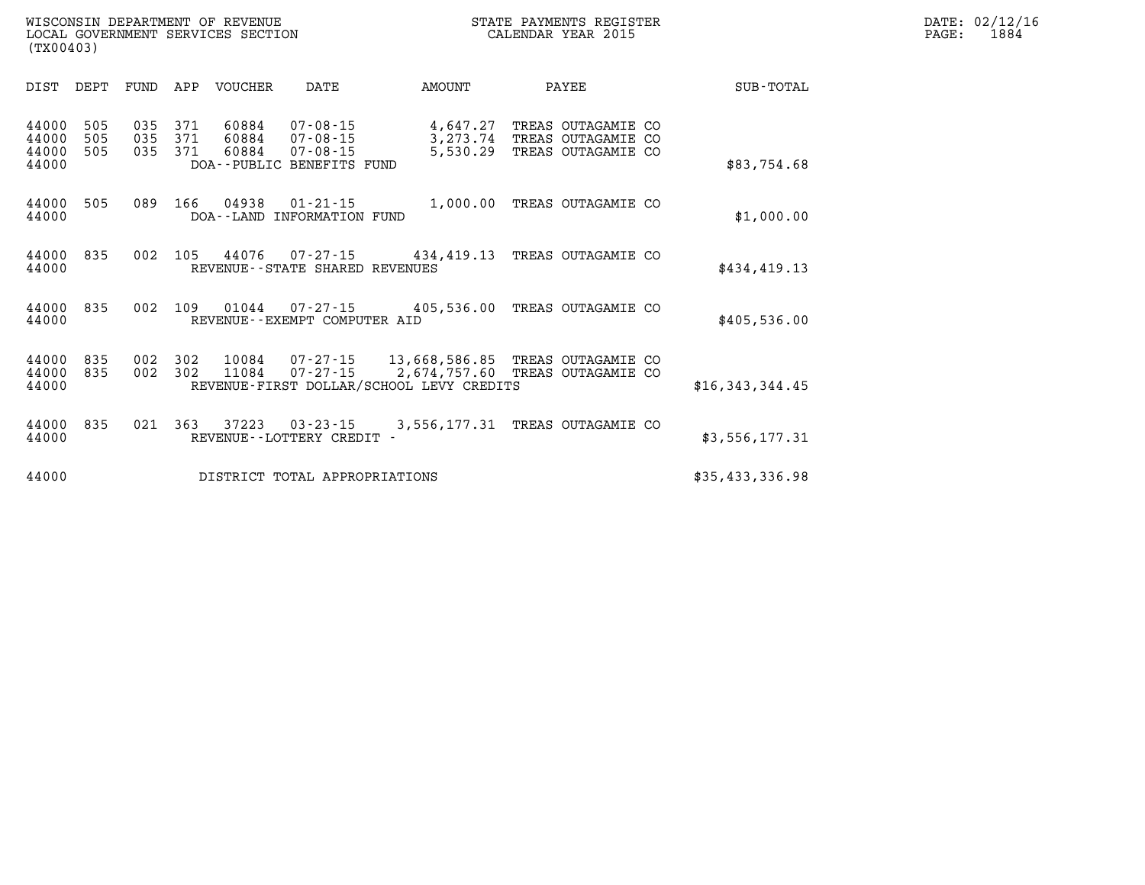| DATE: | 02/12/16 |
|-------|----------|
| PAGE: | 1884     |

| WISCONSIN DEPARTMENT OF REVENUE   | STATE PAYMENTS REGISTER |       | DATE: 02/12/16 |
|-----------------------------------|-------------------------|-------|----------------|
| LOCAL GOVERNMENT SERVICES SECTION | CALENDAR YEAR 2015      | PAGE: | 1884           |
| (TX00403)                         |                         |       |                |

| DIST                             | DEPT              | FUND              | APP<br><b>VOUCHER</b>                        | DATE                                                                            | AMOUNT                                                                    | PAYEE                                                       | <b>SUB-TOTAL</b>   |
|----------------------------------|-------------------|-------------------|----------------------------------------------|---------------------------------------------------------------------------------|---------------------------------------------------------------------------|-------------------------------------------------------------|--------------------|
| 44000<br>44000<br>44000<br>44000 | 505<br>505<br>505 | 035<br>035<br>035 | 371<br>60884<br>371<br>60884<br>371<br>60884 | $07 - 08 - 15$<br>$07 - 08 - 15$<br>$07 - 08 - 15$<br>DOA--PUBLIC BENEFITS FUND | 4,647.27<br>3,273.74<br>5,530.29                                          | TREAS OUTAGAMIE CO<br>TREAS OUTAGAMIE CO<br>TREAS OUTAGAMIE | CO.<br>\$83,754.68 |
| 44000<br>44000                   | 505               | 089               | 166<br>04938<br>DOA - - LAND                 | $01 - 21 - 15$<br>INFORMATION FUND                                              | 1,000.00                                                                  | TREAS OUTAGAMIE CO                                          | \$1,000.00         |
| 44000<br>44000                   | 835               | 002               | 105<br>44076                                 | $07 - 27 - 15$<br>REVENUE - - STATE SHARED REVENUES                             | 434,419.13                                                                | TREAS OUTAGAMIE CO                                          | \$434,419.13       |
| 44000<br>44000                   | 835               | 002               | 109<br>01044                                 | $07 - 27 - 15$<br>REVENUE--EXEMPT COMPUTER AID                                  | 405,536.00                                                                | TREAS OUTAGAMIE CO                                          | \$405,536.00       |
| 44000<br>44000<br>44000          | 835<br>835        | 002<br>002        | 302<br>10084<br>302<br>11084                 | 07-27-15<br>$07 - 27 - 15$                                                      | 13,668,586.85<br>2,674,757.60<br>REVENUE-FIRST DOLLAR/SCHOOL LEVY CREDITS | TREAS OUTAGAMIE CO<br>TREAS<br>OUTAGAMIE CO                 | \$16,343,344.45    |
| 44000<br>44000                   | 835               | 021               | 363<br>37223                                 | $03 - 23 - 15$<br>REVENUE - - LOTTERY CREDIT -                                  | 3,556,177.31                                                              | TREAS OUTAGAMIE CO                                          | \$3,556,177.31     |
| 44000                            |                   |                   |                                              | DISTRICT TOTAL APPROPRIATIONS                                                   |                                                                           |                                                             | \$35,433,336.98    |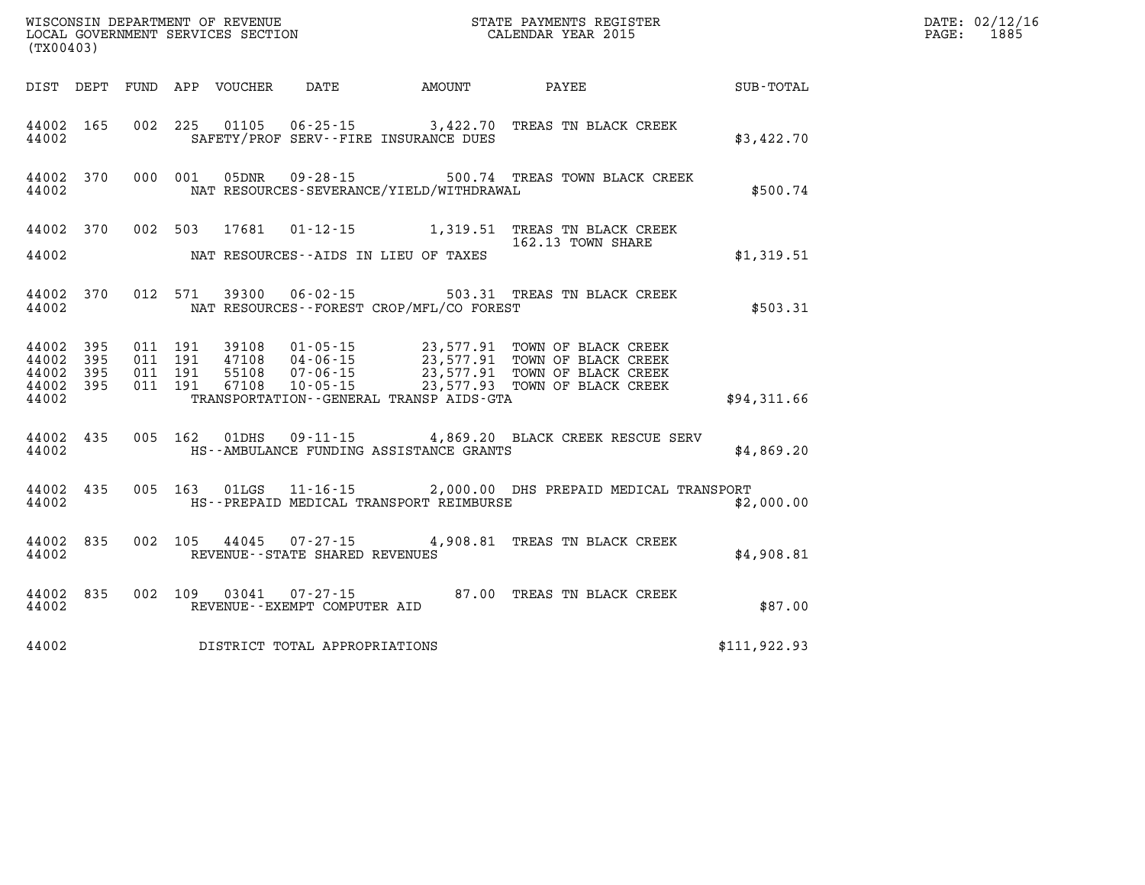| (TX00403)                   |                  |                   |                               |                         | WISCONSIN DEPARTMENT OF REVENUE<br>LOCAL GOVERNMENT SERVICES SECTION<br>(TX00403) |                                              | STATE PAYMENTS REGISTER<br>CALENDAR YEAR 2015                                                                                                                                    |              | DATE: 02/12/16<br>1885<br>$\mathtt{PAGE:}$ |
|-----------------------------|------------------|-------------------|-------------------------------|-------------------------|-----------------------------------------------------------------------------------|----------------------------------------------|----------------------------------------------------------------------------------------------------------------------------------------------------------------------------------|--------------|--------------------------------------------|
|                             |                  |                   |                               |                         |                                                                                   | DIST DEPT FUND APP VOUCHER DATE AMOUNT PAYEE |                                                                                                                                                                                  | SUB-TOTAL    |                                            |
| 44002                       | 44002 165        |                   |                               |                         |                                                                                   | SAFETY/PROF SERV--FIRE INSURANCE DUES        | 002 225 01105 06-25-15 3,422.70 TREAS TN BLACK CREEK                                                                                                                             | \$3,422.70   |                                            |
| 44002                       |                  |                   |                               | 44002 370 000 001 05DNR |                                                                                   | NAT RESOURCES-SEVERANCE/YIELD/WITHDRAWAL     | 09-28-15 500.74 TREAS TOWN BLACK CREEK                                                                                                                                           | \$500.74     |                                            |
|                             |                  |                   |                               |                         |                                                                                   |                                              | 44002 370 002 503 17681 01-12-15 1,319.51 TREAS TN BLACK CREEK<br>162.13 TOWN SHARE                                                                                              |              |                                            |
| 44002                       |                  |                   |                               |                         |                                                                                   | NAT RESOURCES--AIDS IN LIEU OF TAXES         |                                                                                                                                                                                  | \$1,319.51   |                                            |
| 44002                       |                  |                   |                               |                         |                                                                                   | NAT RESOURCES - - FOREST CROP/MFL/CO FOREST  | 44002 370 012 571 39300 06-02-15 503.31 TREAS TN BLACK CREEK                                                                                                                     | \$503.31     |                                            |
| 44002<br>44002 395<br>44002 | 395<br>44002 395 | 44002 395 011 191 | 011 191<br>011 191<br>011 191 |                         |                                                                                   | TRANSPORTATION - - GENERAL TRANSP AIDS - GTA | 39108  01-05-15  23,577.91  TOWN OF BLACK CREEK<br>23,577.91 TOWN OF BLACK CREEK<br>55108 04-06-15 23,577.91 TOWN OF BLACK CREEK<br>67108 10-05-15 23,577.91 TOWN OF BLACK CREEK | \$94,311.66  |                                            |
| 44002                       | 44002 435        |                   |                               |                         |                                                                                   | HS--AMBULANCE FUNDING ASSISTANCE GRANTS      | 005 162 01DHS 09-11-15 4,869.20 BLACK CREEK RESCUE SERV                                                                                                                          | \$4,869.20   |                                            |
| 44002                       | 44002 435        |                   |                               | 005 163 01LGS           |                                                                                   | HS--PREPAID MEDICAL TRANSPORT REIMBURSE      | 11-16-15 2,000.00 DHS PREPAID MEDICAL TRANSPORT                                                                                                                                  | \$2,000.00   |                                            |
| 44002                       | 44002 835        |                   |                               |                         | REVENUE - - STATE SHARED REVENUES                                                 |                                              | 002 105 44045 07-27-15 4,908.81 TREAS TN BLACK CREEK                                                                                                                             | \$4,908.81   |                                            |
| 44002                       |                  |                   |                               | 44002 835 002 109 03041 | REVENUE--EXEMPT COMPUTER AID                                                      |                                              | 07-27-15 87.00 TREAS TN BLACK CREEK                                                                                                                                              | \$87.00      |                                            |
| 44002                       |                  |                   |                               |                         | DISTRICT TOTAL APPROPRIATIONS                                                     |                                              |                                                                                                                                                                                  | \$111,922.93 |                                            |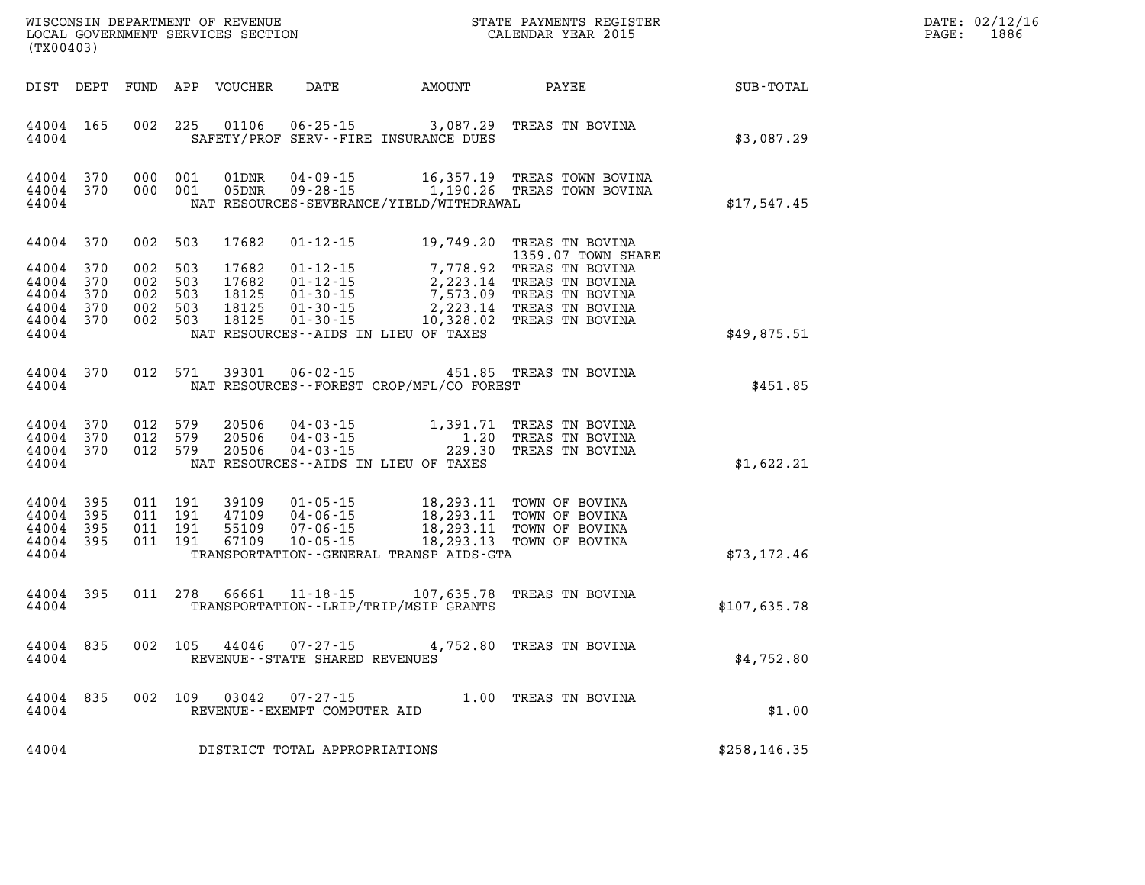| DATE: | 02/12/16 |
|-------|----------|
| PAGE: | 1886     |

| (TX00403)                                                               |                   |                    |                                          |                                                            |                                                     |                                              | WISCONSIN DEPARTMENT OF REVENUE<br>LOCAL GOVERNMENT SERVICES SECTION CALENDAR YEAR 2015                                                                                                                                                                                                                  |               | DATE: 02/12/1<br>$\mathtt{PAGE}$ :<br>1886 |
|-------------------------------------------------------------------------|-------------------|--------------------|------------------------------------------|------------------------------------------------------------|-----------------------------------------------------|----------------------------------------------|----------------------------------------------------------------------------------------------------------------------------------------------------------------------------------------------------------------------------------------------------------------------------------------------------------|---------------|--------------------------------------------|
|                                                                         |                   |                    |                                          |                                                            |                                                     | DIST DEPT FUND APP VOUCHER DATE AMOUNT PAYEE |                                                                                                                                                                                                                                                                                                          | SUB-TOTAL     |                                            |
| 44004 165<br>44004                                                      |                   |                    |                                          |                                                            |                                                     | SAFETY/PROF SERV--FIRE INSURANCE DUES        | 002 225 01106 06-25-15 3,087.29 TREAS TN BOVINA                                                                                                                                                                                                                                                          | \$3,087.29    |                                            |
| 44004 370<br>44004 370<br>44004                                         |                   |                    |                                          |                                                            |                                                     | NAT RESOURCES-SEVERANCE/YIELD/WITHDRAWAL     | $\begin{array}{cccc} 000 & 001 & 01 \text{DNR} & 04 \text{ - } 09 \text{ - } 15 & 16 \text{ , } 357 \text{ .}19 & \text{TREAS} & \text{TOWN} & \text{BOVINA} \\ 000 & 001 & 05 \text{DNR} & 09 \text{ - } 28 \text{ - } 15 & 1,190 \text{ .}26 & \text{TREAS} & \text{TOWN} & \text{BOVINA} \end{array}$ | \$17,547.45   |                                            |
| 44004 370<br>44004 370<br>44004<br>44004<br>44004<br>44004 370<br>44004 | 370<br>370<br>370 | 002 503<br>002 503 | 002 503<br>002 503<br>002 503            | 002 503 17682<br>17682<br>17682<br>18125<br>18125<br>18125 |                                                     | NAT RESOURCES--AIDS IN LIEU OF TAXES         | 01-12-15 19,749.20 TREAS TN BOVINA<br>1359.07 TOWN SHARE<br>1359.07 TOWN SHA<br>01-12-15 7,778.92 TREAS TN BOVINA<br>01-12-15 2,223.14 TREAS TN BOVINA<br>01-30-15 7,573.09 TREAS TN BOVINA<br>01-30-15 2,223.14 TREAS TN BOVINA<br>01-30-15 10,328.02 TREAS TN BOVINA                                   | \$49,875.51   |                                            |
| 44004 370<br>44004                                                      |                   |                    | 012 571                                  | 39301                                                      |                                                     | NAT RESOURCES--FOREST CROP/MFL/CO FOREST     | 06-02-15 451.85 TREAS TN BOVINA                                                                                                                                                                                                                                                                          | \$451.85      |                                            |
| 44004 370<br>44004<br>44004 370<br>44004                                | 370               |                    | 012 579<br>012 579<br>012 579            | 20506<br>20506<br>20506                                    |                                                     | NAT RESOURCES--AIDS IN LIEU OF TAXES         | 04-03-15 1,391.71 TREAS TN BOVINA<br>04-03-15 1.20 TREAS TN BOVINA<br>04-03-15 229.30 TREAS TN BOVINA                                                                                                                                                                                                    | \$1,622.21    |                                            |
| 44004 395<br>44004<br>44004<br>44004 395<br>44004                       | 395<br>395        |                    | 011 191<br>011 191<br>011 191<br>011 191 |                                                            |                                                     | TRANSPORTATION--GENERAL TRANSP AIDS-GTA      | 39109  01-05-15  18,293.11  TOWN OF BOVINA<br>47109  04-06-15  18,293.11  TOWN OF BOVINA<br>55109  07-06-15  18,293.11  TOWN OF BOVINA<br>67109  10-05-15  18,293.13  TOWN OF BOVINA                                                                                                                     | \$73,172.46   |                                            |
| 44004 395<br>44004                                                      |                   |                    |                                          |                                                            |                                                     | TRANSPORTATION - - LRIP/TRIP/MSIP GRANTS     | 011 278 66661 11-18-15 107,635.78 TREAS TN BOVINA                                                                                                                                                                                                                                                        | \$107,635.78  |                                            |
| 44004 835<br>44004                                                      |                   |                    | 002 105                                  | 44046                                                      | $07 - 27 - 15$<br>REVENUE - - STATE SHARED REVENUES |                                              | 4,752.80 TREAS TN BOVINA                                                                                                                                                                                                                                                                                 | \$4,752.80    |                                            |
| 44004<br>44004                                                          | 835               |                    | 002 109                                  |                                                            | REVENUE--EXEMPT COMPUTER AID                        |                                              | 03042  07-27-15  1.00 TREAS TN BOVINA                                                                                                                                                                                                                                                                    | \$1.00        |                                            |
| 44004                                                                   |                   |                    |                                          |                                                            | DISTRICT TOTAL APPROPRIATIONS                       |                                              |                                                                                                                                                                                                                                                                                                          | \$258, 146.35 |                                            |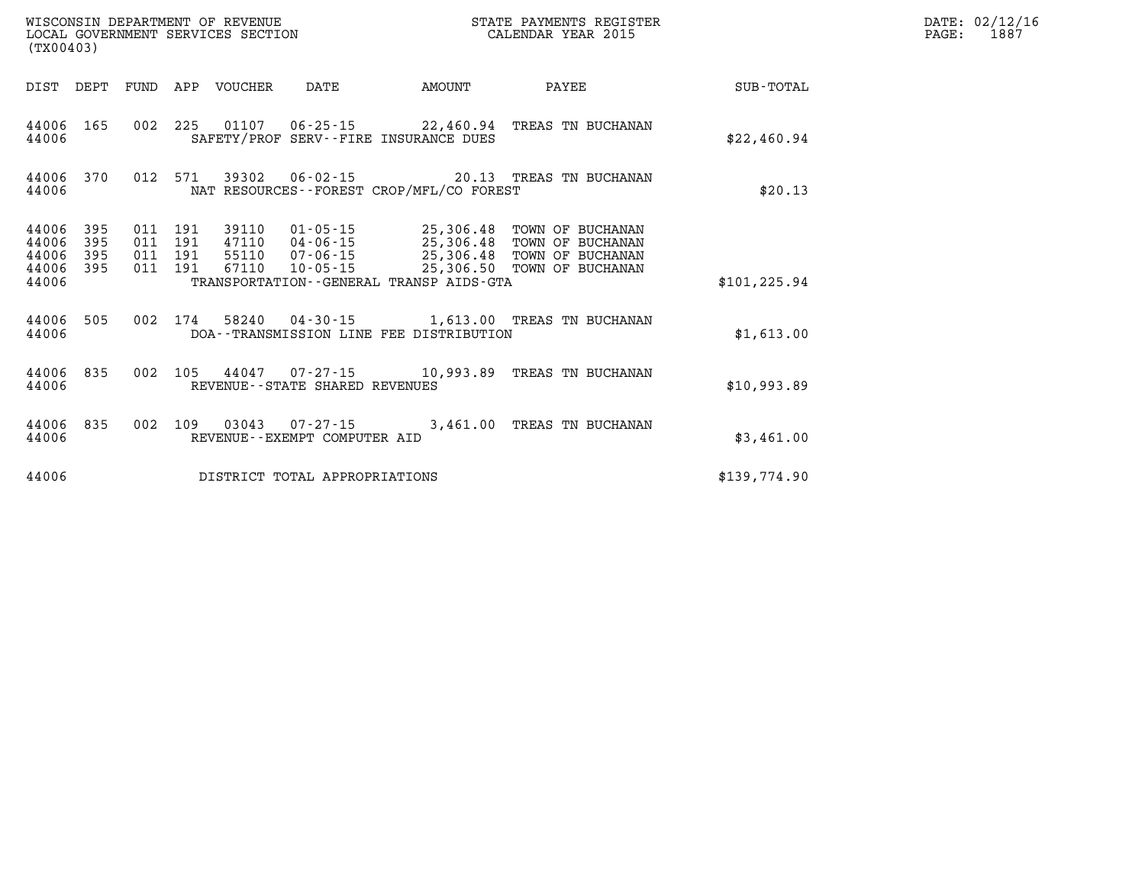|                                           | WISCONSIN DEPARTMENT OF REVENUE<br>STATE PAYMENTS REGISTER<br>LOCAL GOVERNMENT SERVICES SECTION<br>CALENDAR YEAR 2015<br>(TX00403) |                          |                          |                                  |                                                                |                                                                                             |                                                                              |                  |
|-------------------------------------------|------------------------------------------------------------------------------------------------------------------------------------|--------------------------|--------------------------|----------------------------------|----------------------------------------------------------------|---------------------------------------------------------------------------------------------|------------------------------------------------------------------------------|------------------|
| DIST                                      | DEPT                                                                                                                               | FUND                     | APP                      | VOUCHER                          | DATE                                                           | AMOUNT                                                                                      | PAYEE                                                                        | <b>SUB-TOTAL</b> |
| 44006<br>44006                            | 165                                                                                                                                | 002                      | 225                      |                                  |                                                                | $01107$ $06-25-15$ 22,460.94<br>SAFETY/PROF SERV--FIRE INSURANCE DUES                       | TREAS TN BUCHANAN                                                            | \$22,460.94      |
| 44006<br>44006                            | 370                                                                                                                                | 012                      | 571                      | 39302                            |                                                                | NAT RESOURCES - - FOREST CROP/MFL/CO FOREST                                                 | 06-02-15 20.13 TREAS TN BUCHANAN                                             | \$20.13          |
| 44006<br>44006<br>44006<br>44006<br>44006 | 395<br>395<br>395<br>395                                                                                                           | 011<br>011<br>011<br>011 | 191<br>191<br>191<br>191 | 39110<br>47110<br>55110<br>67110 | $01 - 05 - 15$<br>04-06-15<br>$07 - 06 - 15$<br>$10 - 05 - 15$ | 25,306.48<br>25,306.48<br>25,306.48<br>25,306.50<br>TRANSPORTATION--GENERAL TRANSP AIDS-GTA | TOWN OF BUCHANAN<br>TOWN OF BUCHANAN<br>TOWN OF BUCHANAN<br>TOWN OF BUCHANAN | \$101,225.94     |
|                                           |                                                                                                                                    |                          |                          |                                  |                                                                |                                                                                             |                                                                              |                  |
| 44006<br>44006                            | 505                                                                                                                                | 002                      | 174                      | 58240                            | $04 - 30 - 15$                                                 | DOA--TRANSMISSION LINE FEE DISTRIBUTION                                                     | 1,613.00 TREAS TN BUCHANAN                                                   | \$1,613.00       |
| 44006<br>44006                            | 835                                                                                                                                | 002                      | 105                      |                                  | 44047 07-27-15<br>REVENUE--STATE SHARED REVENUES               | 10,993.89                                                                                   | TREAS TN BUCHANAN                                                            | \$10,993.89      |
| 44006<br>44006                            | 835                                                                                                                                | 002                      | 109                      | 03043                            | 07-27-15<br>REVENUE--EXEMPT COMPUTER AID                       | 3,461.00                                                                                    | TREAS TN BUCHANAN                                                            | \$3,461.00       |
| 44006                                     |                                                                                                                                    |                          |                          |                                  | DISTRICT TOTAL APPROPRIATIONS                                  |                                                                                             |                                                                              | \$139.774.90     |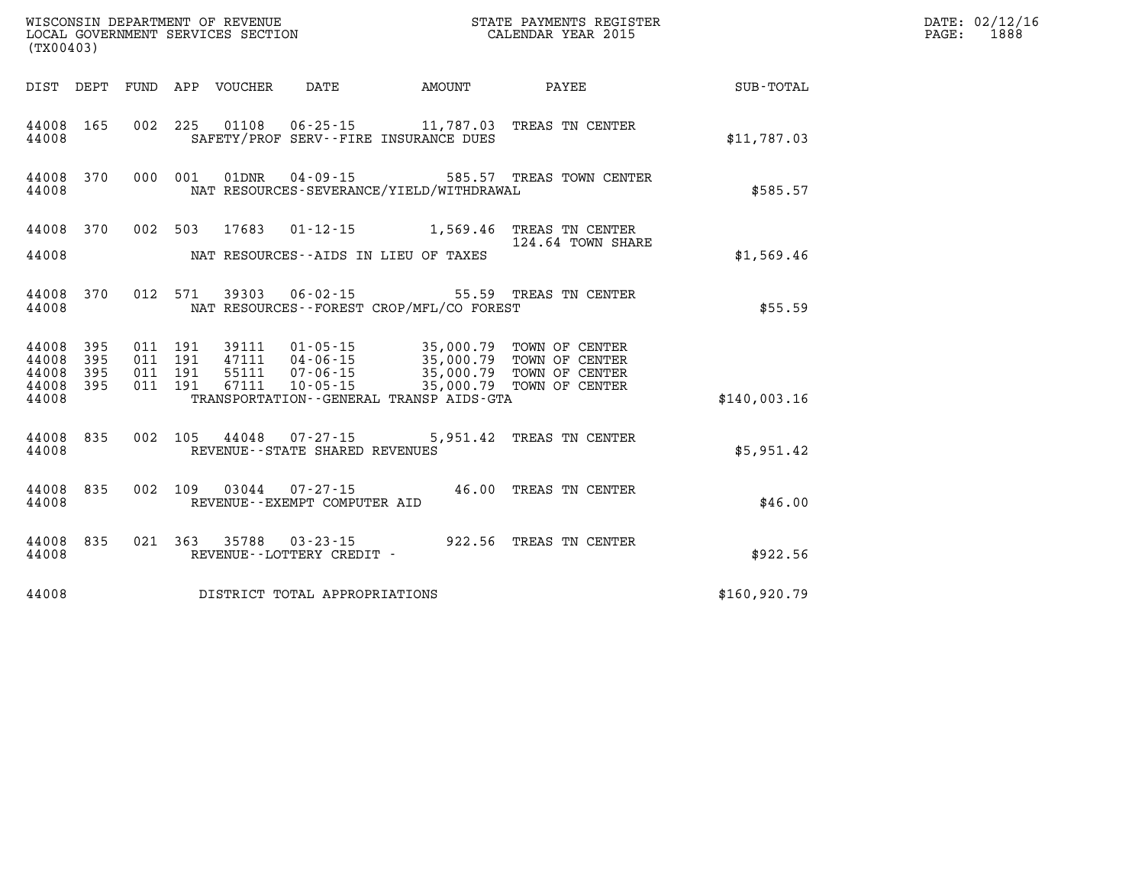| (TX00403)          |                               |  |                                          |  |                                                             |                                             |                                                                                                                                                                              |              | DATE: 02/12/16<br>1888<br>$\mathtt{PAGE}$ : |
|--------------------|-------------------------------|--|------------------------------------------|--|-------------------------------------------------------------|---------------------------------------------|------------------------------------------------------------------------------------------------------------------------------------------------------------------------------|--------------|---------------------------------------------|
|                    |                               |  |                                          |  |                                                             |                                             |                                                                                                                                                                              |              |                                             |
| 44008              | 44008 165                     |  |                                          |  |                                                             | SAFETY/PROF SERV--FIRE INSURANCE DUES       | 002 225 01108 06-25-15 11,787.03 TREAS TN CENTER                                                                                                                             | \$11,787.03  |                                             |
| 44008              | 44008 370                     |  |                                          |  |                                                             | NAT RESOURCES-SEVERANCE/YIELD/WITHDRAWAL    | 000 001 01DNR 04-09-15 585.57 TREAS TOWN CENTER                                                                                                                              | \$585.57     |                                             |
|                    |                               |  |                                          |  |                                                             |                                             | 44008 370 002 503 17683 01-12-15 1,569.46 TREAS TN CENTER<br>124.64 TOWN SHARE                                                                                               |              |                                             |
|                    | 44008                         |  |                                          |  |                                                             | NAT RESOURCES--AIDS IN LIEU OF TAXES        |                                                                                                                                                                              | \$1,569.46   |                                             |
| 44008              | 44008 370                     |  |                                          |  |                                                             | NAT RESOURCES - - FOREST CROP/MFL/CO FOREST | 012 571 39303 06-02-15 55.59 TREAS TN CENTER                                                                                                                                 | \$55.59      |                                             |
| 44008 395<br>44008 | 44008 395<br>395<br>44008 395 |  | 011 191<br>011 191<br>011 191<br>011 191 |  |                                                             |                                             | 39111  01-05-15  35,000.79 TOWN OF CENTER<br>47111  04-06-15  35,000.79 TOWN OF CENTER<br>55111 07-06-15 35,000.79 TOWN OF CENTER<br>67111 10-05-15 35,000.79 TOWN OF CENTER |              |                                             |
| 44008              |                               |  |                                          |  |                                                             | TRANSPORTATION--GENERAL TRANSP AIDS-GTA     |                                                                                                                                                                              | \$140,003.16 |                                             |
| 44008              | 44008 835                     |  |                                          |  | 002 105 44048 07-27-15<br>REVENUE - - STATE SHARED REVENUES |                                             | 5,951.42 TREAS TN CENTER                                                                                                                                                     | \$5,951.42   |                                             |
| 44008              | 44008 835                     |  |                                          |  | REVENUE--EXEMPT COMPUTER AID                                |                                             | 002 109 03044 07-27-15 46.00 TREAS TN CENTER                                                                                                                                 | \$46.00      |                                             |
| 44008              | 44008 835                     |  |                                          |  | REVENUE - - LOTTERY CREDIT -                                |                                             | 021 363 35788 03-23-15 922.56 TREAS TN CENTER                                                                                                                                | \$922.56     |                                             |
| 44008              |                               |  |                                          |  | DISTRICT TOTAL APPROPRIATIONS                               |                                             |                                                                                                                                                                              | \$160,920.79 |                                             |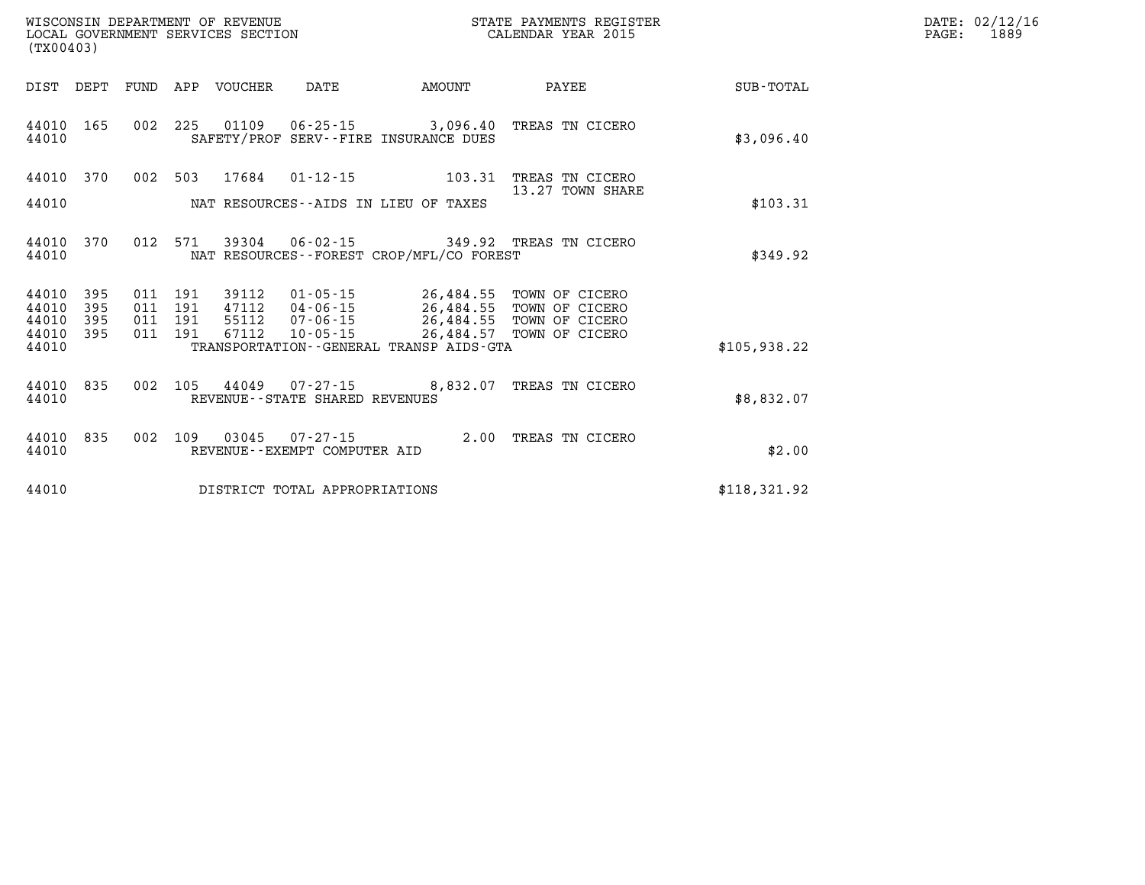| DATE: | 02/12/16 |
|-------|----------|
| PAGE: | 1889     |

| (TX00403)                    | WISCONSIN DEPARTMENT OF REVENUE<br>LOCAL GOVERNMENT SERVICES SECTION | STATE PAYMENTS REGISTER<br>CALENDAR YEAR 2015                 |                        |                                     |                  |  |  |
|------------------------------|----------------------------------------------------------------------|---------------------------------------------------------------|------------------------|-------------------------------------|------------------|--|--|
| DIST<br>DEPT                 | FUND<br>APP<br>VOUCHER                                               | DATE<br>AMOUNT                                                |                        | PAYEE                               | <b>SUB-TOTAL</b> |  |  |
| 165<br>44010<br>44010        | 002<br>225<br>01109                                                  | $06 - 25 - 15$<br>SAFETY/PROF SERV--FIRE INSURANCE DUES       | 3,096.40               | TREAS TN CICERO                     | \$3,096.40       |  |  |
| 44010<br>370                 | 002<br>503<br>17684                                                  | $01 - 12 - 15$                                                | 103.31                 | TREAS TN CICERO<br>13.27 TOWN SHARE |                  |  |  |
| 44010                        |                                                                      | NAT RESOURCES -- AIDS IN LIEU OF TAXES                        |                        |                                     | \$103.31         |  |  |
| 44010<br>370<br>44010        | 012<br>571<br>39304                                                  | $06 - 02 - 15$<br>NAT RESOURCES - - FOREST CROP/MFL/CO FOREST | 349.92                 | TREAS TN CICERO                     | \$349.92         |  |  |
| 395<br>44010<br>44010<br>395 | 011<br>191<br>39112<br>011<br>191<br>47112                           | $01 - 05 - 15$<br>$04 - 06 - 15$                              | 26,484.55<br>26,484.55 | TOWN OF CICERO<br>TOWN OF CICERO    |                  |  |  |
| 395<br>44010<br>395<br>44010 | 011<br>191<br>55112<br>011<br>191<br>67112                           | $07 - 06 - 15$<br>$10 - 05 - 15$                              | 26,484.55<br>26,484.57 | TOWN OF CICERO<br>TOWN OF CICERO    |                  |  |  |
| 44010                        |                                                                      | TRANSPORTATION--GENERAL TRANSP AIDS-GTA                       |                        |                                     | \$105,938.22     |  |  |
| 835<br>44010<br>44010        | 002<br>105<br>44049                                                  | $07 - 27 - 15$<br>REVENUE - - STATE SHARED REVENUES           | 8,832.07               | TREAS TN CICERO                     | \$8,832.07       |  |  |
| 835<br>44010<br>44010        | 002<br>109<br>03045                                                  | $07 - 27 - 15$<br>REVENUE--EXEMPT COMPUTER AID                | 2.00                   | TREAS TN CICERO                     | \$2.00           |  |  |
| 44010                        |                                                                      | DISTRICT TOTAL APPROPRIATIONS                                 |                        |                                     | \$118,321.92     |  |  |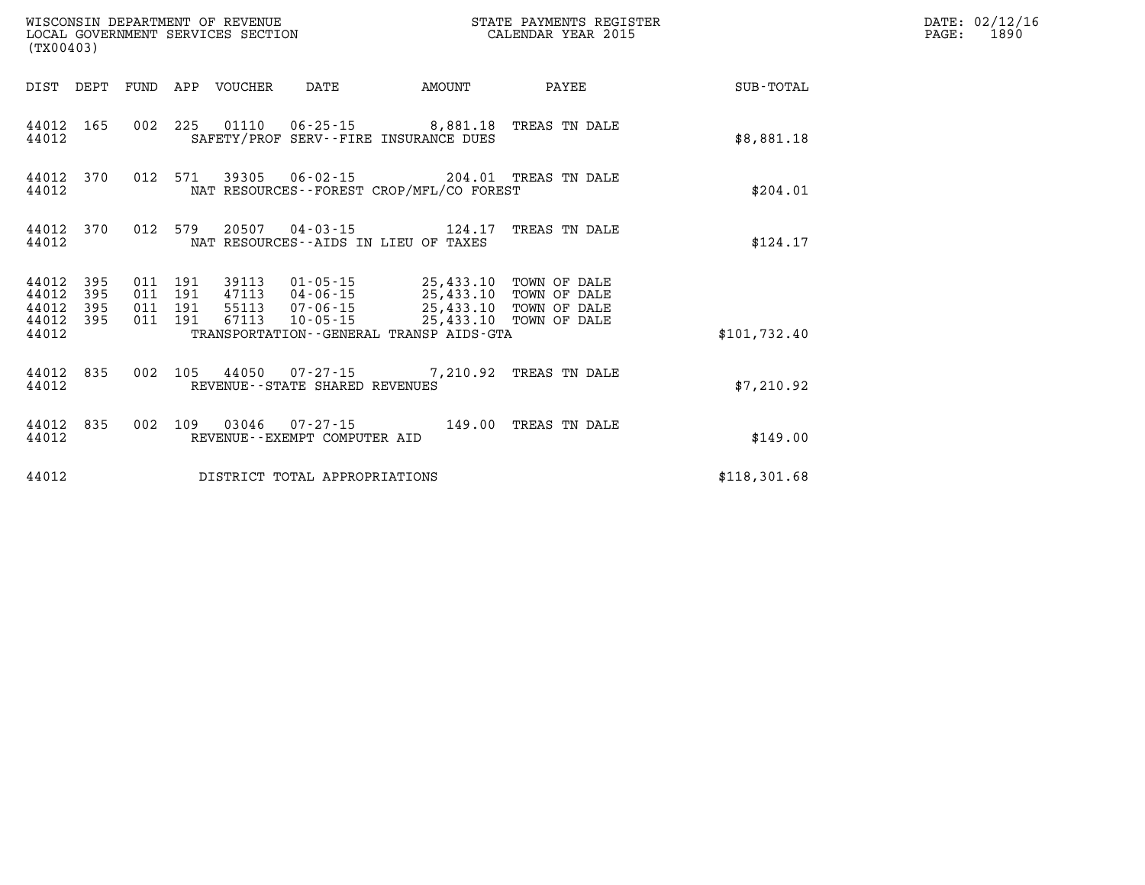| WISCONSIN DEPARTMENT OF REVENUE<br>LOCAL GOVERNMENT SERVICES SECTION<br>(TX00403) |                          |                    |                    |                            |                                |                                                                                        | STATE PAYMENTS REGISTER<br>CALENDAR YEAR 2015 |              | DATE: 02/12/16<br>$\mathtt{PAGE:}$<br>1890 |
|-----------------------------------------------------------------------------------|--------------------------|--------------------|--------------------|----------------------------|--------------------------------|----------------------------------------------------------------------------------------|-----------------------------------------------|--------------|--------------------------------------------|
|                                                                                   |                          |                    |                    | DIST DEPT FUND APP VOUCHER | DATE                           | AMOUNT                                                                                 | PAYEE                                         | SUB-TOTAL    |                                            |
| 44012                                                                             | 44012 165                |                    |                    |                            |                                | 002 225 01110 06-25-15 8,881.18 TREAS TN DALE<br>SAFETY/PROF SERV--FIRE INSURANCE DUES |                                               | \$8,881.18   |                                            |
| 44012 370<br>44012                                                                |                          | 012 571            |                    |                            |                                | NAT RESOURCES--FOREST CROP/MFL/CO FOREST                                               |                                               | \$204.01     |                                            |
| 44012 370<br>44012                                                                |                          | 012 579            |                    |                            |                                | NAT RESOURCES--AIDS IN LIEU OF TAXES                                                   | TREAS TN DALE                                 | \$124.17     |                                            |
| 44012<br>44012<br>44012<br>44012                                                  | 395<br>395<br>395<br>395 | 011 191<br>011 191 | 011 191<br>011 191 |                            |                                | 39113 01-05-15 25,433.10 TOWN OF DALE<br>47113  04-06-15  25,433.10  TOWN OF DALE      |                                               |              |                                            |
| 44012                                                                             |                          |                    |                    |                            |                                | TRANSPORTATION--GENERAL TRANSP AIDS-GTA                                                |                                               | \$101,732.40 |                                            |
| 44012                                                                             | 44012 835                | 002 105            |                    |                            | REVENUE--STATE SHARED REVENUES | 44050 07-27-15 7,210.92 TREAS TN DALE                                                  |                                               | \$7,210.92   |                                            |
| 44012                                                                             | 44012 835                |                    |                    |                            | REVENUE--EXEMPT COMPUTER AID   | 002 109 03046 07-27-15 149.00 TREAS TN DALE                                            |                                               | \$149.00     |                                            |
| 44012                                                                             |                          |                    |                    |                            | DISTRICT TOTAL APPROPRIATIONS  |                                                                                        |                                               | \$118,301.68 |                                            |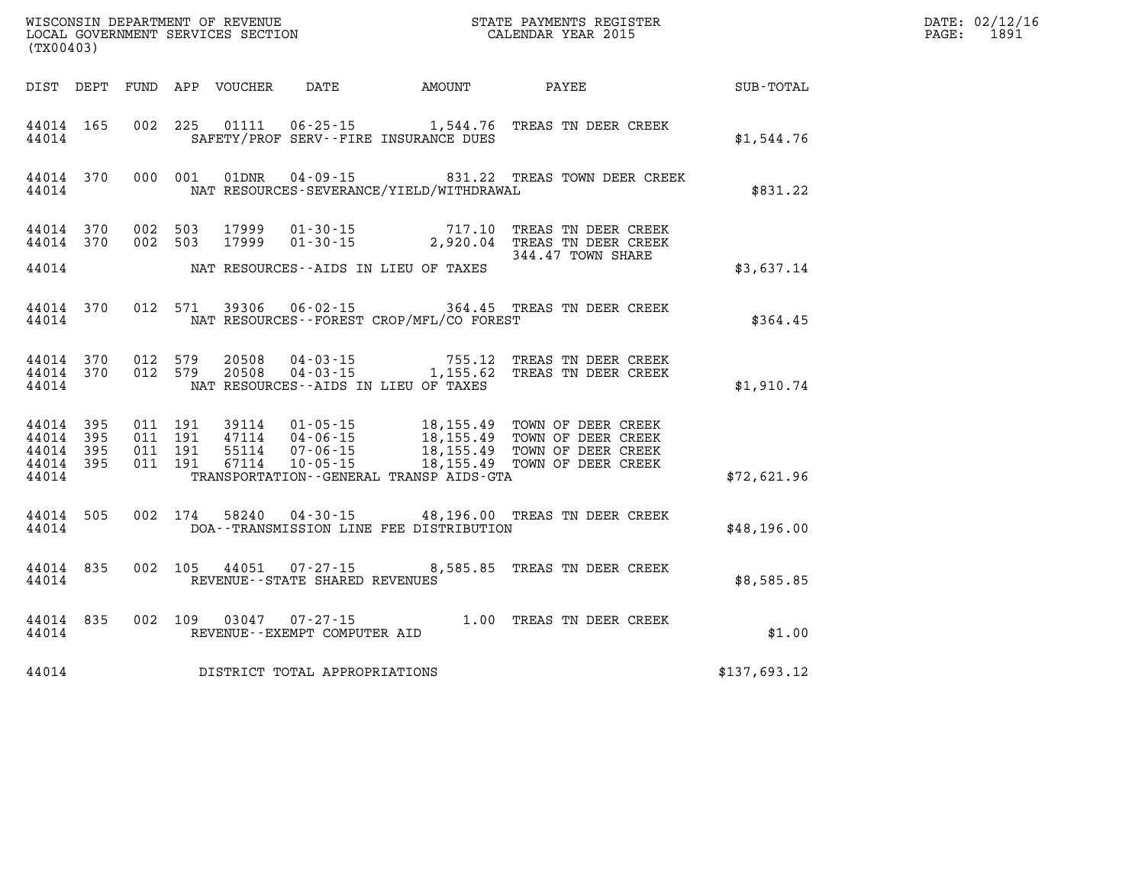|                                 | LOCAL GOVERNMENT SERVICES SECTION<br>(TX00403) |                                        |                               |  |                                                                 |                                              |                                                                                                                                                                                                          |              | DATE: 02/12/16<br>PAGE: 1891 |
|---------------------------------|------------------------------------------------|----------------------------------------|-------------------------------|--|-----------------------------------------------------------------|----------------------------------------------|----------------------------------------------------------------------------------------------------------------------------------------------------------------------------------------------------------|--------------|------------------------------|
|                                 |                                                |                                        |                               |  |                                                                 | DIST DEPT FUND APP VOUCHER DATE AMOUNT PAYEE |                                                                                                                                                                                                          | SUB-TOTAL    |                              |
| 44014                           | 44014 165                                      |                                        |                               |  |                                                                 | SAFETY/PROF SERV--FIRE INSURANCE DUES        | 002 225 01111 06-25-15 1,544.76 TREAS TN DEER CREEK                                                                                                                                                      | \$1,544.76   |                              |
| 44014                           |                                                |                                        |                               |  |                                                                 | NAT RESOURCES-SEVERANCE/YIELD/WITHDRAWAL     | 44014 370 000 001 01DNR 04-09-15 831.22 TREAS TOWN DEER CREEK                                                                                                                                            | \$831.22     |                              |
|                                 |                                                | 44014 370 002 503<br>44014 370 002 503 |                               |  |                                                                 |                                              | 17999  01-30-15  717.10  TREAS TN DEER CREEK<br>17999  01-30-15  2,920.04  TREAS TN DEER CREEK                                                                                                           |              |                              |
|                                 |                                                |                                        |                               |  |                                                                 | 44014 NAT RESOURCES--AIDS IN LIEU OF TAXES   | 344.47 TOWN SHARE                                                                                                                                                                                        | \$3,637.14   |                              |
| 44014                           |                                                |                                        |                               |  |                                                                 | NAT RESOURCES - - FOREST CROP/MFL/CO FOREST  | 44014 370 012 571 39306 06-02-15 364.45 TREAS TN DEER CREEK                                                                                                                                              | \$364.45     |                              |
| 44014                           |                                                |                                        |                               |  |                                                                 | NAT RESOURCES--AIDS IN LIEU OF TAXES         | $\begin{array}{cccc} 44014 & 370 & 012 & 579 & 20508 & 04-03-15 & 755.12 & \text{TREAS TN DEER CREEK} \\ 44014 & 370 & 012 & 579 & 20508 & 04-03-15 & 1,155.62 & \text{TREAS TN DEER CREEK} \end{array}$ | \$1,910.74   |                              |
| 44014 395<br>44014 395<br>44014 | 44014 395<br>44014 395                         | 011 191                                | 011 191<br>011 191<br>011 191 |  |                                                                 | TRANSPORTATION - - GENERAL TRANSP AIDS - GTA | 39114  01-05-15  18,155.49 TOWN OF DEER CREEK<br>47114  04-06-15  18,155.49 TOWN OF DEER CREEK<br>55114  07-06-15  18,155.49 TOWN OF DEER CREEK<br>67114  10-05-15  18,155.49 TOWN OF DEER CREEK         | \$72,621.96  |                              |
| 44014                           | 44014 505                                      |                                        |                               |  |                                                                 | DOA--TRANSMISSION LINE FEE DISTRIBUTION      | 002 174 58240 04-30-15 48,196.00 TREAS TN DEER CREEK                                                                                                                                                     | \$48,196.00  |                              |
|                                 | 44014 835                                      |                                        |                               |  | 002 105 44051 07-27-15<br>44014 REVENUE - STATE SHARED REVENUES |                                              | 8,585.85 TREAS TN DEER CREEK                                                                                                                                                                             | \$8,585.85   |                              |
|                                 |                                                |                                        |                               |  | 44014 REVENUE - EXEMPT COMPUTER AID                             |                                              | 44014 835 002 109 03047 07-27-15 1.00 TREAS TN DEER CREEK                                                                                                                                                | \$1.00       |                              |
| 44014                           |                                                |                                        |                               |  | DISTRICT TOTAL APPROPRIATIONS                                   |                                              |                                                                                                                                                                                                          | \$137,693.12 |                              |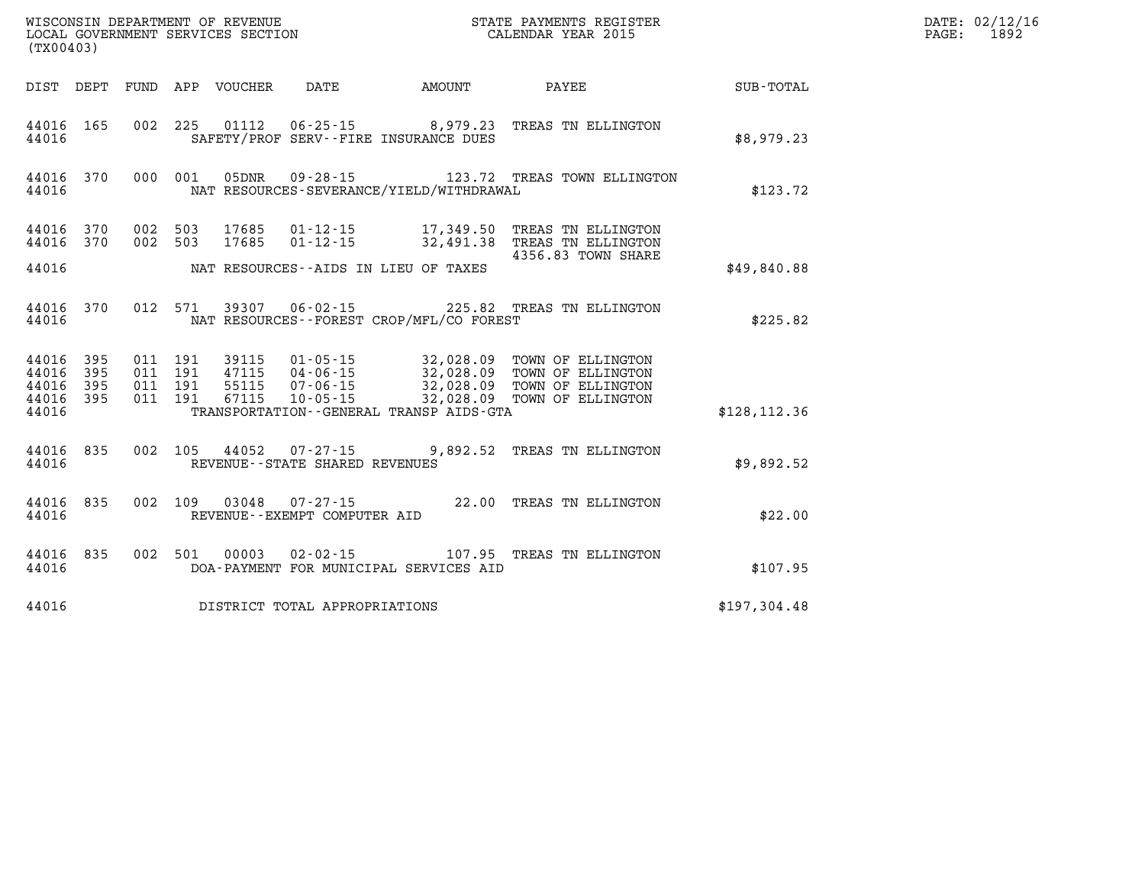| (TX00403) |  |  |  |  |                                         |                                                  |                                                                                                                                                                                                                                                                                     |               | DATE: 02/12/16<br>PAGE: 1892 |
|-----------|--|--|--|--|-----------------------------------------|--------------------------------------------------|-------------------------------------------------------------------------------------------------------------------------------------------------------------------------------------------------------------------------------------------------------------------------------------|---------------|------------------------------|
|           |  |  |  |  |                                         |                                                  | DIST DEPT FUND APP VOUCHER DATE AMOUNT PAYEE PAYER SUB-TOTAL                                                                                                                                                                                                                        |               |                              |
| 44016     |  |  |  |  |                                         | SAFETY/PROF SERV--FIRE INSURANCE DUES            | 44016 165 002 225 01112 06-25-15 8,979.23 TREAS TN ELLINGTON                                                                                                                                                                                                                        | \$8,979.23    |                              |
|           |  |  |  |  |                                         | 44016 MAT RESOURCES-SEVERANCE/YIELD/WITHDRAWAL   | 44016 370 000 001 05DNR 09-28-15 123.72 TREAS TOWN ELLINGTON                                                                                                                                                                                                                        | \$123.72      |                              |
|           |  |  |  |  |                                         |                                                  | $\begin{array}{cccc} 44016 & 370 & 002 & 503 & 17685 & 01\text{-}12\text{-}15 & 17,349.50 & \text{TREAS TN ELLINGTON} \\ 44016 & 370 & 002 & 503 & 17685 & 01\text{-}12\text{-}15 & 32,491.38 & \text{TREAS TN ELLINGTON} \end{array}$                                              |               |                              |
|           |  |  |  |  |                                         | 44016 MAT RESOURCES--AIDS IN LIEU OF TAXES       | 4356.83 TOWN SHARE                                                                                                                                                                                                                                                                  | \$49,840.88   |                              |
|           |  |  |  |  |                                         | 44016 MAT RESOURCES--FOREST CROP/MFL/CO FOREST   | 44016 370 012 571 39307 06-02-15 225.82 TREAS TN ELLINGTON                                                                                                                                                                                                                          | \$225.82      |                              |
|           |  |  |  |  |                                         |                                                  | $\begin{tabular}{cccccc}44016& 395& 011& 191& 39115& 01-05-15& 32,028.09 & TOWN OF ELLINGTON\\44016& 395& 011& 191& 47115& 04-06-15& 32,028.09 & TOWN OF ELLINGTON\\44016& 395& 011& 191& 55115& 07-06-15& 32,028.09 & TOWN OF ELLINGTON\\44016& 395& 011& 191& 67115& 10-05-15& 3$ |               |                              |
|           |  |  |  |  |                                         | 44016 TRANSPORTATION - GENERAL TRANSP AIDS - GTA |                                                                                                                                                                                                                                                                                     | \$128, 112.36 |                              |
|           |  |  |  |  | 44016 REVENUE - - STATE SHARED REVENUES |                                                  | 44016 835 002 105 44052 07-27-15 9,892.52 TREAS TN ELLINGTON                                                                                                                                                                                                                        | \$9,892.52    |                              |
|           |  |  |  |  | 44016 REVENUE - EXEMPT COMPUTER AID     |                                                  | 44016 835 002 109 03048 07-27-15 22.00 TREAS TN ELLINGTON                                                                                                                                                                                                                           | \$22.00       |                              |
| 44016     |  |  |  |  |                                         | DOA-PAYMENT FOR MUNICIPAL SERVICES AID           | 44016 835 002 501 00003 02-02-15 107.95 TREAS TN ELLINGTON                                                                                                                                                                                                                          | \$107.95      |                              |
| 44016     |  |  |  |  | DISTRICT TOTAL APPROPRIATIONS           |                                                  |                                                                                                                                                                                                                                                                                     | \$197,304.48  |                              |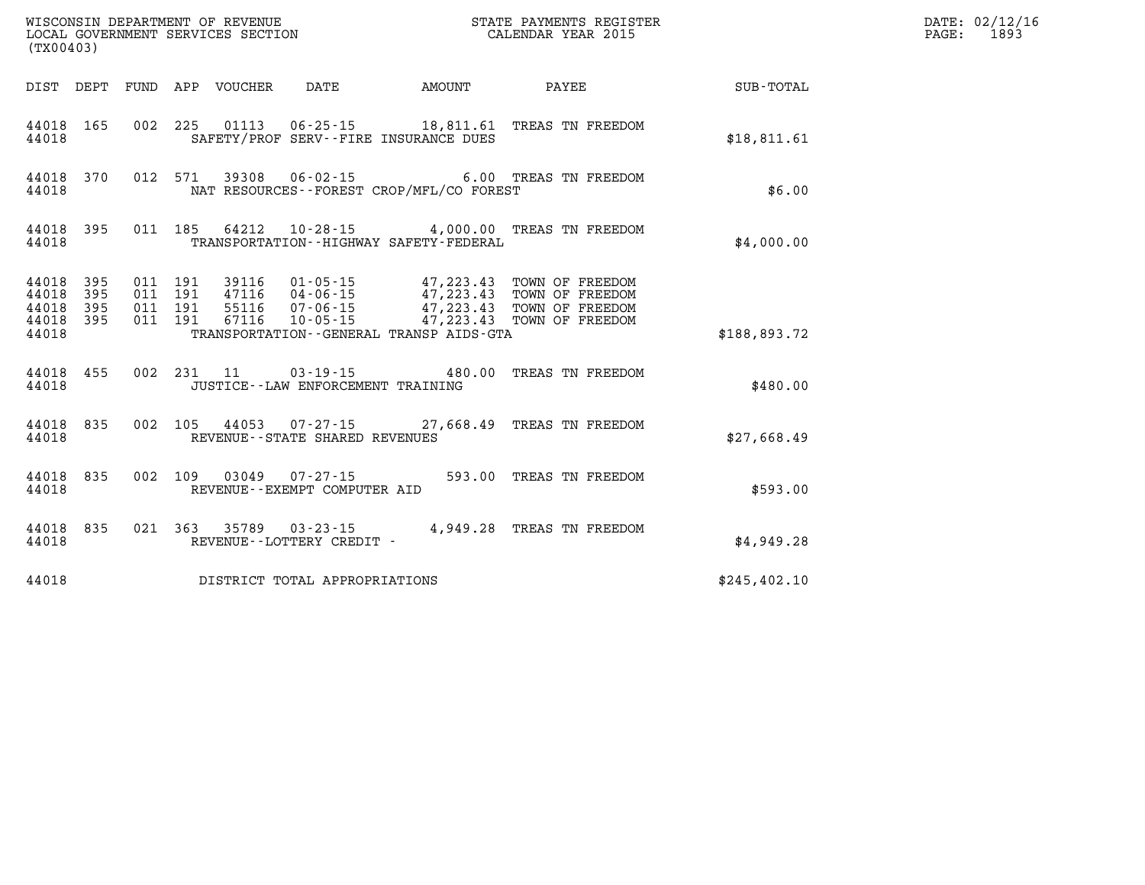| WISCONSIN DEPARTMENT OF REVENUE<br>LOCAL GOVERNMENT SERVICES SECTION<br>(TX00403) |                                            |  |  |  |                                      |                                             | STATE PAYMENTS REGISTER<br>CALENDAR YEAR 2015                                                                                                                                                                     |                                                        | DATE: 02/12/16<br>PAGE: 1893 |
|-----------------------------------------------------------------------------------|--------------------------------------------|--|--|--|--------------------------------------|---------------------------------------------|-------------------------------------------------------------------------------------------------------------------------------------------------------------------------------------------------------------------|--------------------------------------------------------|------------------------------|
|                                                                                   |                                            |  |  |  |                                      |                                             |                                                                                                                                                                                                                   | DIST DEPT FUND APP VOUCHER DATE AMOUNT PAYEE SUB-TOTAL |                              |
| 44018                                                                             | 44018 165                                  |  |  |  |                                      | SAFETY/PROF SERV--FIRE INSURANCE DUES       | 002 225 01113 06-25-15 18,811.61 TREAS TN FREEDOM                                                                                                                                                                 | \$18,811.61                                            |                              |
| 44018                                                                             |                                            |  |  |  |                                      | NAT RESOURCES--FOREST CROP/MFL/CO FOREST    | 44018 370 012 571 39308 06-02-15 6.00 TREAS TN FREEDOM                                                                                                                                                            | \$6.00                                                 |                              |
| 44018                                                                             |                                            |  |  |  |                                      | TRANSPORTATION - - HIGHWAY SAFETY - FEDERAL | 44018 395 011 185 64212 10-28-15 4,000.00 TREAS TN FREEDOM                                                                                                                                                        | \$4,000.00                                             |                              |
| 44018<br>44018                                                                    | 44018 395<br>395<br>44018 395<br>44018 395 |  |  |  |                                      | TRANSPORTATION--GENERAL TRANSP AIDS-GTA     | 011  191  39116  01-05-15  47,223.43  TOWN OF FREEDOM<br>011 191 47116 04-06-15 47,223.43 TOWN OF FREEDOM<br>011 191 55116 07-06-15 47,223.43 TOWN OF FREEDOM<br>011 191 67116 10-05-15 47,223.43 TOWN OF FREEDOM | \$188,893.72                                           |                              |
| 44018                                                                             | 44018 455                                  |  |  |  | JUSTICE - - LAW ENFORCEMENT TRAINING |                                             | 002 231 11 03-19-15 480.00 TREAS TN FREEDOM                                                                                                                                                                       | \$480.00                                               |                              |
| 44018                                                                             |                                            |  |  |  | REVENUE - - STATE SHARED REVENUES    |                                             | 44018 835 002 105 44053 07-27-15 27,668.49 TREAS TN FREEDOM                                                                                                                                                       | \$27,668.49                                            |                              |
| 44018                                                                             | 44018 835                                  |  |  |  | REVENUE--EXEMPT COMPUTER AID         |                                             | 002 109 03049 07-27-15 593.00 TREAS TN FREEDOM                                                                                                                                                                    | \$593.00                                               |                              |
| 44018                                                                             | 44018 835                                  |  |  |  | REVENUE--LOTTERY CREDIT -            |                                             | 021 363 35789 03-23-15 4,949.28 TREAS TN FREEDOM                                                                                                                                                                  | \$4,949.28                                             |                              |
| 44018                                                                             |                                            |  |  |  | DISTRICT TOTAL APPROPRIATIONS        |                                             |                                                                                                                                                                                                                   | \$245,402.10                                           |                              |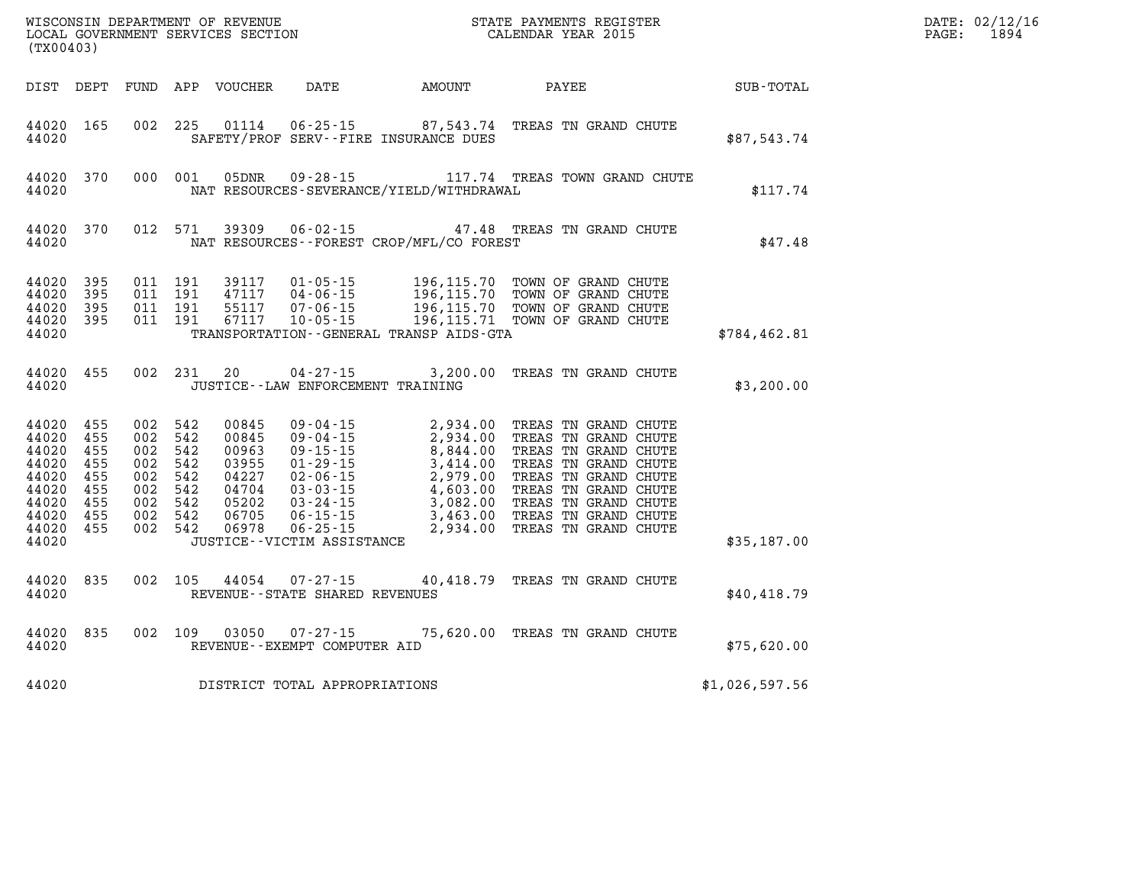| (TX00403)                                                                                      |                                               |                                                                                                 |         |                                                                               |                                                        |                                             | WISCONSIN DEPARTMENT OF REVENUE<br>LOCAL GOVERNMENT SERVICES SECTION TERM CONFERNATION CALENDAR YEAR 2015                                                                                                                                                  |                | DATE: 02/12/16<br>1894<br>PAGE: |
|------------------------------------------------------------------------------------------------|-----------------------------------------------|-------------------------------------------------------------------------------------------------|---------|-------------------------------------------------------------------------------|--------------------------------------------------------|---------------------------------------------|------------------------------------------------------------------------------------------------------------------------------------------------------------------------------------------------------------------------------------------------------------|----------------|---------------------------------|
|                                                                                                |                                               |                                                                                                 |         | DIST DEPT FUND APP VOUCHER DATE                                               |                                                        | AMOUNT                                      | PAYEE                                                                                                                                                                                                                                                      | SUB-TOTAL      |                                 |
| 44020 165<br>44020                                                                             |                                               |                                                                                                 |         |                                                                               |                                                        | SAFETY/PROF SERV--FIRE INSURANCE DUES       | 002 225 01114 06-25-15 87,543.74 TREAS TN GRAND CHUTE                                                                                                                                                                                                      | \$87,543.74    |                                 |
| 44020                                                                                          | 44020 370                                     |                                                                                                 |         | 000 001 05DNR                                                                 |                                                        | NAT RESOURCES-SEVERANCE/YIELD/WITHDRAWAL    | 09-28-15 117.74 TREAS TOWN GRAND CHUTE                                                                                                                                                                                                                     | \$117.74       |                                 |
| 44020                                                                                          | 44020 370                                     | 012 571                                                                                         |         | 39309                                                                         | $06 - 02 - 15$                                         | NAT RESOURCES - - FOREST CROP/MFL/CO FOREST | 47.48 TREAS TN GRAND CHUTE                                                                                                                                                                                                                                 | \$47.48        |                                 |
| 44020<br>44020<br>44020<br>44020 395<br>44020                                                  | 395<br>- 395<br>395                           | 011 191<br>011 191<br>011 191<br>011 191                                                        |         |                                                                               |                                                        | TRANSPORTATION--GENERAL TRANSP AIDS-GTA     | 39117  01-05-15  196,115.70  TOWN OF GRAND CHUTE<br>47117  04-06-15  196,115.70  TOWN OF GRAND CHUTE<br>55117  07-06-15  196,115.70  TOWN OF GRAND CHUTE<br>67117  10-05-15  196,115.71  TOWN OF GRAND CHUTE                                               | \$784,462.81   |                                 |
| 44020 455<br>44020                                                                             |                                               |                                                                                                 | 002 231 | 20                                                                            | $04 - 27 - 15$<br>JUSTICE - - LAW ENFORCEMENT TRAINING |                                             | 3,200.00 TREAS TN GRAND CHUTE                                                                                                                                                                                                                              | \$3,200.00     |                                 |
| 44020 455<br>44020<br>44020<br>44020<br>44020<br>44020<br>44020<br>44020<br>44020 455<br>44020 | 455<br>455<br>455<br>455<br>455<br>455<br>455 | 002 542<br>002 542<br>002 542<br>002 542<br>002 542<br>002 542<br>002 542<br>002 542<br>002 542 |         | 00845<br>00845<br>00963<br>03955<br>04227<br>04704<br>05202<br>06705<br>06978 | JUSTICE - - VICTIM ASSISTANCE                          |                                             | 09 - 04 - 15<br>09 - 04 - 15<br>09 - 04 - 15<br>2, 934.00<br>2, 934.00<br>7REAS TN GRAND CHUTE<br>09 - 15 - 15<br>8, 844.00<br>7REAS TN GRAND CHUTE<br>01 - 29 - 15<br>3, 414.00<br>7REAS TN GRAND CHUTE<br>03 - 03 - 15<br>4, 603.00<br>7REAS TN GRAND CH | \$35,187.00    |                                 |
| 44020 835<br>44020                                                                             |                                               |                                                                                                 | 002 105 |                                                                               | REVENUE--STATE SHARED REVENUES                         |                                             | 44054 07-27-15 40,418.79 TREAS TN GRAND CHUTE                                                                                                                                                                                                              | \$40,418.79    |                                 |
| 44020                                                                                          | 44020 835                                     |                                                                                                 |         |                                                                               | 002 109 03050 07-27-15<br>REVENUE--EXEMPT COMPUTER AID |                                             | 75,620.00 TREAS TN GRAND CHUTE                                                                                                                                                                                                                             | \$75,620.00    |                                 |
| 44020                                                                                          |                                               |                                                                                                 |         |                                                                               | DISTRICT TOTAL APPROPRIATIONS                          |                                             |                                                                                                                                                                                                                                                            | \$1,026,597.56 |                                 |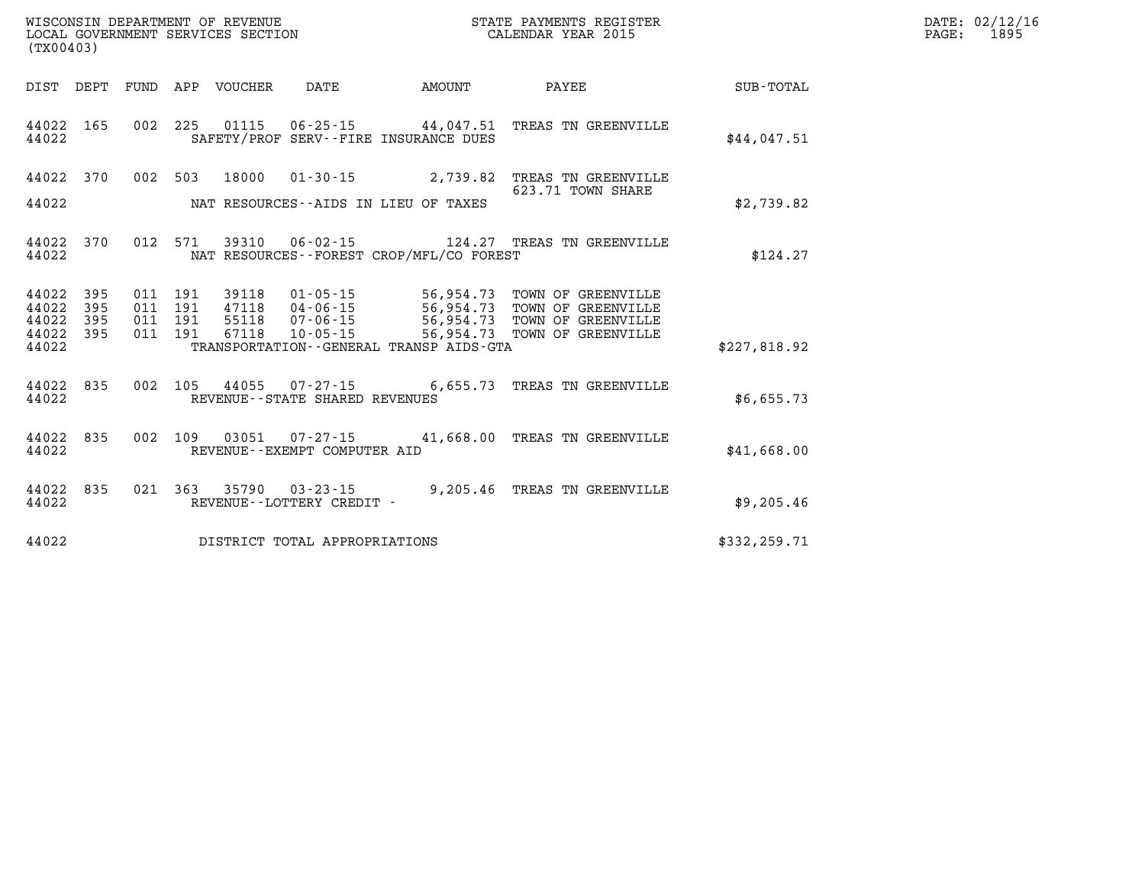| DATE: | 02/12/16 |
|-------|----------|
| PAGE: | 1895     |

| (TX00403)               |            |            |            |                |                                                                                           |                        |                                          |                  |
|-------------------------|------------|------------|------------|----------------|-------------------------------------------------------------------------------------------|------------------------|------------------------------------------|------------------|
| DIST                    | DEPT       | FUND       | APP        | <b>VOUCHER</b> | DATE                                                                                      | AMOUNT                 | PAYEE                                    | <b>SUB-TOTAL</b> |
| 44022<br>44022          | 165        | 002        | 225        |                | 01115 06-25-15 44,047.51<br>SAFETY/PROF SERV--FIRE INSURANCE DUES                         |                        | TREAS TN GREENVILLE                      | \$44,047.51      |
| 44022                   | 370        | 002        | 503        | 18000          | $01 - 30 - 15$                                                                            | 2,739.82               | TREAS TN GREENVILLE<br>623.71 TOWN SHARE |                  |
| 44022                   |            |            |            |                | NAT RESOURCES--AIDS IN LIEU OF TAXES                                                      |                        |                                          | \$2,739.82       |
| 44022<br>44022          | 370        | 012        | 571        | 39310          | $06 - 02 - 15$<br>NAT RESOURCES - - FOREST CROP/MFL/CO FOREST                             |                        | 124.27 TREAS TN GREENVILLE               | \$124.27         |
| 44022<br>44022          | 395<br>395 | 011<br>011 | 191<br>191 | 39118<br>47118 | $01 - 05 - 15$                                                                            | 56,954.73<br>56,954.73 | TOWN OF GREENVILLE<br>TOWN OF GREENVILLE |                  |
| 44022<br>44022<br>44022 | 395<br>395 | 011<br>011 | 191<br>191 | 55118<br>67118 | 04 - 06 - 15<br>07 - 06 - 15<br>$10 - 05 - 15$<br>TRANSPORTATION--GENERAL TRANSP AIDS-GTA | 56,954.73<br>56,954.73 | TOWN OF GREENVILLE<br>TOWN OF GREENVILLE | \$227,818.92     |
| 44022<br>44022          | 835        | 002        | 105        | 44055          | $07 - 27 - 15$ 6,655.73<br>REVENUE - - STATE SHARED REVENUES                              |                        | TREAS TN GREENVILLE                      | \$6,655.73       |
| 44022<br>44022          | 835        | 002        | 109        | 03051          | $07 - 27 - 15$ 41,668.00<br>REVENUE--EXEMPT COMPUTER AID                                  |                        | TREAS TN GREENVILLE                      | \$41,668.00      |
| 44022<br>44022          | 835        | 021        | 363        | 35790          | $03 - 23 - 15$<br>REVENUE - - LOTTERY CREDIT -                                            | 9,205.46               | TREAS TN GREENVILLE                      | \$9,205.46       |
| 44022                   |            |            |            |                | DISTRICT TOTAL APPROPRIATIONS                                                             |                        |                                          | \$332,259.71     |

WISCONSIN DEPARTMENT OF REVENUE **STATE PAYMENTS REGISTER**<br>LOCAL GOVERNMENT SERVICES SECTION

LOCAL GOVERNMENT SERVICES SECTION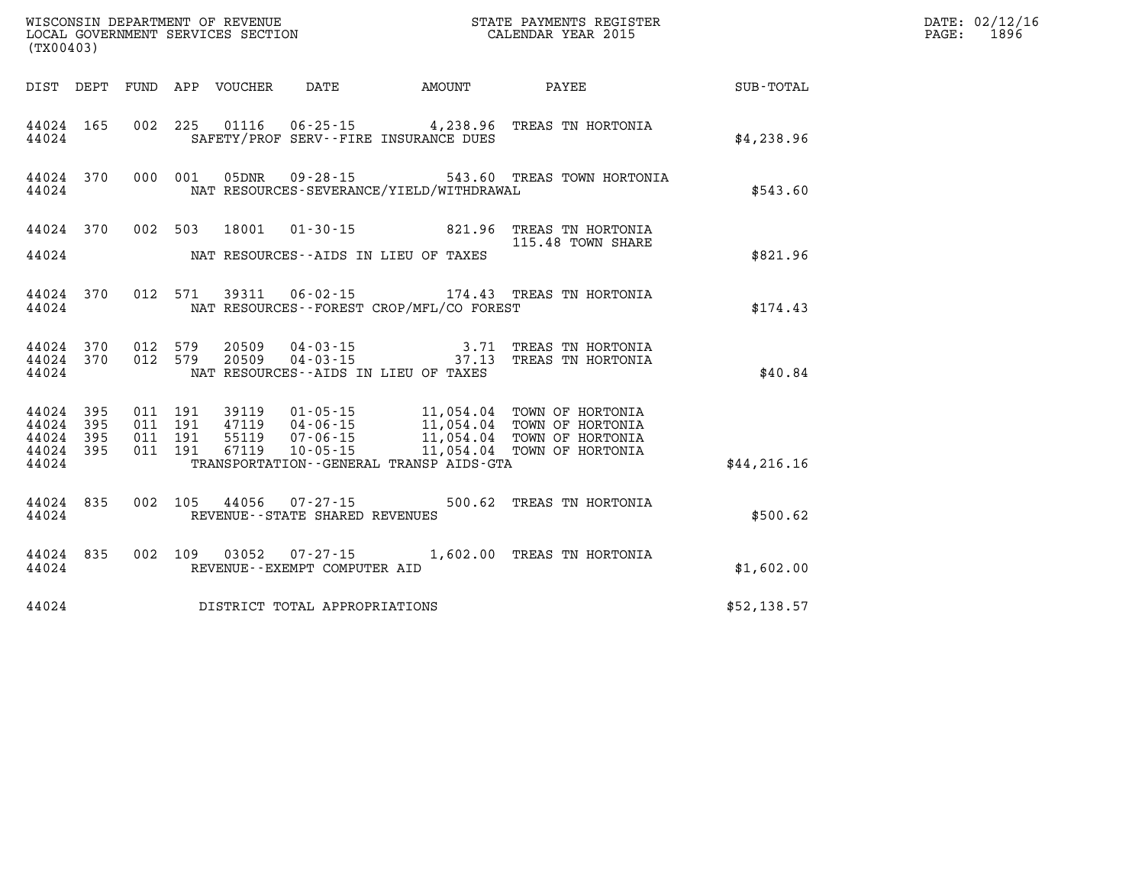| WISCONSIN DEPARTMENT OF REVENUE<br>LOCAL GOVERNMENT SERVICES SECTION<br>LOCAL GOVERNMENT SERVICES SECTION<br>CALENDAR YEAR 2015<br>(TX00403) |                                                  |  |  |  |                                |                                              |                                                                                                                                                                                                                                                                                                                                   |              | DATE: 02/12/16<br>PAGE: 1896 |
|----------------------------------------------------------------------------------------------------------------------------------------------|--------------------------------------------------|--|--|--|--------------------------------|----------------------------------------------|-----------------------------------------------------------------------------------------------------------------------------------------------------------------------------------------------------------------------------------------------------------------------------------------------------------------------------------|--------------|------------------------------|
|                                                                                                                                              |                                                  |  |  |  |                                |                                              | DIST DEPT FUND APP VOUCHER DATE AMOUNT PAYEE PAYEE SUB-TOTAL                                                                                                                                                                                                                                                                      |              |                              |
| 44024                                                                                                                                        |                                                  |  |  |  |                                | SAFETY/PROF SERV--FIRE INSURANCE DUES        | 44024 165 002 225 01116 06-25-15 4,238.96 TREAS TN HORTONIA                                                                                                                                                                                                                                                                       | \$4,238.96   |                              |
|                                                                                                                                              | 44024                                            |  |  |  |                                | NAT RESOURCES-SEVERANCE/YIELD/WITHDRAWAL     | 44024 370 000 001 05DNR 09-28-15 543.60 TREAS TOWN HORTONIA                                                                                                                                                                                                                                                                       | \$543.60     |                              |
|                                                                                                                                              |                                                  |  |  |  |                                | 44024 MAT RESOURCES--AIDS IN LIEU OF TAXES   | 44024 370 002 503 18001 01-30-15 821.96 TREAS TN HORTONIA<br>115.48 TOWN SHARE<br>115.48 TOWN SHARE                                                                                                                                                                                                                               | \$821.96     |                              |
| 44024                                                                                                                                        |                                                  |  |  |  |                                | NAT RESOURCES--FOREST CROP/MFL/CO FOREST     | 44024 370 012 571 39311 06-02-15 174.43 TREAS TN HORTONIA                                                                                                                                                                                                                                                                         | \$174.43     |                              |
| 44024                                                                                                                                        |                                                  |  |  |  |                                | NAT RESOURCES--AIDS IN LIEU OF TAXES         | $\begin{array}{cccccc} 44024 & 370 & 012 & 579 & 20509 & 04-03-15 & & & & 3.71 & \text{TREAS TN HORTONIA} \\ 44024 & 370 & 012 & 579 & 20509 & 04-03-15 & & & & 37.13 & \text{TREAS TN HORTONIA} \end{array}$                                                                                                                     | \$40.84      |                              |
| 44024                                                                                                                                        | 44024 395<br>44024 395<br>44024 395<br>44024 395 |  |  |  |                                | TRANSPORTATION - - GENERAL TRANSP AIDS - GTA | $\begin{tabular}{cccccc} 011 & 191 & 39119 & 01\cdot 05\cdot 15 & 11\,, 054\, .04 & TOWN OF HORTONIA \\ 011 & 191 & 47119 & 04\cdot 06\cdot 15 & 11\,, 054\, .04 & TOWN OF HORTONIA \\ 011 & 191 & 55119 & 07\cdot 06\cdot 15 & 11\,, 054\, .04 & TOWN OF HORTONIA \\ 011 & 191 & 67119 & 10\cdot 05\cdot 15 & 11\,, 054\, .04 &$ | \$44, 216.16 |                              |
| 44024                                                                                                                                        |                                                  |  |  |  | REVENUE--STATE SHARED REVENUES |                                              | 44024 835 002 105 44056 07-27-15 500.62 TREAS TN HORTONIA                                                                                                                                                                                                                                                                         | \$500.62     |                              |
| 44024                                                                                                                                        |                                                  |  |  |  | REVENUE--EXEMPT COMPUTER AID   |                                              | 44024 835 002 109 03052 07-27-15 1,602.00 TREAS TN HORTONIA                                                                                                                                                                                                                                                                       | \$1,602.00   |                              |
| 44024                                                                                                                                        |                                                  |  |  |  | DISTRICT TOTAL APPROPRIATIONS  |                                              |                                                                                                                                                                                                                                                                                                                                   | \$52,138.57  |                              |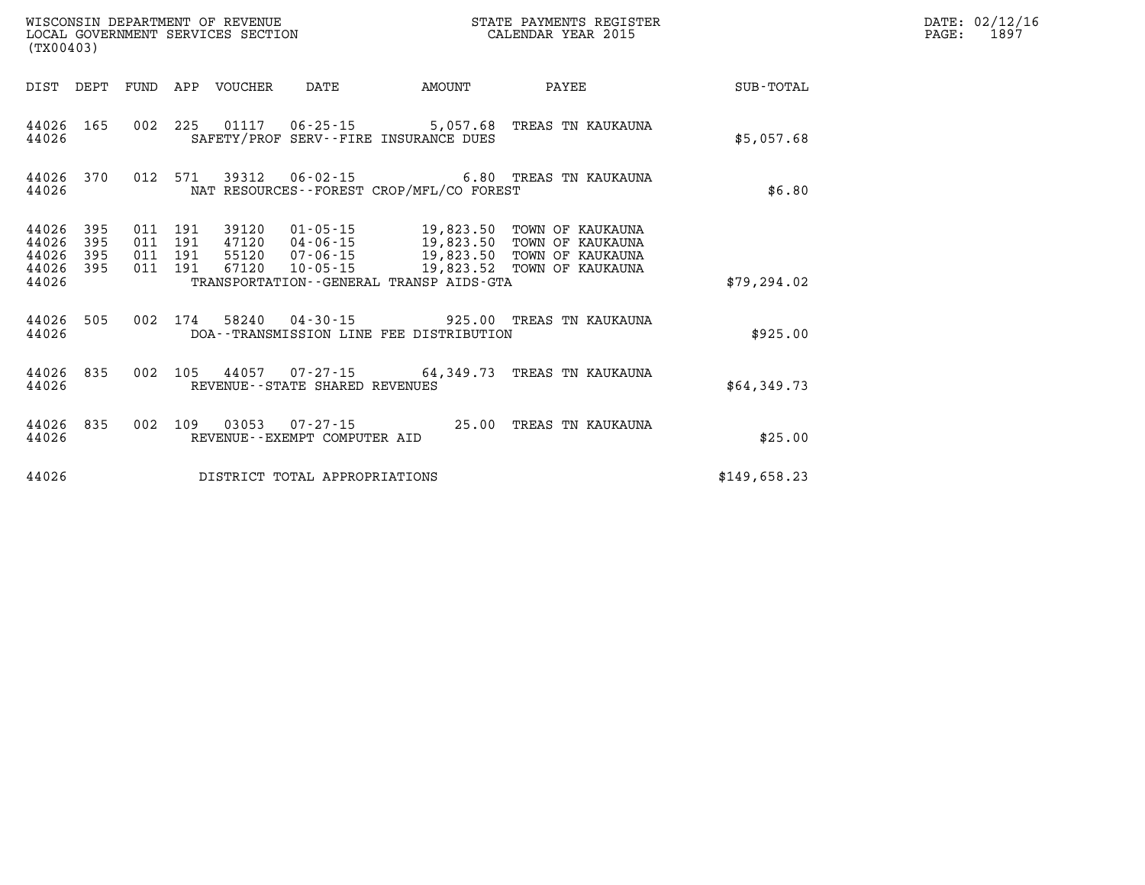| (TX00403)                                 |                          |                          |                          | WISCONSIN DEPARTMENT OF REVENUE<br>LOCAL GOVERNMENT SERVICES SECTION |                                                          | STATE PAYMENTS REGISTER<br>CALENDAR YEAR 2015                                               |                                                                              |                  |  |  |
|-------------------------------------------|--------------------------|--------------------------|--------------------------|----------------------------------------------------------------------|----------------------------------------------------------|---------------------------------------------------------------------------------------------|------------------------------------------------------------------------------|------------------|--|--|
| DIST                                      | DEPT                     | FUND                     | APP                      | VOUCHER                                                              | DATE                                                     | AMOUNT                                                                                      | PAYEE                                                                        | <b>SUB-TOTAL</b> |  |  |
| 44026<br>44026                            | 165                      | 002                      | 225                      |                                                                      |                                                          | 01117 06-25-15 5,057.68<br>SAFETY/PROF SERV--FIRE INSURANCE DUES                            | TREAS TN KAUKAUNA                                                            | \$5,057.68       |  |  |
| 44026<br>44026                            | 370                      | 012                      | 571                      | 39312                                                                | $06 - 02 - 15$                                           | NAT RESOURCES - - FOREST CROP/MFL/CO FOREST                                                 | 6.80 TREAS TN KAUKAUNA                                                       | \$6.80           |  |  |
| 44026<br>44026<br>44026<br>44026<br>44026 | 395<br>395<br>395<br>395 | 011<br>011<br>011<br>011 | 191<br>191<br>191<br>191 | 39120<br>47120<br>55120<br>67120                                     | 01-05-15<br>04-06-15<br>$07 - 06 - 15$<br>$10 - 05 - 15$ | 19,823.50<br>19,823.50<br>19,823.50<br>19,823.52<br>TRANSPORTATION--GENERAL TRANSP AIDS-GTA | TOWN OF KAUKAUNA<br>TOWN OF KAUKAUNA<br>TOWN OF KAUKAUNA<br>TOWN OF KAUKAUNA | \$79, 294.02     |  |  |
| 44026<br>44026                            | 505                      | 002                      | 174                      | 58240                                                                | 04-30-15                                                 | DOA--TRANSMISSION LINE FEE DISTRIBUTION                                                     | 925.00 TREAS TN KAUKAUNA                                                     | \$925.00         |  |  |
| 44026<br>44026                            | 835                      | 002                      | 105                      |                                                                      | REVENUE - - STATE SHARED REVENUES                        |                                                                                             | 44057 07-27-15 64,349.73 TREAS TN KAUKAUNA                                   | \$64,349.73      |  |  |
| 44026<br>44026                            | 835                      | 002                      | 109                      | 03053                                                                | 07-27-15<br>REVENUE - - EXEMPT COMPUTER AID              | 25.00                                                                                       | TREAS TN KAUKAUNA                                                            | \$25.00          |  |  |
| 44026                                     |                          |                          |                          |                                                                      | DISTRICT TOTAL APPROPRIATIONS                            |                                                                                             |                                                                              | \$149,658.23     |  |  |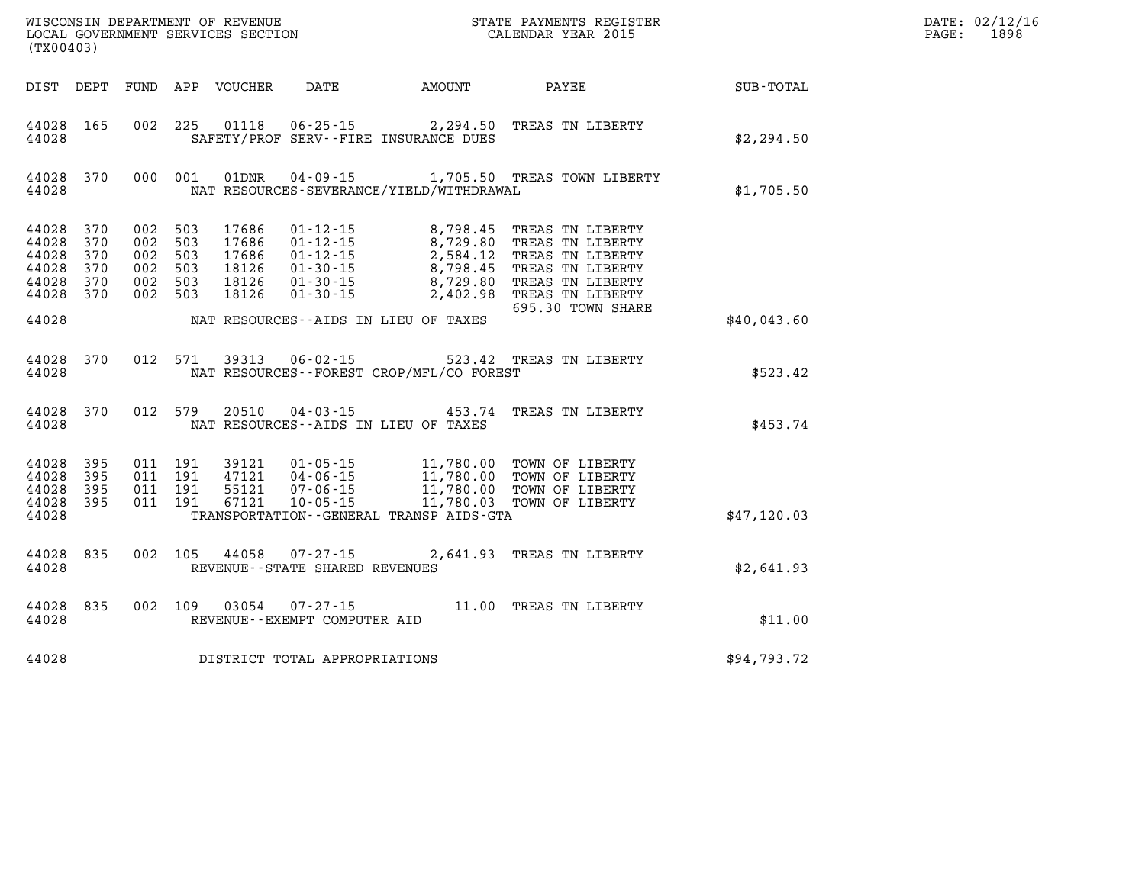| (TX00403)                                          |                                        |                                                                |                               | WISCONSIN DEPARTMENT OF REVENUE<br>LOCAL GOVERNMENT SERVICES SECTION |                                                     |                                              | STATE PAYMENTS REGISTER<br>CALENDAR YEAR 2015                                                                                                                                                                                                                                                |             | DATE: 02/12/16<br>1898<br>$\mathtt{PAGE}$ : |
|----------------------------------------------------|----------------------------------------|----------------------------------------------------------------|-------------------------------|----------------------------------------------------------------------|-----------------------------------------------------|----------------------------------------------|----------------------------------------------------------------------------------------------------------------------------------------------------------------------------------------------------------------------------------------------------------------------------------------------|-------------|---------------------------------------------|
|                                                    |                                        |                                                                |                               | DIST DEPT FUND APP VOUCHER                                           | DATE                                                | <b>AMOUNT</b>                                | PAYEE                                                                                                                                                                                                                                                                                        | SUB-TOTAL   |                                             |
| 44028 165<br>44028                                 |                                        |                                                                |                               |                                                                      |                                                     | SAFETY/PROF SERV--FIRE INSURANCE DUES        | 002 225 01118 06-25-15 2,294.50 TREAS TN LIBERTY                                                                                                                                                                                                                                             | \$2,294.50  |                                             |
| 44028 370<br>44028                                 |                                        |                                                                | 000 001                       | 01DNR                                                                |                                                     | NAT RESOURCES-SEVERANCE/YIELD/WITHDRAWAL     | 04-09-15 1,705.50 TREAS TOWN LIBERTY                                                                                                                                                                                                                                                         | \$1,705.50  |                                             |
| 44028<br>44028<br>44028<br>44028<br>44028<br>44028 | 370<br>370<br>370<br>370<br>370<br>370 | 002 503<br>002 503<br>002 503<br>002 503<br>002 503<br>002 503 |                               | 18126                                                                | $01 - 30 - 15$                                      |                                              | 17686  01-12-15  8,798.45  TREAS  TN LIBERTY<br>17686  01-12-15  8,729.80  TREAS  TN LIBERTY<br>17686  01-12-15  2,584.12  TREAS  TN LIBERTY<br>18126  01-30-15  8,798.45  TREAS  TN LIBERTY<br>18126  01-30-15  8,729.80  TREAS  TN LIBER<br>2,402.98 TREAS TN LIBERTY<br>695.30 TOWN SHARE |             |                                             |
| 44028                                              |                                        |                                                                |                               |                                                                      |                                                     | NAT RESOURCES--AIDS IN LIEU OF TAXES         |                                                                                                                                                                                                                                                                                              | \$40,043.60 |                                             |
| 44028<br>44028                                     | 370                                    |                                                                | 012 571                       | 39313                                                                |                                                     | NAT RESOURCES--FOREST CROP/MFL/CO FOREST     | 06-02-15 523.42 TREAS TN LIBERTY                                                                                                                                                                                                                                                             | \$523.42    |                                             |
| 44028<br>44028                                     | 370                                    |                                                                | 012 579                       | 20510                                                                |                                                     | NAT RESOURCES--AIDS IN LIEU OF TAXES         | 04-03-15 453.74 TREAS TN LIBERTY                                                                                                                                                                                                                                                             | \$453.74    |                                             |
| 44028<br>44028<br>44028<br>44028<br>44028          | 395<br>395<br>395<br>395               | 011 191                                                        | 011 191<br>011 191<br>011 191 |                                                                      |                                                     | TRANSPORTATION - - GENERAL TRANSP AIDS - GTA | 39121  01-05-15  11,780.00 TOWN OF LIBERTY<br>47121  04-06-15  11,780.00 TOWN OF LIBERTY                                                                                                                                                                                                     | \$47,120.03 |                                             |
| 44028<br>44028                                     | 835                                    |                                                                |                               | 002 105 44058                                                        | $07 - 27 - 15$<br>REVENUE - - STATE SHARED REVENUES |                                              | 2,641.93 TREAS TN LIBERTY                                                                                                                                                                                                                                                                    | \$2,641.93  |                                             |
| 44028 835<br>44028                                 |                                        |                                                                |                               | 002 109 03054                                                        | $07 - 27 - 15$<br>REVENUE - - EXEMPT COMPUTER AID   |                                              | 11.00 TREAS TN LIBERTY                                                                                                                                                                                                                                                                       | \$11.00     |                                             |
| 44028                                              |                                        |                                                                |                               |                                                                      | DISTRICT TOTAL APPROPRIATIONS                       |                                              |                                                                                                                                                                                                                                                                                              | \$94,793.72 |                                             |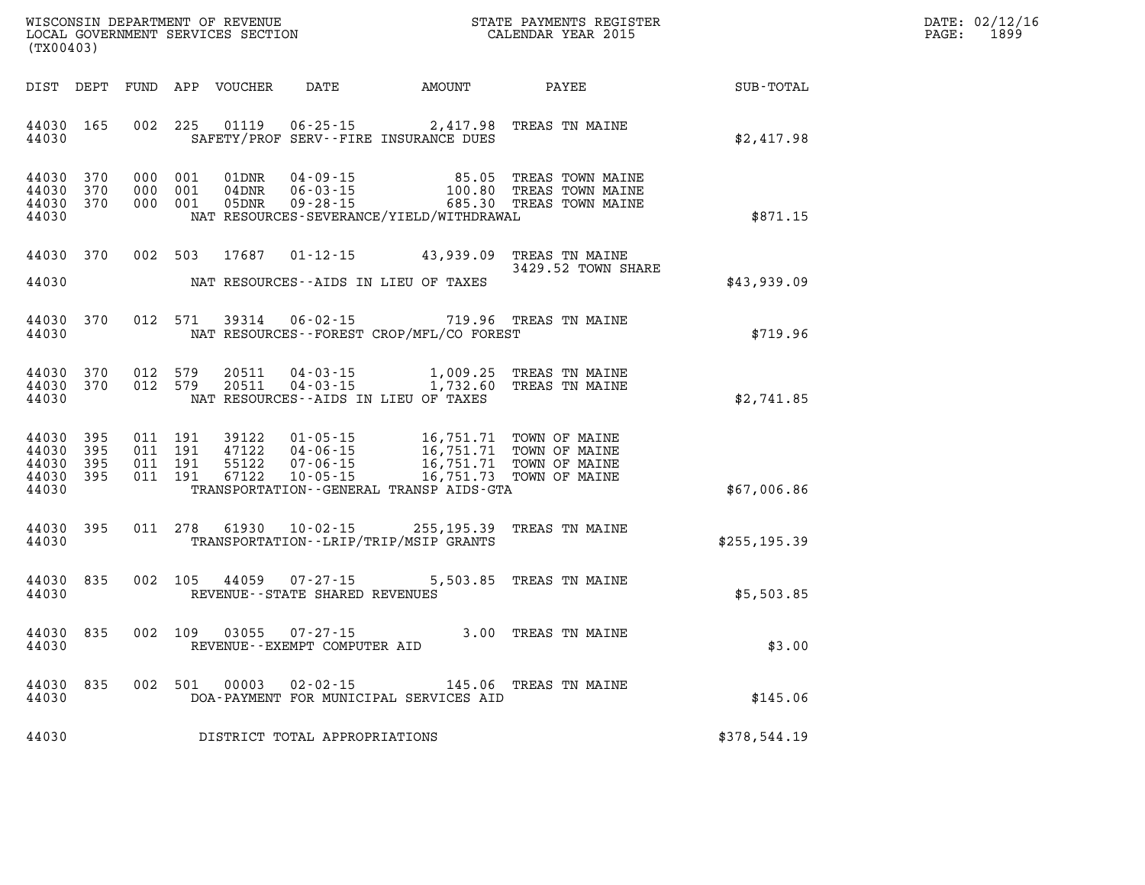| WISCONSIN DEPARTMENT OF REVENUE      | PAYMENTS REGISTER<br>3TATE | DATE: | 02/12/16 |
|--------------------------------------|----------------------------|-------|----------|
| GOVERNMENT SERVICES SECTION<br>LOCAL | CALENDAR YEAR 2015         | PAGE  | 1899     |

| (TX00403)                                     |                   |                                          |                               | LOCAL GOVERNMENT SERVICES SECTION |                                                  |                                                                                                                                                                                                                                                                                                                     | CALENDAR YEAR 2015                                                                    |               | PAGE: | 1899 |
|-----------------------------------------------|-------------------|------------------------------------------|-------------------------------|-----------------------------------|--------------------------------------------------|---------------------------------------------------------------------------------------------------------------------------------------------------------------------------------------------------------------------------------------------------------------------------------------------------------------------|---------------------------------------------------------------------------------------|---------------|-------|------|
|                                               |                   |                                          |                               |                                   |                                                  | DIST DEPT FUND APP VOUCHER DATE AMOUNT PAYEE                                                                                                                                                                                                                                                                        |                                                                                       | SUB-TOTAL     |       |      |
| 44030 165<br>44030                            |                   |                                          |                               |                                   |                                                  | 002 225 01119 06-25-15 2,417.98 TREAS TN MAINE<br>SAFETY/PROF SERV--FIRE INSURANCE DUES                                                                                                                                                                                                                             |                                                                                       | \$2,417.98    |       |      |
| 44030 370<br>44030 370<br>44030 370<br>44030  |                   |                                          | 000 001<br>000 001<br>000 001 | 01DNR<br>04DNR<br>05DNR           | $06 - 03 - 15$<br>09 - 28 - 15                   | NAT RESOURCES-SEVERANCE/YIELD/WITHDRAWAL                                                                                                                                                                                                                                                                            | 04-09-15 85.05 TREAS TOWN MAINE<br>100.80 TREAS TOWN MAINE<br>685.30 TREAS TOWN MAINE | \$871.15      |       |      |
| 44030 370                                     |                   |                                          |                               | 002 503 17687                     |                                                  | 01-12-15 43,939.09 TREAS TN MAINE                                                                                                                                                                                                                                                                                   | 3429.52 TOWN SHARE                                                                    |               |       |      |
| 44030                                         |                   |                                          |                               |                                   |                                                  | NAT RESOURCES--AIDS IN LIEU OF TAXES                                                                                                                                                                                                                                                                                |                                                                                       | \$43,939.09   |       |      |
| 44030<br>44030                                | 370               |                                          |                               |                                   |                                                  | 012 571 39314 06-02-15 719.96 TREAS TN MAINE<br>NAT RESOURCES--FOREST CROP/MFL/CO FOREST                                                                                                                                                                                                                            |                                                                                       | \$719.96      |       |      |
| 44030 370<br>44030 370<br>44030               |                   |                                          | 012 579<br>012 579            | 20511<br>20511                    | $04 - 03 - 15$                                   | 04-03-15 1,009.25 TREAS TN MAINE<br>1,732.60 TREAS TN MAINE<br>NAT RESOURCES--AIDS IN LIEU OF TAXES                                                                                                                                                                                                                 |                                                                                       | \$2,741.85    |       |      |
| 44030<br>44030<br>44030<br>44030 395<br>44030 | 395<br>395<br>395 | 011 191<br>011 191<br>011 191<br>011 191 |                               | 39122<br>47122<br>55122<br>67122  | $04 - 06 - 15$<br>07-06-15                       | 01-05-15<br>04-06-15<br>07-06-15<br>07-06-15<br>07-05-15<br>16,751.71<br>1005-15<br>1005-15<br>1005-15<br>1005-15<br>1005-15<br>1005-15<br>1005-15<br>1005-15<br>1007-05-15<br>1007-05-15<br>1007-05-15<br>1007-05-15<br>1007-05-15<br>1007-05-15<br>1007-05-15<br>1007-<br>TRANSPORTATION--GENERAL TRANSP AIDS-GTA |                                                                                       | \$67,006.86   |       |      |
| 44030 395<br>44030                            |                   |                                          |                               |                                   |                                                  | 011 278 61930 10-02-15 255,195.39 TREAS TN MAINE<br>TRANSPORTATION - - LRIP/TRIP/MSIP GRANTS                                                                                                                                                                                                                        |                                                                                       | \$255, 195.39 |       |      |
| 44030<br>44030                                | 835               |                                          | 002 105                       | 44059                             | $07 - 27 - 15$<br>REVENUE--STATE SHARED REVENUES |                                                                                                                                                                                                                                                                                                                     | 5,503.85 TREAS TN MAINE                                                               | \$5,503.85    |       |      |
| 44030<br>44030                                | 835               |                                          |                               | 002 109 03055                     | 07-27-15<br>REVENUE--EXEMPT COMPUTER AID         | 3.00 TREAS TN MAINE                                                                                                                                                                                                                                                                                                 |                                                                                       | \$3.00        |       |      |
| 44030 835<br>44030                            |                   |                                          |                               | 002 501 00003                     |                                                  | 02-02-15 145.06 TREAS TN MAINE<br>DOA-PAYMENT FOR MUNICIPAL SERVICES AID                                                                                                                                                                                                                                            |                                                                                       | \$145.06      |       |      |
| 44030                                         |                   |                                          |                               |                                   | DISTRICT TOTAL APPROPRIATIONS                    |                                                                                                                                                                                                                                                                                                                     |                                                                                       | \$378,544.19  |       |      |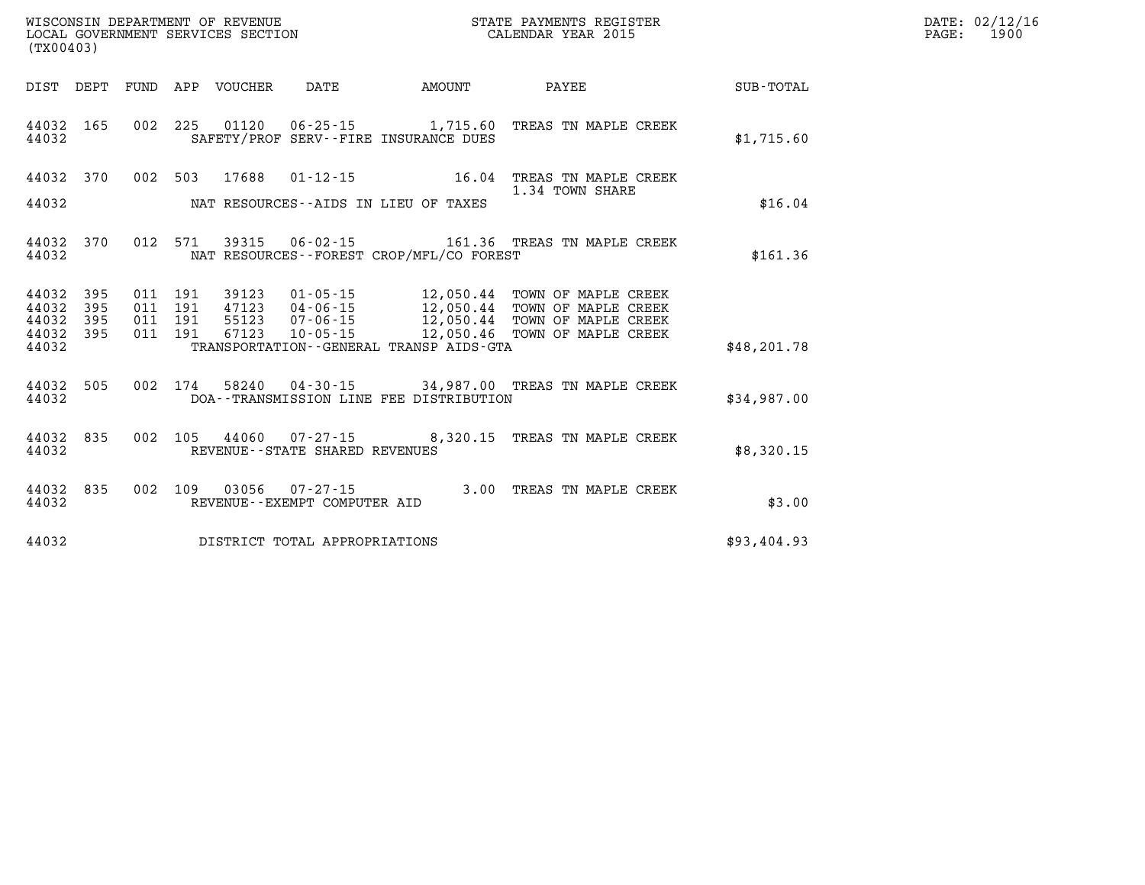| (TX00403)      |                  |                    |                                 | WISCONSIN DEPARTMENT OF REVENUE<br>LOCAL GOVERNMENT SERVICES SECTION |                                          | STATE PAYMENTS REGISTER<br>CALENDAR YEAR 2015                                                                                                                                                            |             | DATE: 02/12/16<br>PAGE: 1900 |
|----------------|------------------|--------------------|---------------------------------|----------------------------------------------------------------------|------------------------------------------|----------------------------------------------------------------------------------------------------------------------------------------------------------------------------------------------------------|-------------|------------------------------|
|                |                  |                    | DIST DEPT FUND APP VOUCHER DATE |                                                                      | AMOUNT                                   | PAYEE SUB-TOTAL                                                                                                                                                                                          |             |                              |
| 44032          |                  |                    |                                 |                                                                      | SAFETY/PROF SERV--FIRE INSURANCE DUES    | 44032 165 002 225 01120 06-25-15 1,715.60 TREAS TN MAPLE CREEK                                                                                                                                           | \$1,715.60  |                              |
|                |                  |                    |                                 |                                                                      |                                          | 44032 370 002 503 17688 01-12-15 16.04 TREAS TN MAPLE CREEK<br>1.34 TOWN SHARE                                                                                                                           |             |                              |
| 44032          |                  |                    |                                 |                                                                      | NAT RESOURCES--AIDS IN LIEU OF TAXES     |                                                                                                                                                                                                          | \$16.04     |                              |
| 44032          |                  |                    |                                 |                                                                      | NAT RESOURCES--FOREST CROP/MFL/CO FOREST | 44032 370 012 571 39315 06-02-15 161.36 TREAS TN MAPLE CREEK                                                                                                                                             | \$161.36    |                              |
| 44032<br>44032 | 395<br>395       | 011 191<br>011 191 |                                 |                                                                      |                                          | 39123  01-05-15  12,050.44  TOWN OF MAPLE CREEK<br>47123  04-06-15  12,050.44  TOWN OF MAPLE CREEK<br>55123  07-06-15  12,050.44  TOWN OF MAPLE CREEK<br>67123  10-05-15  12,050.46  TOWN OF MAPLE CREEK |             |                              |
| 44032<br>44032 | 395<br>44032 395 | 011 191<br>011 191 |                                 |                                                                      | TRANSPORTATION--GENERAL TRANSP AIDS-GTA  |                                                                                                                                                                                                          | \$48,201.78 |                              |
| 44032          |                  |                    |                                 |                                                                      | DOA--TRANSMISSION LINE FEE DISTRIBUTION  | 44032 505 002 174 58240 04-30-15 34,987.00 TREAS TN MAPLE CREEK                                                                                                                                          | \$34,987.00 |                              |
| 44032          |                  |                    |                                 | REVENUE--STATE SHARED REVENUES                                       |                                          | 44032 835 002 105 44060 07-27-15 8,320.15 TREAS TN MAPLE CREEK                                                                                                                                           | \$8,320.15  |                              |
| 44032          | 44032 835        |                    |                                 | REVENUE--EXEMPT COMPUTER AID                                         |                                          | 002 109 03056 07-27-15 3.00 TREAS TN MAPLE CREEK                                                                                                                                                         | \$3.00      |                              |
| 44032          |                  |                    |                                 | DISTRICT TOTAL APPROPRIATIONS                                        |                                          |                                                                                                                                                                                                          | \$93,404.93 |                              |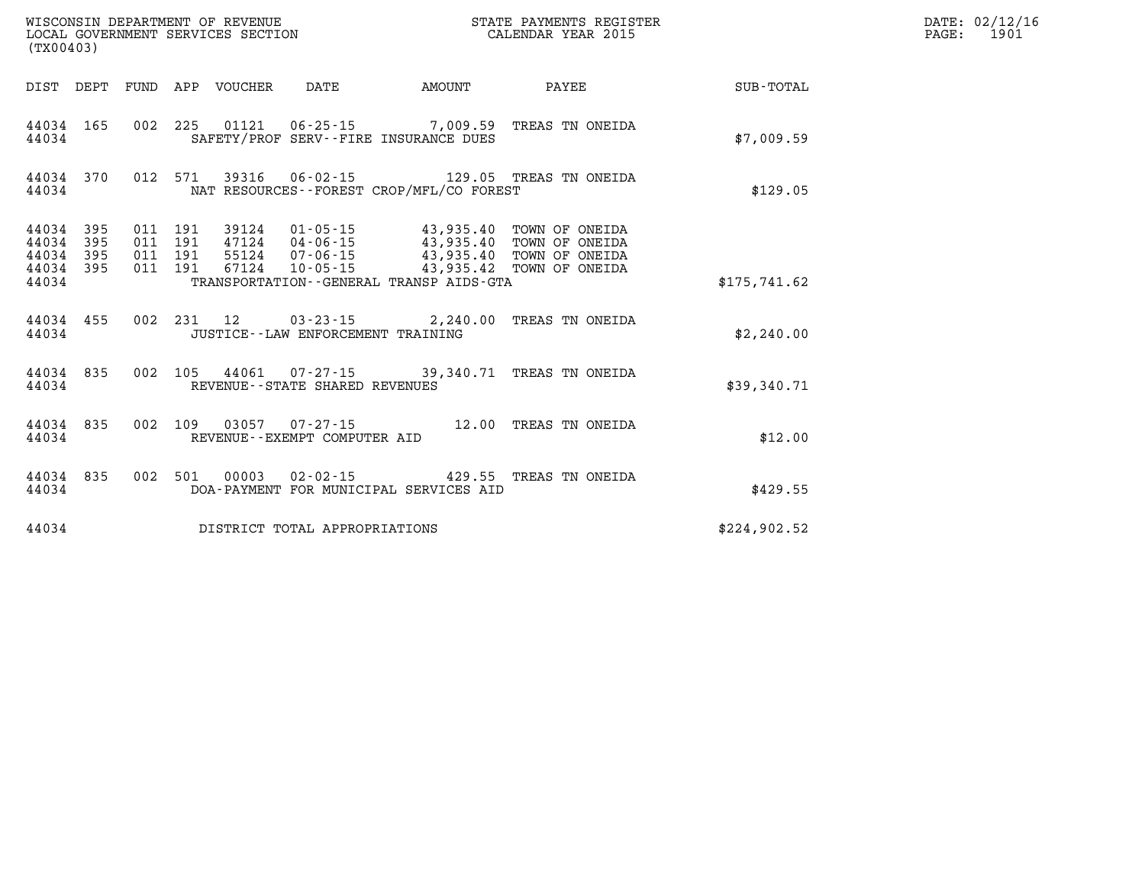| (TX00403)                                |                  |                          |                          | WISCONSIN DEPARTMENT OF REVENUE<br>LOCAL GOVERNMENT SERVICES SECTION |                                      | STATE PAYMENTS REGISTER<br>CALENDAR YEAR 2015                                                         |                                                                                                                             |              |  |  |  |
|------------------------------------------|------------------|--------------------------|--------------------------|----------------------------------------------------------------------|--------------------------------------|-------------------------------------------------------------------------------------------------------|-----------------------------------------------------------------------------------------------------------------------------|--------------|--|--|--|
| DIST                                     | DEPT             | FUND                     |                          | APP VOUCHER                                                          | DATE                                 | <b>EXAMPLE THE AMOUNT</b>                                                                             | PAYEE                                                                                                                       | SUB-TOTAL    |  |  |  |
| 44034 165<br>44034                       |                  | 002                      |                          |                                                                      |                                      | SAFETY/PROF SERV--FIRE INSURANCE DUES                                                                 | 225  01121  06-25-15  7,009.59  TREAS TN ONEIDA                                                                             | \$7,009.59   |  |  |  |
| 44034                                    |                  | 44034 370 012 571        |                          |                                                                      |                                      | NAT RESOURCES--FOREST CROP/MFL/CO FOREST                                                              | 39316  06-02-15  129.05  TREAS TN ONEIDA                                                                                    | \$129.05     |  |  |  |
| 44034<br>44034 395<br>44034 395<br>44034 | 395<br>44034 395 | 011<br>011<br>011<br>011 | 191<br>191<br>191<br>191 |                                                                      |                                      | 55124 07-06-15 43,935.40<br>$67124$ $10-05-15$ $43,935.42$<br>TRANSPORTATION--GENERAL TRANSP AIDS-GTA | 39124  01-05-15  43,935.40  TOWN OF ONEIDA<br>47124  04-06-15  43,935.40 TOWN OF ONEIDA<br>TOWN OF ONEIDA<br>TOWN OF ONEIDA | \$175,741.62 |  |  |  |
| 44034 455<br>44034                       |                  | 002                      |                          |                                                                      | JUSTICE - - LAW ENFORCEMENT TRAINING | 231 12 03-23-15 2,240.00                                                                              | TREAS TN ONEIDA                                                                                                             | \$2,240.00   |  |  |  |
| 44034                                    | 44034 835        | 002                      |                          |                                                                      | REVENUE - - STATE SHARED REVENUES    |                                                                                                       | 105  44061  07-27-15  39,340.71  TREAS TN ONEIDA                                                                            | \$39,340.71  |  |  |  |
| 44034 835<br>44034                       |                  | 002                      |                          |                                                                      | REVENUE--EXEMPT COMPUTER AID         |                                                                                                       | 109  03057  07-27-15  12.00  TREAS TN ONEIDA                                                                                | \$12.00      |  |  |  |
| 44034<br>44034                           | 835              | 002                      |                          |                                                                      |                                      | 501 00003 02-02-15 429.55<br>DOA-PAYMENT FOR MUNICIPAL SERVICES AID                                   | TREAS TN ONEIDA                                                                                                             | \$429.55     |  |  |  |
| 44034                                    |                  |                          |                          |                                                                      | DISTRICT TOTAL APPROPRIATIONS        |                                                                                                       |                                                                                                                             | \$224,902.52 |  |  |  |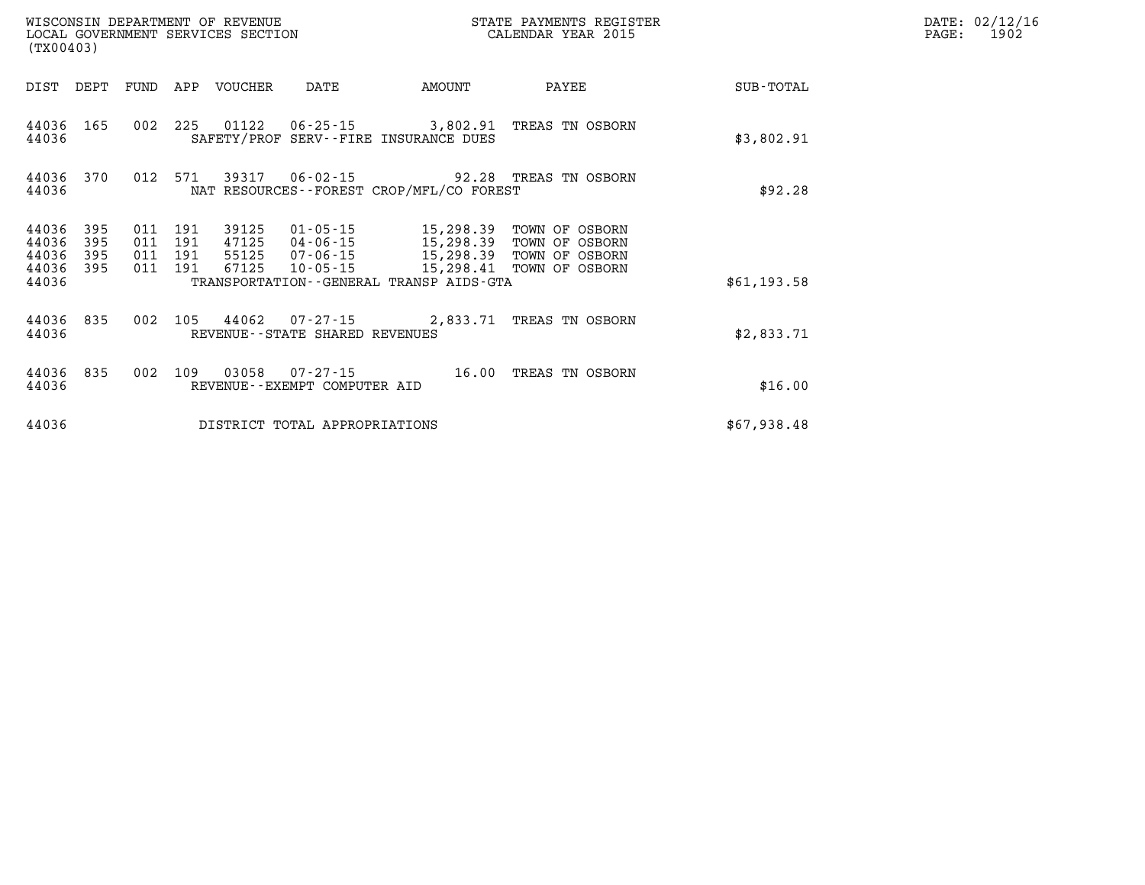| (TX00403)                   |            |                    | WISCONSIN DEPARTMENT OF REVENUE<br>LOCAL GOVERNMENT SERVICES SECTION |                                                                                                    |                                          | STATE PAYMENTS REGISTER<br>CALENDAR YEAR 2015   |             | DATE: 02/12/16<br>1902<br>$\mathtt{PAGE:}$ |
|-----------------------------|------------|--------------------|----------------------------------------------------------------------|----------------------------------------------------------------------------------------------------|------------------------------------------|-------------------------------------------------|-------------|--------------------------------------------|
|                             |            |                    | DIST DEPT FUND APP VOUCHER                                           | DATE                                                                                               | AMOUNT                                   | PAYEE                                           | SUB-TOTAL   |                                            |
| 44036 165<br>44036          |            |                    |                                                                      |                                                                                                    | SAFETY/PROF SERV--FIRE INSURANCE DUES    | 002 225 01122 06-25-15 3,802.91 TREAS TN OSBORN | \$3,802.91  |                                            |
| 44036                       |            |                    |                                                                      | 44036 370 012 571 39317 06-02-15 92.28 TREAS TN OSBORN<br>NAT RESOURCES--FOREST CROP/MFL/CO FOREST | \$92.28                                  |                                                 |             |                                            |
| 44036<br>44036              | 395<br>395 | 011 191<br>011 191 | 39125                                                                | 01-05-15                                                                                           | 15, 298.39<br>47125  04-06-15  15,298.39 | TOWN OF OSBORN<br>TOWN OF OSBORN                |             |                                            |
| 44036<br>44036 395<br>44036 | 395        | 011 191<br>011 191 |                                                                      |                                                                                                    | TRANSPORTATION--GENERAL TRANSP AIDS-GTA  |                                                 | \$61,193.58 |                                            |
| 44036 835<br>44036          |            | 002                |                                                                      | REVENUE - - STATE SHARED REVENUES                                                                  |                                          | 105 44062 07-27-15 2,833.71 TREAS TN OSBORN     | \$2,833.71  |                                            |
| 44036 835<br>44036          |            |                    |                                                                      | REVENUE--EXEMPT COMPUTER AID                                                                       |                                          | 002 109 03058 07-27-15 16.00 TREAS TN OSBORN    | \$16.00     |                                            |
| 44036                       |            |                    |                                                                      | DISTRICT TOTAL APPROPRIATIONS                                                                      |                                          |                                                 | \$67,938.48 |                                            |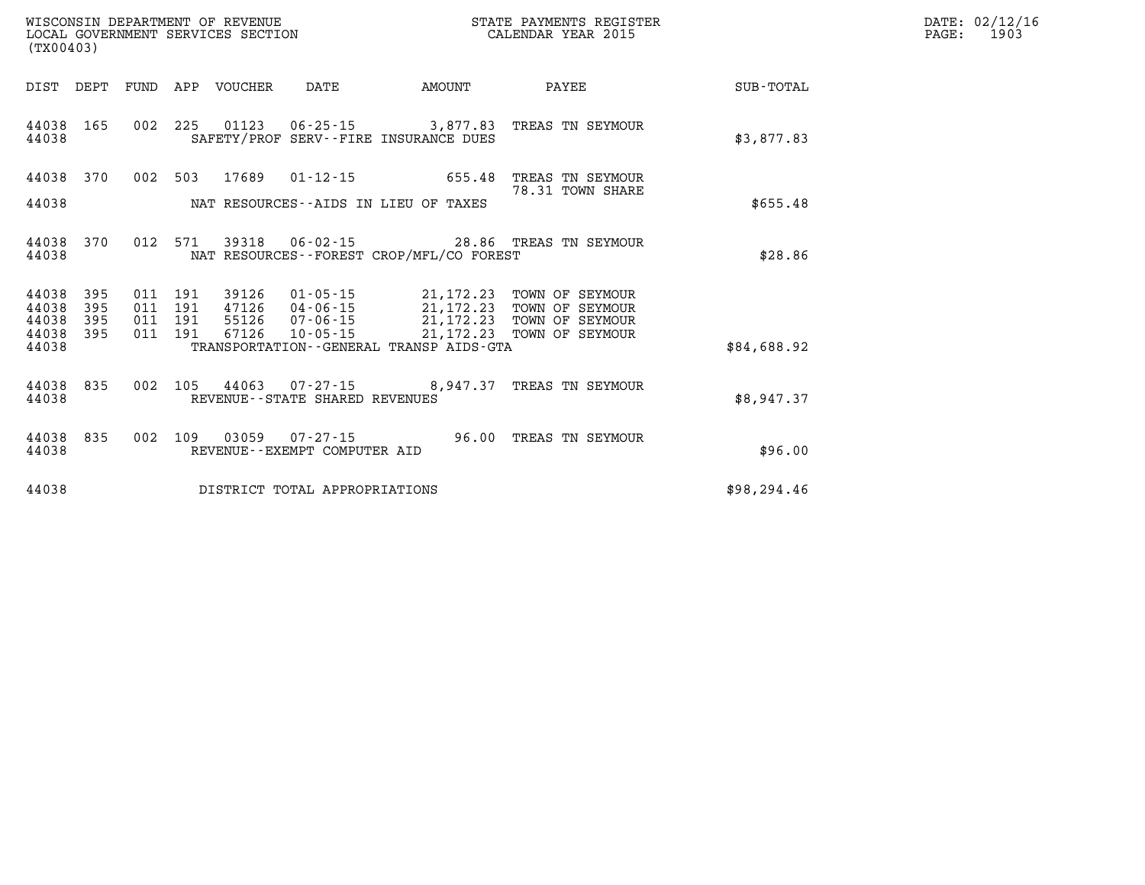| DATE: | 02/12/16 |
|-------|----------|
| PAGE: | 1903     |

| (TX00403)                                                             |                          |                                                                                                                                                                                                                             |                                                                                         |
|-----------------------------------------------------------------------|--------------------------|-----------------------------------------------------------------------------------------------------------------------------------------------------------------------------------------------------------------------------|-----------------------------------------------------------------------------------------|
| DIST<br>DEPT                                                          | FUND                     | APP<br>VOUCHER<br>DATE<br>AMOUNT                                                                                                                                                                                            | PAYEE<br>SUB-TOTAL                                                                      |
| 44038<br>165<br>44038                                                 | 002                      | 225<br>$01123$ $06-25-15$ 3,877.83<br>SAFETY/PROF SERV--FIRE INSURANCE DUES                                                                                                                                                 | TREAS TN SEYMOUR<br>\$3,877.83                                                          |
| 44038<br>370                                                          | 002                      | 503<br>17689<br>$01 - 12 - 15$<br>655.48                                                                                                                                                                                    | TREAS TN SEYMOUR<br>78.31 TOWN SHARE                                                    |
| 44038                                                                 |                          | NAT RESOURCES--AIDS IN LIEU OF TAXES                                                                                                                                                                                        | \$655.48                                                                                |
| 370<br>44038<br>44038                                                 | 012                      | 571<br>39318<br>$06 - 02 - 15$ 28.86<br>NAT RESOURCES - - FOREST CROP/MFL/CO FOREST                                                                                                                                         | TREAS TN SEYMOUR<br>\$28.86                                                             |
| 395<br>44038<br>44038<br>395<br>44038<br>395<br>44038<br>395<br>44038 | 011<br>011<br>011<br>011 | 191<br>39126<br>01-05-15<br>21,172.23<br>191<br>47126<br>$04 - 06 - 15$<br>21,172.23<br>191<br>55126<br>07-06-15<br>21, 172. 23<br>67126<br>$10 - 05 - 15$<br>191<br>21, 172. 23<br>TRANSPORTATION--GENERAL TRANSP AIDS-GTA | TOWN OF SEYMOUR<br>TOWN OF SEYMOUR<br>TOWN OF SEYMOUR<br>TOWN OF SEYMOUR<br>\$84,688.92 |
|                                                                       |                          |                                                                                                                                                                                                                             |                                                                                         |
| 44038<br>835<br>44038                                                 | 002                      | 105<br>44063<br>$07 - 27 - 15$ 8,947.37<br>REVENUE--STATE SHARED REVENUES                                                                                                                                                   | TREAS TN SEYMOUR<br>\$8,947.37                                                          |
| 835<br>44038<br>44038                                                 | 002                      | 03059<br>$07 - 27 - 15$ 96.00<br>109<br>REVENUE - - EXEMPT COMPUTER AID                                                                                                                                                     | TREAS TN SEYMOUR<br>\$96.00                                                             |
| 44038                                                                 |                          | DISTRICT TOTAL APPROPRIATIONS                                                                                                                                                                                               | \$98, 294.46                                                                            |

WISCONSIN DEPARTMENT OF REVENUE **STATE PAYMENTS REGISTER**<br>LOCAL GOVERNMENT SERVICES SECTION

LOCAL GOVERNMENT SERVICES SECTION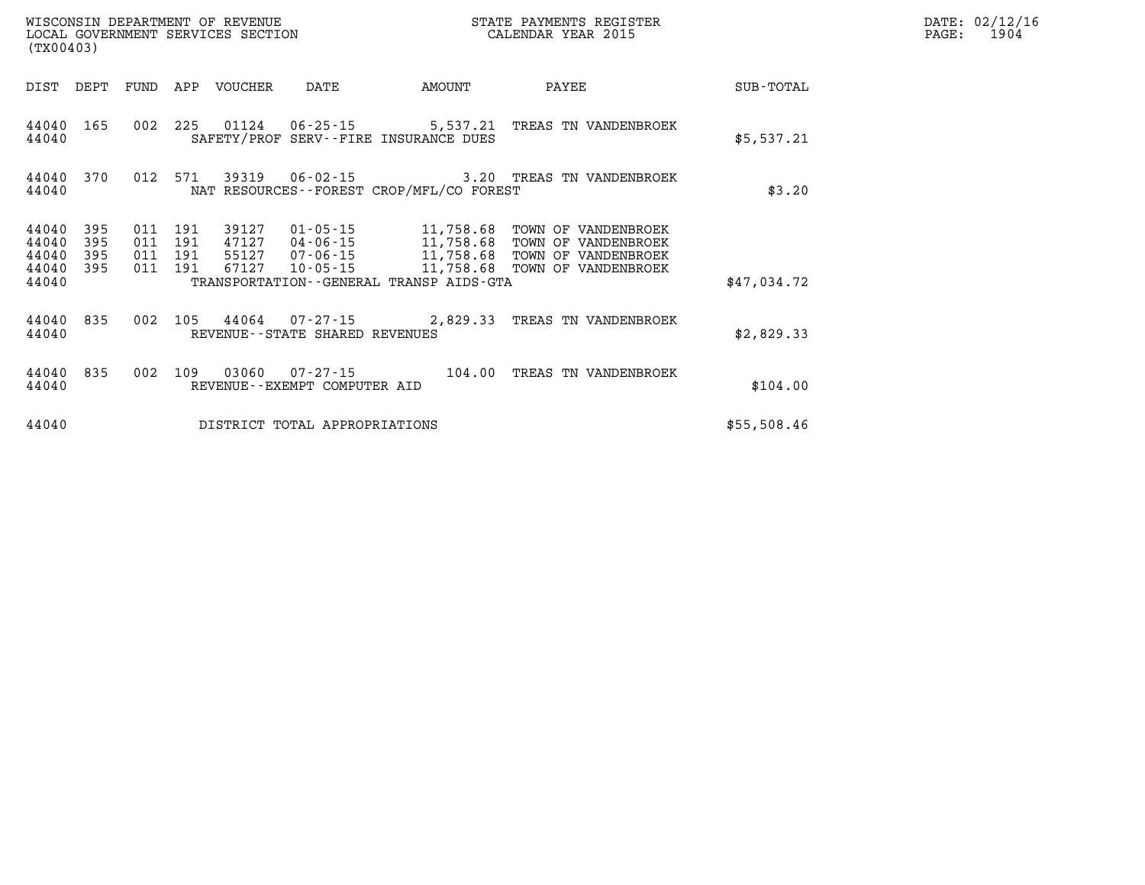| (TX00403)               |            |     |                    | WISCONSIN DEPARTMENT OF REVENUE<br>LOCAL GOVERNMENT SERVICES SECTION |                                          |                                         | STATE PAYMENTS REGISTER<br>CALENDAR YEAR 2015        |             | DATE: 02/12/16<br>1904<br>PAGE: |
|-------------------------|------------|-----|--------------------|----------------------------------------------------------------------|------------------------------------------|-----------------------------------------|------------------------------------------------------|-------------|---------------------------------|
| DIST                    | DEPT       |     |                    | FUND APP VOUCHER                                                     | DATE                                     | AMOUNT                                  | PAYEE                                                | SUB-TOTAL   |                                 |
| 44040 165<br>44040      |            | 002 |                    |                                                                      |                                          | SAFETY/PROF SERV--FIRE INSURANCE DUES   | 225  01124  06-25-15  5,537.21  TREAS TN VANDENBROEK | \$5,537.21  |                                 |
| 44040 370<br>44040      |            | 012 |                    | 571 39319                                                            | NAT RESOURCES--FOREST CROP/MFL/CO FOREST | \$3.20                                  |                                                      |             |                                 |
| 44040<br>44040          | 395<br>395 | 011 | 191<br>011 191     | 39127                                                                | $01 - 05 - 15$                           |                                         | 11,758.68 TOWN OF VANDENBROEK                        |             |                                 |
| 44040<br>44040<br>44040 | 395<br>395 |     | 011 191<br>011 191 |                                                                      |                                          | TRANSPORTATION--GENERAL TRANSP AIDS-GTA |                                                      | \$47,034.72 |                                 |
| 44040 835<br>44040      |            |     |                    |                                                                      | REVENUE - - STATE SHARED REVENUES        |                                         | 002 105 44064 07-27-15 2,829.33 TREAS TN VANDENBROEK | \$2,829.33  |                                 |
| 44040 835<br>44040      |            |     | 002 109            |                                                                      | REVENUE--EXEMPT COMPUTER AID             |                                         | 03060  07-27-15  104.00  TREAS TN VANDENBROEK        | \$104.00    |                                 |
| 44040                   |            |     |                    |                                                                      | DISTRICT TOTAL APPROPRIATIONS            |                                         |                                                      | \$55,508.46 |                                 |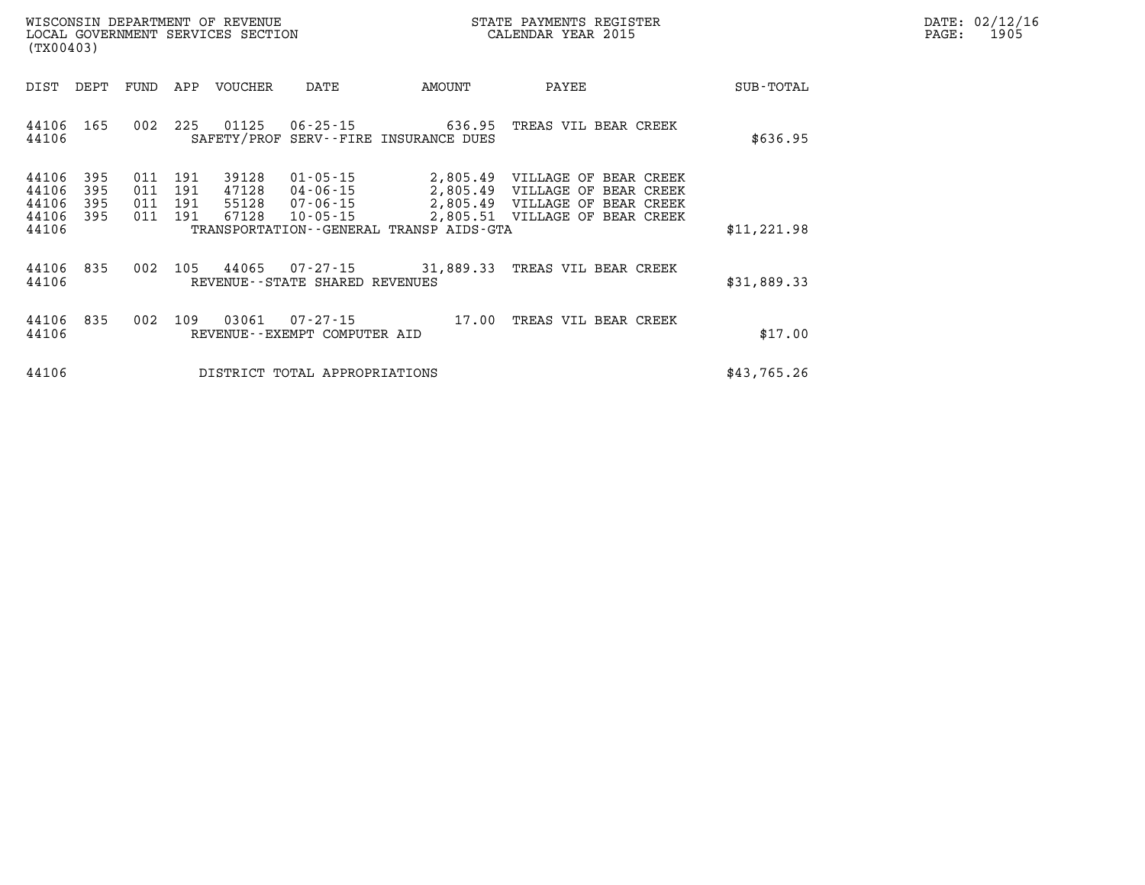| $\mathtt{DATE}$ : | 02/12/16 |
|-------------------|----------|
| PAGE:             | 1905     |

| (TX00403)               |                   |                   |                   | LOCAL GOVERNMENT SERVICES SECTION |                                               |                                         | CALENDAR YEAR 2015                                                                                 |             | PAGE: | 1905 |
|-------------------------|-------------------|-------------------|-------------------|-----------------------------------|-----------------------------------------------|-----------------------------------------|----------------------------------------------------------------------------------------------------|-------------|-------|------|
| DIST                    | DEPT              | FUND              | APP               | VOUCHER                           | DATE                                          | AMOUNT                                  | PAYEE                                                                                              | SUB-TOTAL   |       |      |
| 44106<br>44106          | 165               | 002               | 225               | 01125                             |                                               | SAFETY/PROF SERV--FIRE INSURANCE DUES   | 06-25-15 636.95 TREAS VIL BEAR CREEK                                                               | \$636.95    |       |      |
| 44106<br>44106<br>44106 | 395<br>395<br>395 | 011<br>011<br>011 | 191<br>191<br>191 | 39128<br>47128<br>55128           | $01 - 05 - 15$<br>04-06-15<br>07-06-15        |                                         | 2,805.49 VILLAGE OF BEAR CREEK<br>2,805.49 VILLAGE OF BEAR CREEK<br>2,805.49 VILLAGE OF BEAR CREEK |             |       |      |
| 44106<br>44106          | 395               | 011               | 191               | 67128                             | $10 - 05 - 15$                                | TRANSPORTATION--GENERAL TRANSP AIDS-GTA | 2,805.51 VILLAGE OF BEAR CREEK                                                                     | \$11,221.98 |       |      |
| 44106<br>44106          | 835               | 002               | 105               | 44065                             | 07-27-15<br>REVENUE - - STATE SHARED REVENUES |                                         | 31,889.33 TREAS VIL BEAR CREEK                                                                     | \$31,889.33 |       |      |
| 44106<br>44106          | 835               | 002               | 109               | 03061                             | 07-27-15<br>REVENUE--EXEMPT COMPUTER AID      | 17.00                                   | TREAS VIL BEAR CREEK                                                                               | \$17.00     |       |      |
| 44106                   |                   |                   |                   |                                   | DISTRICT TOTAL APPROPRIATIONS                 |                                         |                                                                                                    | \$43,765.26 |       |      |

WISCONSIN DEPARTMENT OF REVENUE **STATE PAYMENTS REGISTER**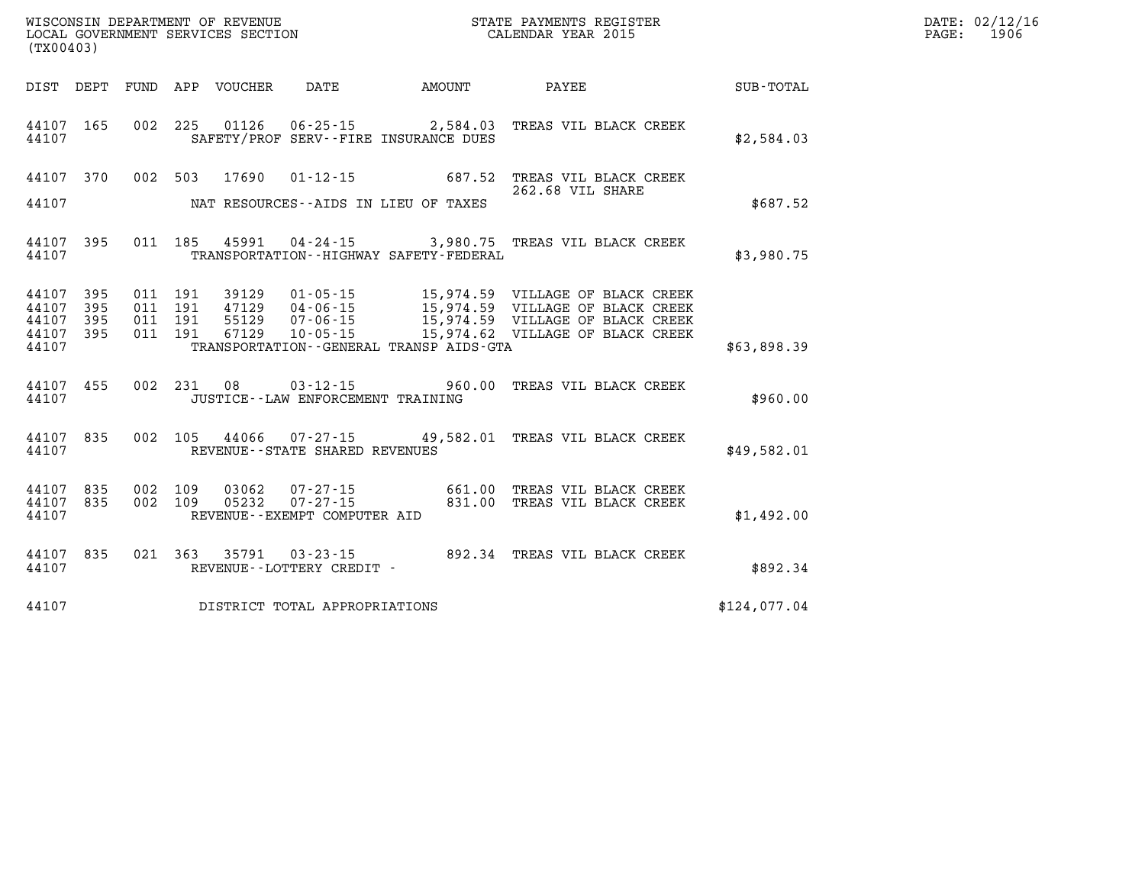|       | WISCONSIN DEPARTMENT OF REVENUE<br>LOCAL GOVERNMENT SERVICES SECTION<br>CALENDAR YEAR 2015<br>(TX00403) |  |  |  |                                          |                                              |                                                                                                                                                                                                                                                                                                      |              | DATE: 02/12/16<br>PAGE: 1906 |
|-------|---------------------------------------------------------------------------------------------------------|--|--|--|------------------------------------------|----------------------------------------------|------------------------------------------------------------------------------------------------------------------------------------------------------------------------------------------------------------------------------------------------------------------------------------------------------|--------------|------------------------------|
|       |                                                                                                         |  |  |  |                                          |                                              | DIST DEPT FUND APP VOUCHER DATE AMOUNT PAYEE SUB-TOTAL                                                                                                                                                                                                                                               |              |                              |
| 44107 |                                                                                                         |  |  |  |                                          | SAFETY/PROF SERV--FIRE INSURANCE DUES        | 44107 165 002 225 01126 06-25-15 2,584.03 TREAS VIL BLACK CREEK                                                                                                                                                                                                                                      | \$2,584.03   |                              |
|       |                                                                                                         |  |  |  |                                          |                                              | 44107 370 002 503 17690 01-12-15 687.52 TREAS VIL BLACK CREEK<br>262.68 VIL SHARE                                                                                                                                                                                                                    |              |                              |
|       |                                                                                                         |  |  |  |                                          | 44107 NAT RESOURCES--AIDS IN LIEU OF TAXES   |                                                                                                                                                                                                                                                                                                      | \$687.52     |                              |
|       | 44107                                                                                                   |  |  |  |                                          | TRANSPORTATION - - HIGHWAY SAFETY - FEDERAL  | 44107 395 011 185 45991 04-24-15 3,980.75 TREAS VIL BLACK CREEK                                                                                                                                                                                                                                      | \$3,980.75   |                              |
|       | 44107                                                                                                   |  |  |  |                                          | TRANSPORTATION - - GENERAL TRANSP AIDS - GTA | $\begin{array}{cccccccc} 44107 & 395 & 011 & 191 & 39129 & 01\cdot 05\cdot 15 & 15,974.59 & \text{VILLAGE OFBLACK CREEK  44107 & 395 & 011 & 191 & 47129 & 04\cdot 06\cdot 15 & 15,974.59 & \text{VILLAGE OFBLACK CREEK  44107 & 395 & 011 & 191 & 55129 & 07\cdot 06\cdot 15 & 15,974.59 & \text{V$ | \$63,898.39  |                              |
|       |                                                                                                         |  |  |  | 44107 JUSTICE - LAW ENFORCEMENT TRAINING |                                              | 44107 455 002 231 08 03-12-15 960.00 TREAS VIL BLACK CREEK                                                                                                                                                                                                                                           | \$960.00     |                              |
|       |                                                                                                         |  |  |  | 44107 REVENUE - - STATE SHARED REVENUES  |                                              | 44107 835 002 105 44066 07-27-15 49,582.01 TREAS VIL BLACK CREEK                                                                                                                                                                                                                                     | \$49,582.01  |                              |
|       |                                                                                                         |  |  |  |                                          |                                              | $\begin{tabular}{lllllllllll} 44107 & 835 & 002 & 109 & 03062 & 07-27-15 & 661.00 \end{tabular} \begin{tabular}{lllllll} 44107 & 835 & 002 & 109 & 05232 & 07-27-15 & 831.00 \end{tabular} \begin{tabular}{lllllll} 44107 & 835 & 002 & 109 & 05232 & 07-27-15 & 831.00 \end{tabular} \end{tabular}$ | \$1,492.00   |                              |
|       |                                                                                                         |  |  |  |                                          |                                              | $44107$ 835   021   363   35791   03-23-15   892.34   TREAS VIL BLACK CREEK   44107   REVENUE--LOTTERY CREDIT -                                                                                                                                                                                      | \$892.34     |                              |
|       |                                                                                                         |  |  |  | 44107 DISTRICT TOTAL APPROPRIATIONS      |                                              |                                                                                                                                                                                                                                                                                                      | \$124,077.04 |                              |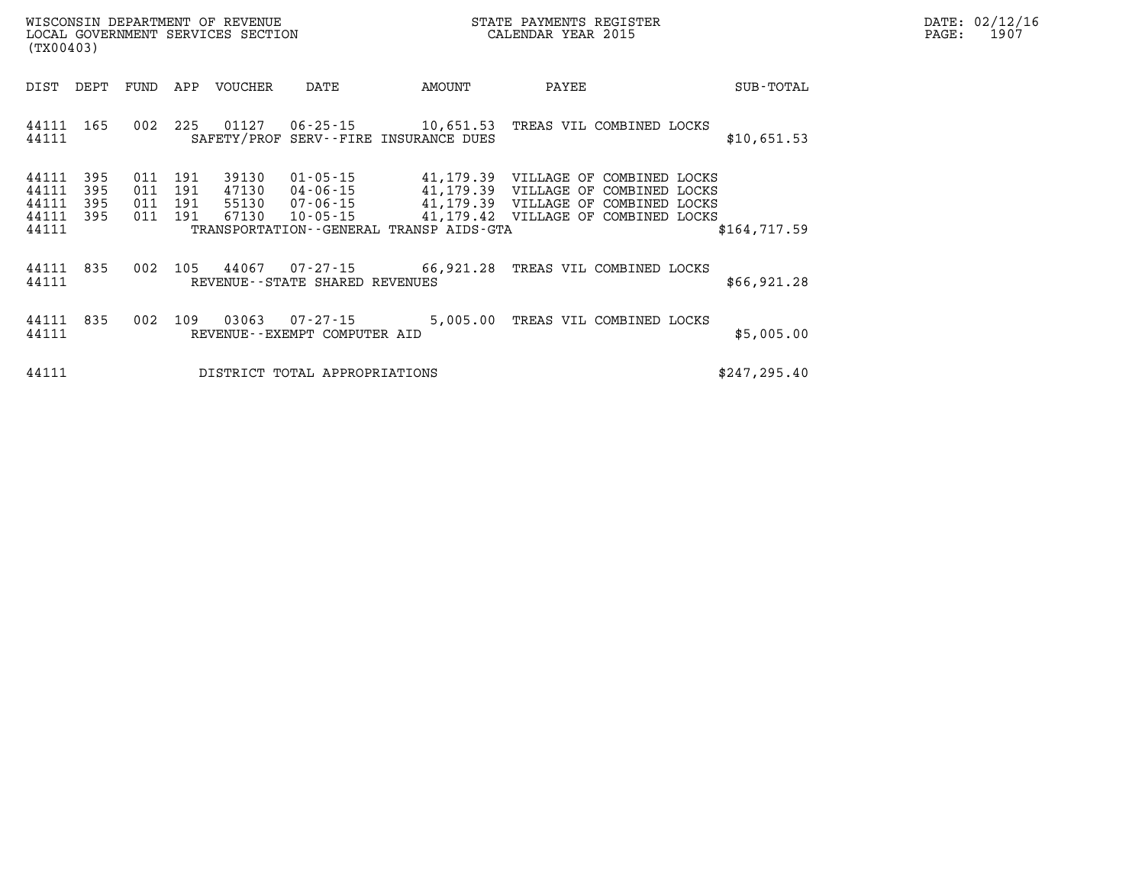|       | DATE: 02/12/16 |
|-------|----------------|
| PAGE: | 1907           |

| (TX00403)                                                             | WISCONSIN DEPARTMENT OF REVENUE<br>LOCAL GOVERNMENT SERVICES SECTION                                                                                                                                                                                      |        | STATE PAYMENTS REGISTER<br>CALENDAR YEAR 2015                                                           |               |
|-----------------------------------------------------------------------|-----------------------------------------------------------------------------------------------------------------------------------------------------------------------------------------------------------------------------------------------------------|--------|---------------------------------------------------------------------------------------------------------|---------------|
| DIST<br>DEPT<br>FUND                                                  | APP<br>VOUCHER<br>DATE                                                                                                                                                                                                                                    | AMOUNT | PAYEE                                                                                                   | SUB-TOTAL     |
| 44111<br>165<br>44111                                                 | 002<br>225<br>01127<br>SAFETY/PROF SERV--FIRE INSURANCE DUES                                                                                                                                                                                              |        | 06-25-15 10,651.53 TREAS VIL COMBINED LOCKS                                                             | \$10,651.53   |
| 395<br>44111<br>44111<br>395<br>44111<br>395<br>44111<br>395<br>44111 | 011<br>191<br>39130<br>$01 - 05 - 15$ 41, 179.39<br>191<br>47130<br>04-06-15 41,179.39 VILLAGE OF<br>011<br>07-06-15 41,179.39 VILLAGE OF<br>011<br>191<br>55130<br>011<br>191<br>67130<br>$10 - 05 - 15$<br>TRANSPORTATION - - GENERAL TRANSP AIDS - GTA |        | VILLAGE OF<br>COMBINED LOCKS<br>COMBINED LOCKS<br>COMBINED LOCKS<br>41,179.42 VILLAGE OF COMBINED LOCKS | \$164,717.59  |
| 835<br>44111<br>44111                                                 | 002<br>105<br>44067<br>REVENUE--STATE SHARED REVENUES                                                                                                                                                                                                     |        | 07-27-15 66,921.28 TREAS VIL COMBINED LOCKS                                                             | \$66,921.28   |
| 44111<br>835<br>44111                                                 | 002<br>109<br>$07 - 27 - 15$ 5,005.00<br>03063<br>REVENUE--EXEMPT COMPUTER AID                                                                                                                                                                            |        | TREAS VIL COMBINED LOCKS                                                                                | \$5,005.00    |
| 44111                                                                 | DISTRICT TOTAL APPROPRIATIONS                                                                                                                                                                                                                             |        |                                                                                                         | \$247, 295.40 |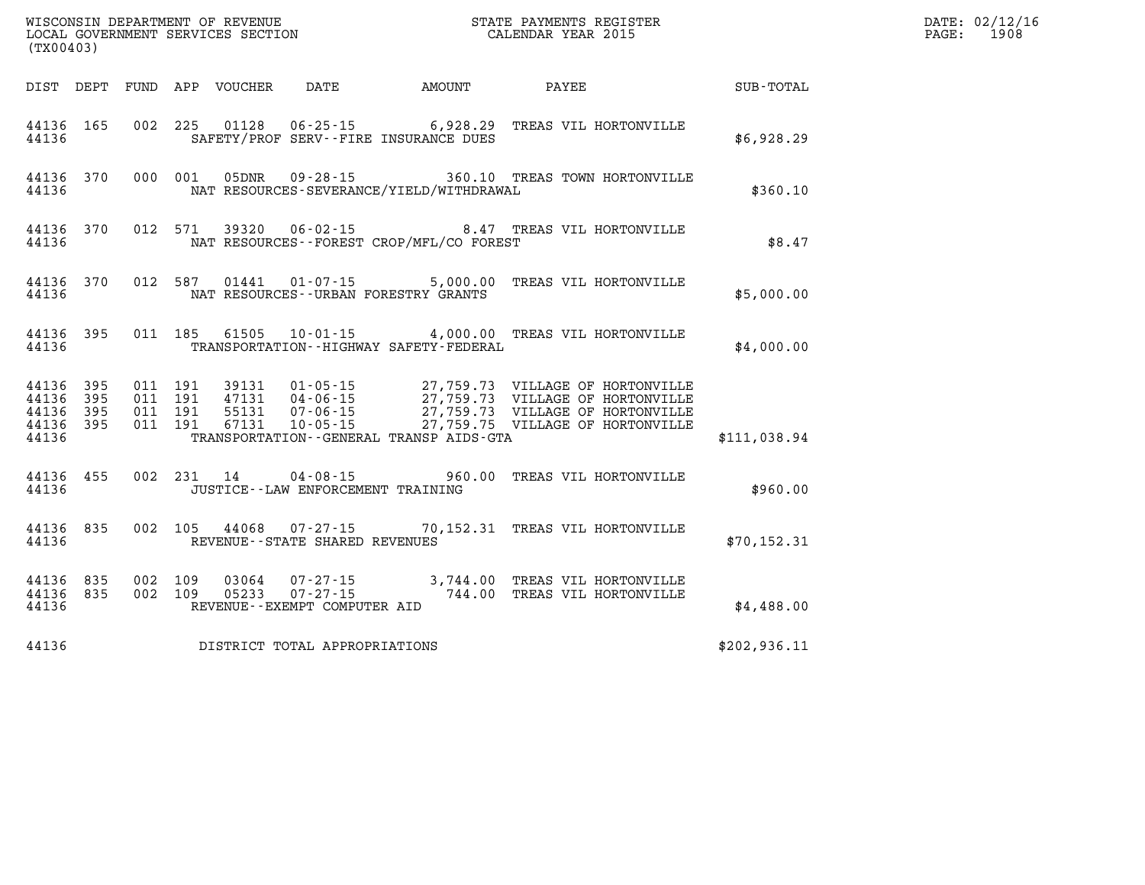| % WISCONSIN DEPARTMENT OF REVENUE $$\tt SCATE$ PAYMENTS REGIST LOCAL GOVERNMENT SERVICES SECTION $$\tt CALENDAR$ YEAR 2015<br>(TX00403) |  |  |  |                                |                                   |                                              | STATE PAYMENTS REGISTER                                                          |              | DATE: 02/12/16<br>PAGE:<br>1908 |
|-----------------------------------------------------------------------------------------------------------------------------------------|--|--|--|--------------------------------|-----------------------------------|----------------------------------------------|----------------------------------------------------------------------------------|--------------|---------------------------------|
|                                                                                                                                         |  |  |  |                                |                                   |                                              | DIST DEPT FUND APP VOUCHER DATE AMOUNT PAYEE TOTAL                               |              |                                 |
| 44136 165<br>44136                                                                                                                      |  |  |  |                                |                                   | SAFETY/PROF SERV--FIRE INSURANCE DUES        | 002 225 01128 06-25-15 6,928.29 TREAS VIL HORTONVILLE                            | \$6,928.29   |                                 |
| 44136 370<br>44136                                                                                                                      |  |  |  |                                |                                   | NAT RESOURCES-SEVERANCE/YIELD/WITHDRAWAL     | 000 001 05DNR 09-28-15 360.10 TREAS TOWN HORTONVILLE                             | \$360.10     |                                 |
| 44136 370<br>44136                                                                                                                      |  |  |  |                                |                                   | NAT RESOURCES - - FOREST CROP/MFL/CO FOREST  | 012 571 39320 06-02-15 8.47 TREAS VIL HORTONVILLE                                | \$8.47       |                                 |
| 44136 370<br>44136                                                                                                                      |  |  |  |                                |                                   | NAT RESOURCES--URBAN FORESTRY GRANTS         | 012 587  01441  01-07-15  5,000.00  TREAS VIL HORTONVILLE                        | \$5,000.00   |                                 |
| 44136 395<br>44136                                                                                                                      |  |  |  |                                |                                   | TRANSPORTATION - - HIGHWAY SAFETY - FEDERAL  | 011 185 61505 10-01-15 4,000.00 TREAS VIL HORTONVILLE                            | \$4,000.00   |                                 |
| 44136 395<br>44136 395<br>44136 395<br>44136 395<br>44136                                                                               |  |  |  |                                |                                   | TRANSPORTATION - - GENERAL TRANSP AIDS - GTA |                                                                                  | \$111,038.94 |                                 |
| 44136 455<br>44136                                                                                                                      |  |  |  |                                | JUSTICE--LAW ENFORCEMENT TRAINING |                                              | 002 231 14 04-08-15 960.00 TREAS VIL HORTONVILLE                                 | \$960.00     |                                 |
| 44136 835<br>44136                                                                                                                      |  |  |  |                                | REVENUE--STATE SHARED REVENUES    |                                              | 002 105 44068 07-27-15 70,152.31 TREAS VIL HORTONVILLE                           | \$70, 152.31 |                                 |
| 44136 835<br>44136 835<br>44136                                                                                                         |  |  |  | 002 109 03064<br>002 109 05233 | REVENUE--EXEMPT COMPUTER AID      |                                              | 07-27-15 3,744.00 TREAS VIL HORTONVILLE<br>07-27-15 744.00 TREAS VIL HORTONVILLE | \$4,488.00   |                                 |
| 44136                                                                                                                                   |  |  |  |                                | DISTRICT TOTAL APPROPRIATIONS     |                                              |                                                                                  | \$202,936.11 |                                 |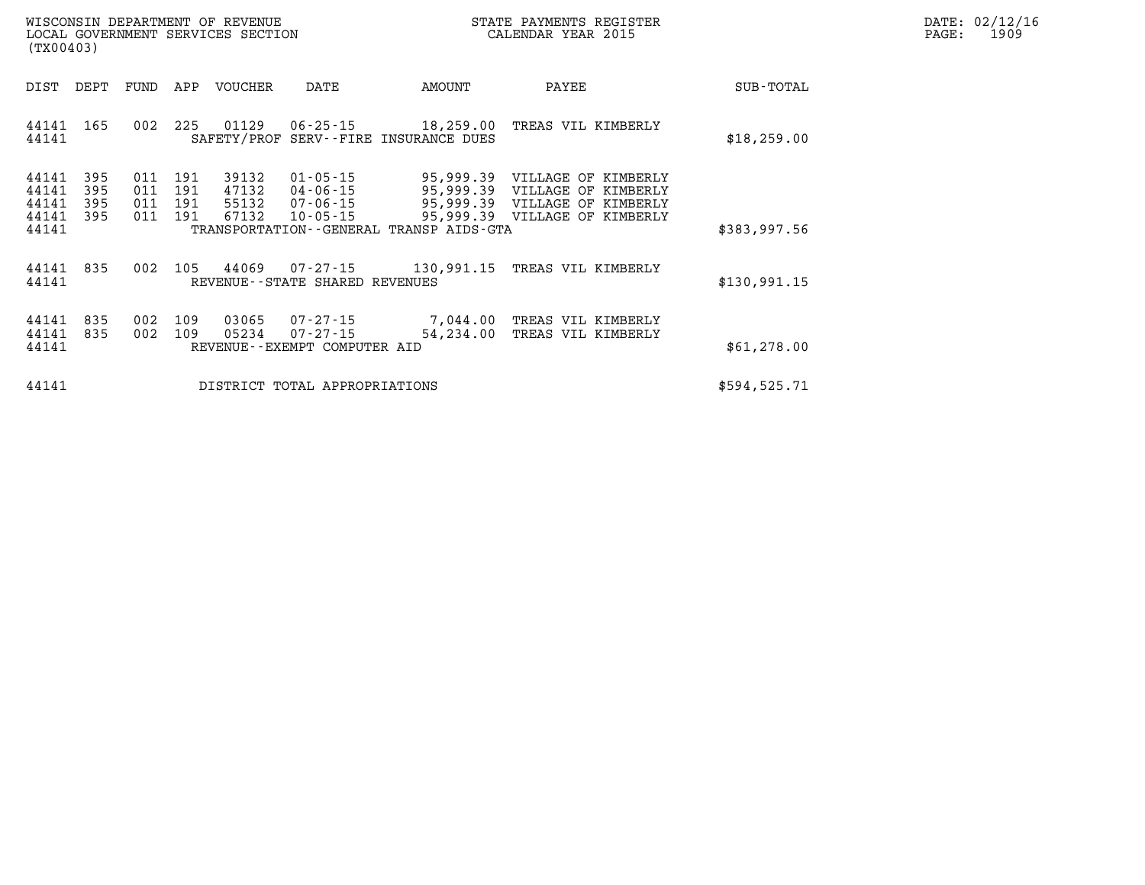| $\mathtt{DATE}$ : | 02/12/16 |
|-------------------|----------|
| PAGE:             | 1909     |

| WISCONSIN DEPARTMENT OF REVENUE<br>LOCAL GOVERNMENT SERVICES SECTION<br>(TX00403) |                          |                          |                          |                                  |                                                      |                                         | STATE PAYMENTS REGISTER<br>CALENDAR YEAR 2015                                                                                             |               | DATE: 02/12/1<br>PAGE:<br>1909 |
|-----------------------------------------------------------------------------------|--------------------------|--------------------------|--------------------------|----------------------------------|------------------------------------------------------|-----------------------------------------|-------------------------------------------------------------------------------------------------------------------------------------------|---------------|--------------------------------|
| DIST                                                                              | DEPT                     | FUND                     | APP                      | VOUCHER                          | DATE                                                 | AMOUNT                                  | PAYEE                                                                                                                                     | SUB-TOTAL     |                                |
| 44141<br>44141                                                                    | 165                      | 002                      | 225                      | 01129                            |                                                      | SAFETY/PROF SERV--FIRE INSURANCE DUES   | 06-25-15 18,259.00 TREAS VIL KIMBERLY                                                                                                     | \$18, 259.00  |                                |
| 44141<br>44141<br>44141<br>44141<br>44141                                         | 395<br>395<br>395<br>395 | 011<br>011<br>011<br>011 | 191<br>191<br>191<br>191 | 39132<br>47132<br>55132<br>67132 | $01 - 05 - 15$<br>04-06-15<br>$10 - 05 - 15$         | TRANSPORTATION--GENERAL TRANSP AIDS-GTA | 95,999.39 VILLAGE OF KIMBERLY<br>95,999.39 VILLAGE OF KIMBERLY<br>07-06-15 95,999.39 VILLAGE OF KIMBERLY<br>95,999.39 VILLAGE OF KIMBERLY | \$383,997.56  |                                |
| 44141<br>44141                                                                    | 835                      | 002                      |                          |                                  | REVENUE--STATE SHARED REVENUES                       |                                         | 105 44069 07-27-15 130,991.15 TREAS VIL KIMBERLY                                                                                          | \$130,991.15  |                                |
| 44141<br>44141<br>44141                                                           | 835<br>835               | 002<br>002               | 109<br>109               | 03065<br>05234                   | 07-27-15<br>07-27-15<br>REVENUE--EXEMPT COMPUTER AID |                                         | 7,044.00 TREAS VIL KIMBERLY<br>54,234.00 TREAS VIL KIMBERLY                                                                               | \$61,278.00   |                                |
| 44141                                                                             |                          |                          |                          |                                  | DISTRICT TOTAL APPROPRIATIONS                        |                                         |                                                                                                                                           | \$594, 525.71 |                                |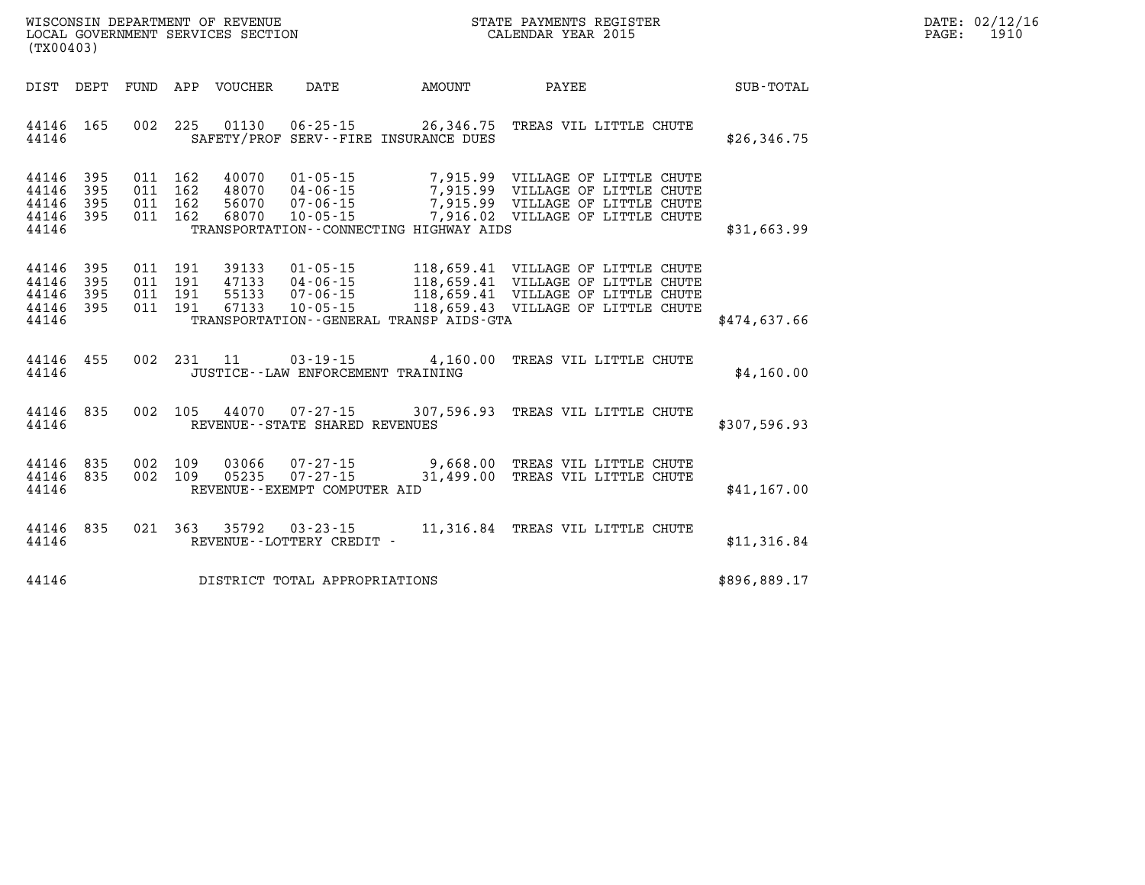| $\mathtt{DATE}$ : | 02/12/16 |
|-------------------|----------|
| PAGE:             | 1910     |

| (TX00403)                                 |                          |                          |                                  |                                  |                                                                      |                                         |                                                                                                                                                      |              |
|-------------------------------------------|--------------------------|--------------------------|----------------------------------|----------------------------------|----------------------------------------------------------------------|-----------------------------------------|------------------------------------------------------------------------------------------------------------------------------------------------------|--------------|
| DIST                                      | DEPT                     | <b>FUND</b>              | APP                              | <b>VOUCHER</b>                   | <b>DATE</b>                                                          | AMOUNT                                  | PAYEE                                                                                                                                                | SUB-TOTAL    |
| 44146<br>44146                            | 165                      | 002                      | 225                              | 01130                            | $06 - 25 - 15$                                                       | SAFETY/PROF SERV--FIRE INSURANCE DUES   | 26,346.75 TREAS VIL LITTLE CHUTE                                                                                                                     | \$26,346.75  |
| 44146<br>44146<br>44146<br>44146<br>44146 | 395<br>395<br>395<br>395 | 011<br>011<br>011<br>011 | 162<br>162<br>162<br>162         | 40070<br>48070<br>56070<br>68070 | $01 - 05 - 15$<br>$04 - 06 - 15$<br>$07 - 06 - 15$<br>$10 - 05 - 15$ | TRANSPORTATION--CONNECTING HIGHWAY AIDS | 7,915.99 VILLAGE OF LITTLE CHUTE<br>7,915.99 VILLAGE OF LITTLE CHUTE<br>7,915.99 VILLAGE OF LITTLE CHUTE<br>7,916.02 VILLAGE OF LITTLE CHUTE         | \$31,663.99  |
| 44146<br>44146<br>44146<br>44146<br>44146 | 395<br>395<br>395<br>395 | 011<br>011               | 011 191<br>011 191<br>191<br>191 | 39133<br>47133<br>55133<br>67133 | $01 - 05 - 15$<br>$04 - 06 - 15$<br>$07 - 06 - 15$<br>$10 - 05 - 15$ | TRANSPORTATION--GENERAL TRANSP AIDS-GTA | 118,659.41 VILLAGE OF LITTLE CHUTE<br>118,659.41 VILLAGE OF LITTLE CHUTE<br>118,659.41 VILLAGE OF LITTLE CHUTE<br>118,659.43 VILLAGE OF LITTLE CHUTE | \$474,637.66 |
| 44146<br>44146                            | 455                      | 002                      | 231                              | 11                               | $03 - 19 - 15$<br>JUSTICE - - LAW ENFORCEMENT TRAINING               | 4,160.00                                | TREAS VIL LITTLE CHUTE                                                                                                                               | \$4,160.00   |
| 44146<br>44146                            | 835                      | 002                      | 105                              |                                  | 44070 07-27-15<br>REVENUE - - STATE SHARED REVENUES                  |                                         | 307,596.93 TREAS VIL LITTLE CHUTE                                                                                                                    | \$307,596.93 |
| 44146<br>44146<br>44146                   | 835<br>835               | 002<br>002               | 109<br>109                       | 03066<br>05235                   | $07 - 27 - 15$<br>$07 - 27 - 15$<br>REVENUE--EXEMPT COMPUTER AID     |                                         | 9,668.00 TREAS VIL LITTLE CHUTE<br>31,499.00 TREAS VIL LITTLE CHUTE                                                                                  | \$41,167.00  |
| 44146<br>44146                            | 835                      | 021                      | 363                              | 35792                            | $03 - 23 - 15$<br>REVENUE--LOTTERY CREDIT -                          |                                         | 11,316.84 TREAS VIL LITTLE CHUTE                                                                                                                     | \$11,316.84  |
| 44146                                     |                          |                          |                                  |                                  | DISTRICT TOTAL APPROPRIATIONS                                        |                                         |                                                                                                                                                      | \$896,889.17 |

WISCONSIN DEPARTMENT OF REVENUE **STATE PAYMENTS REGISTER**<br>LOCAL GOVERNMENT SERVICES SECTION

LOCAL GOVERNMENT SERVICES SECTION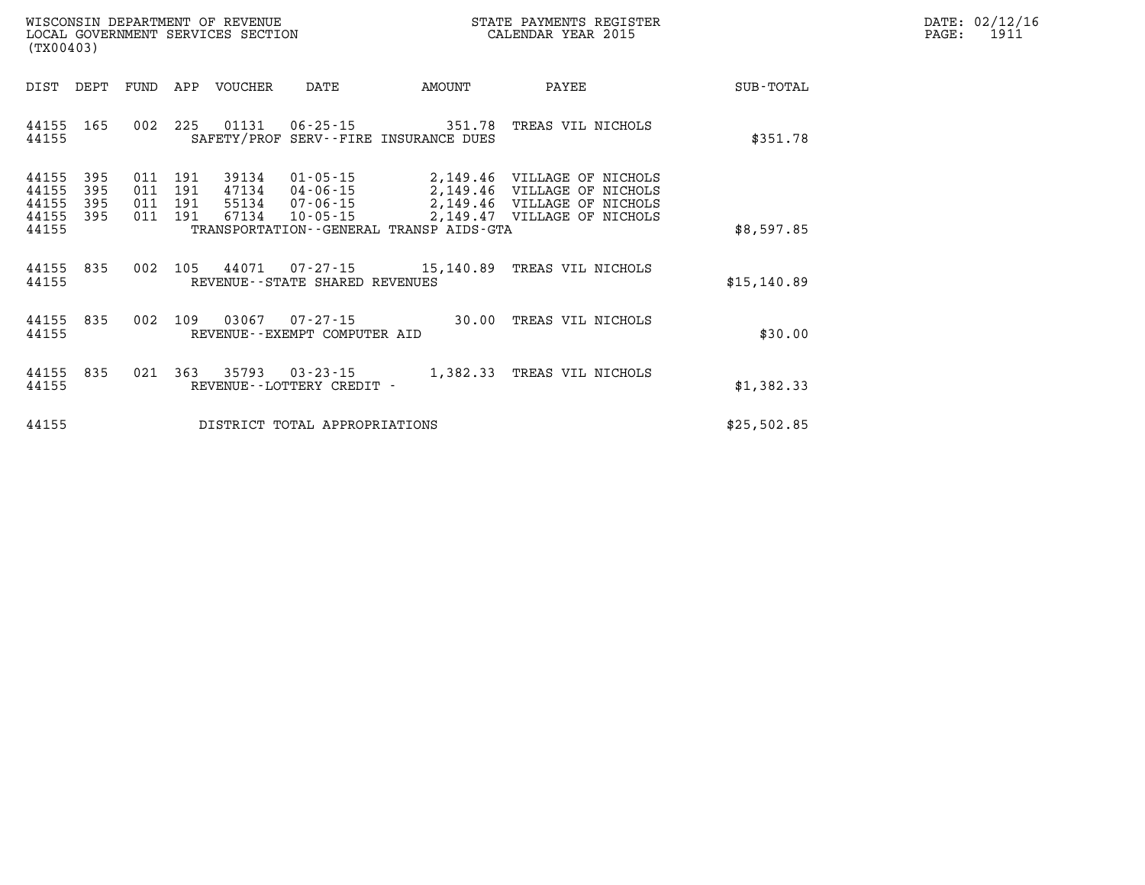| WISCONSIN DEPARTMENT OF REVENUE   | STATE PAYMENTS REGISTER |      | DATE: 02/12/16 |
|-----------------------------------|-------------------------|------|----------------|
| LOCAL GOVERNMENT SERVICES SECTION | CALENDAR YEAR 2015      | PAGE | 1911           |

|                         | LOCAL GOVERNMENT SERVICES SECTION<br>(TX00403) |      |                           |                         |                                                        | CALENDAR YEAR 2015                      |                                                                                           |              | PAGE: | 1911 |
|-------------------------|------------------------------------------------|------|---------------------------|-------------------------|--------------------------------------------------------|-----------------------------------------|-------------------------------------------------------------------------------------------|--------------|-------|------|
| DIST                    | DEPT                                           | FUND |                           | APP VOUCHER             | DATE                                                   | AMOUNT                                  | PAYEE                                                                                     | SUB-TOTAL    |       |      |
| 44155 165<br>44155      |                                                |      |                           | 002 225 01131           |                                                        | SAFETY/PROF SERV--FIRE INSURANCE DUES   | 06-25-15 351.78 TREAS VIL NICHOLS                                                         | \$351.78     |       |      |
| 44155<br>44155<br>44155 | 395<br>395<br>395                              | 011  | 191<br>011 191<br>011 191 | 39134<br>47134<br>55134 | 01-05-15<br>04-06-15<br>07-06-15                       |                                         | 2,149.46 VILLAGE OF NICHOLS<br>2,149.46 VILLAGE OF NICHOLS<br>2,149.46 VILLAGE OF NICHOLS |              |       |      |
| 44155<br>44155          | 395                                            |      | 011 191                   | 67134                   | 10-05-15                                               | TRANSPORTATION--GENERAL TRANSP AIDS-GTA | 2,149.47 VILLAGE OF NICHOLS                                                               | \$8,597.85   |       |      |
| 44155<br>44155          | 835                                            |      | 002 105                   |                         | REVENUE--STATE SHARED REVENUES                         |                                         | 44071  07-27-15  15,140.89  TREAS VIL NICHOLS                                             | \$15, 140.89 |       |      |
| 44155<br>44155          | 835                                            | 002  | 109                       | 03067                   | REVENUE - - EXEMPT COMPUTER AID                        |                                         | 07-27-15 30.00 TREAS VIL NICHOLS                                                          | \$30.00      |       |      |
| 44155<br>44155          | 835                                            |      |                           |                         | 021 363 35793 03-23-15<br>REVENUE - - LOTTERY CREDIT - |                                         | 1,382.33 TREAS VIL NICHOLS                                                                | \$1,382.33   |       |      |
| 44155                   |                                                |      |                           |                         | DISTRICT TOTAL APPROPRIATIONS                          |                                         |                                                                                           | \$25,502.85  |       |      |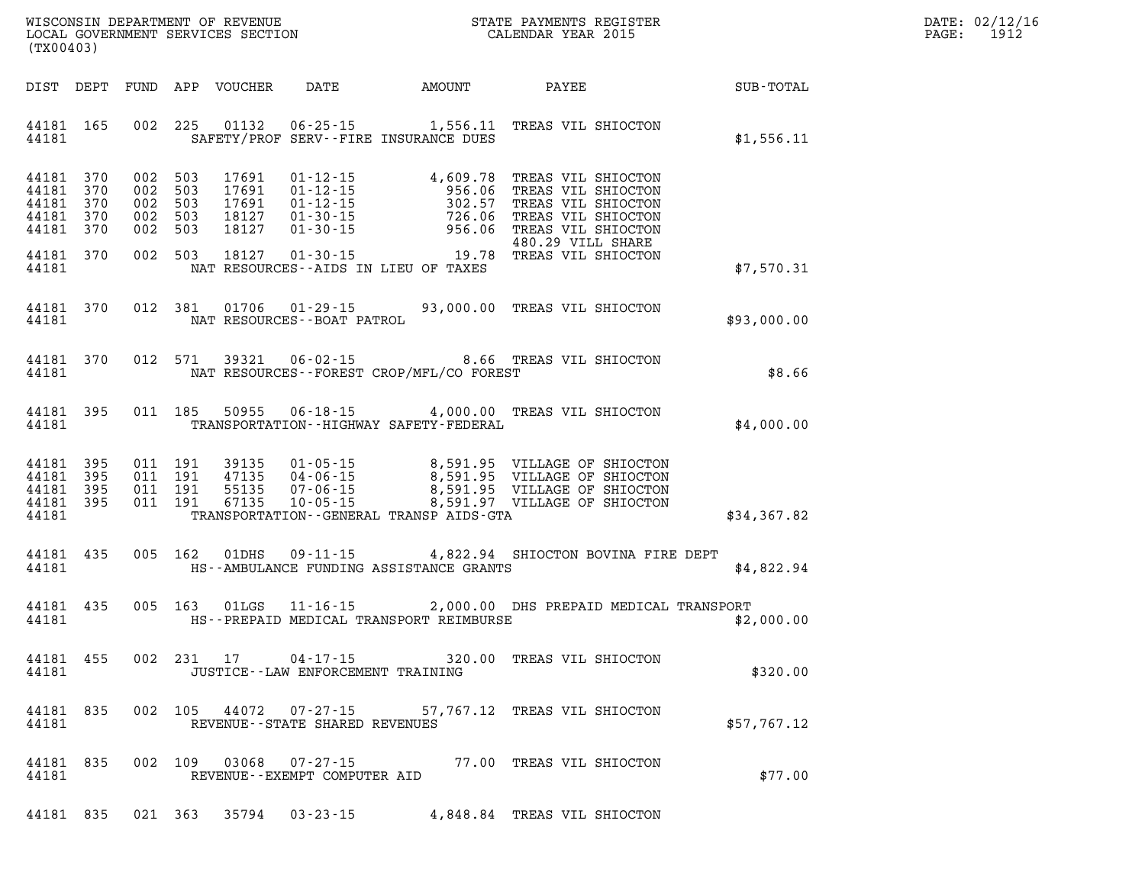| (TX00403)                                                                                                                                                                                                                                                                                                                                                                                |  |             | DATE: 02/12/16<br>PAGE: 1912 |
|------------------------------------------------------------------------------------------------------------------------------------------------------------------------------------------------------------------------------------------------------------------------------------------------------------------------------------------------------------------------------------------|--|-------------|------------------------------|
| DIST DEPT FUND APP VOUCHER DATE AMOUNT PAYEE PAYER SUB-TOTAL                                                                                                                                                                                                                                                                                                                             |  |             |                              |
| 44181 165 002 225 01132 06-25-15 1,556.11 TREAS VIL SHIOCTON<br>44181 SAFETY/PROF SERV--FIRE INSURANCE DUES                                                                                                                                                                                                                                                                              |  | \$1,556.11  |                              |
| $\begin{tabular}{cccccc} 44181 & 370 & 002 & 503 & 17691 & 01-12-15 & & 4,609.78 & \text{TREAS VII SHIOCTON} \\ 44181 & 370 & 002 & 503 & 17691 & 01-12-15 & & 956.06 & \text{TREAS VII SHIOCTON} \\ 44181 & 370 & 002 & 503 & 17691 & 01-12-15 & & 302.57 & \text{TREAS VII SHIOCTON} \\ 44181 & 370 & 002 & 503 & 1812$                                                                |  |             |                              |
| 44181 NAT RESOURCES--AIDS IN LIEU OF TAXES                                                                                                                                                                                                                                                                                                                                               |  | \$7,570.31  |                              |
| 44181 370 012 381 01706 01-29-15 93,000.00 TREAS VIL SHIOCTON<br>44181 NAT RESOURCES - BOAT PATROL                                                                                                                                                                                                                                                                                       |  | \$93,000.00 |                              |
| 44181 370 012 571 39321 06-02-15<br>\$8.66 TREAS VIL SHIOCTON \$8.66 PARELY 2009/MET/CO FOREST<br>44181 NAT RESOURCES - FOREST CROP/MFL/CO FOREST                                                                                                                                                                                                                                        |  |             |                              |
| 44181 395 011 185 50955 06-18-15 4,000.00 TREAS VIL SHIOCTON<br>44181 TRANSPORTATION - HIGHWAY SAFETY - FEDERAL                                                                                                                                                                                                                                                                          |  | \$4,000.00  |                              |
| $\begin{array}{cccccccc} 44181 & 395 & 011 & 191 & 39135 & 01\cdot 05\cdot 15 & 8\, 591.95 & \text{VILLAGE OF SHIOCTON} \\ 44181 & 395 & 011 & 191 & 47135 & 04\cdot 06\cdot 15 & 8\, 591.95 & \text{VILLAGE OF SHIOCTON} \\ 44181 & 395 & 011 & 191 & 55135 & 07\cdot 06\cdot 15 & 8\, 591.95 & \text{VILLAGE OF SHIOCTON} \\ 4418$<br>44181 TRANSPORTATION - GENERAL TRANSP AIDS - GTA |  | \$34,367.82 |                              |
| 44181 435 005 162 01DHS 09-11-15 4,822.94 SHIOCTON BOVINA FIRE DEPT<br>44181 THS--AMBULANCE FUNDING ASSISTANCE GRANTS THE SAME OF A 49 SEA 49 SEA 49 SEA 49 SEA 49 SEA 49 SEA 49 SEA 5                                                                                                                                                                                                   |  |             |                              |
| 44181 435 005 163 01LGS 11-16-15 2,000.00 DHS PREPAID MEDICAL TRANSPORT<br>44181 THS--PREPAID MEDICAL TRANSPORT REIMBURSE THE SALE ASSAULT AND SEARCH AND SEARCH AND ASSAULT ASSAULT AND                                                                                                                                                                                                 |  |             |                              |
| 44181 455 002 231 17 04-17-15 320.00 TREAS VIL SHIOCTON<br>44181<br>JUSTICE - - LAW ENFORCEMENT TRAINING                                                                                                                                                                                                                                                                                 |  | \$320.00    |                              |
| 44181 835 002 105 44072 07-27-15 57,767.12 TREAS VIL SHIOCTON<br>44181<br>REVENUE--STATE SHARED REVENUES                                                                                                                                                                                                                                                                                 |  | \$57,767.12 |                              |
| 44181 835 002 109 03068 07-27-15 77.00 TREAS VIL SHIOCTON<br>44181<br>REVENUE--EXEMPT COMPUTER AID                                                                                                                                                                                                                                                                                       |  | \$77.00     |                              |
| 44181 835 021 363 35794 03-23-15 4,848.84 TREAS VIL SHIOCTON                                                                                                                                                                                                                                                                                                                             |  |             |                              |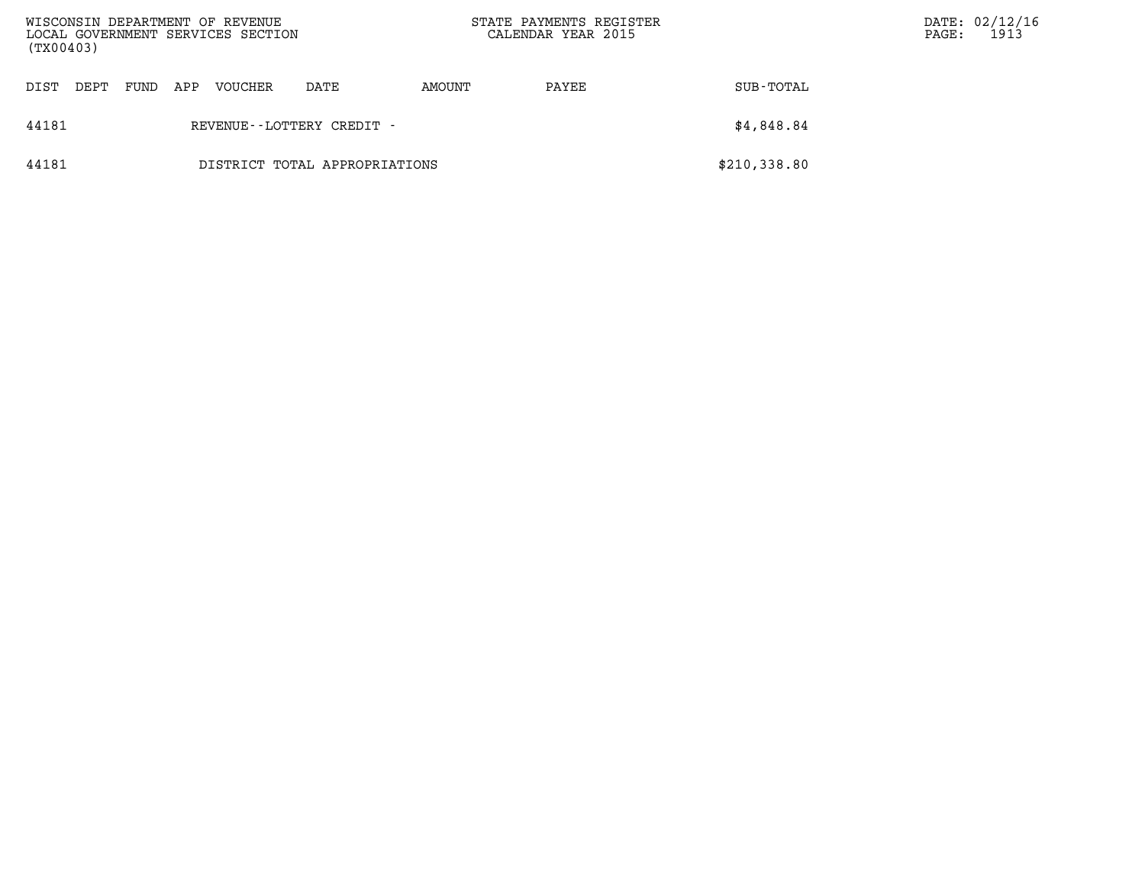| WISCONSIN DEPARTMENT OF REVENUE<br>LOCAL GOVERNMENT SERVICES SECTION<br>(TX00403) |              |     |         |                               | STATE PAYMENTS REGISTER<br>CALENDAR YEAR 2015 |       |              | PAGE: | DATE: 02/12/16<br>1913 |
|-----------------------------------------------------------------------------------|--------------|-----|---------|-------------------------------|-----------------------------------------------|-------|--------------|-------|------------------------|
| DIST                                                                              | DEPT<br>FUND | APP | VOUCHER | DATE                          | AMOUNT                                        | PAYEE | SUB-TOTAL    |       |                        |
| 44181                                                                             |              |     |         | REVENUE - - LOTTERY CREDIT -  |                                               |       | \$4,848.84   |       |                        |
| 44181                                                                             |              |     |         | DISTRICT TOTAL APPROPRIATIONS |                                               |       | \$210,338.80 |       |                        |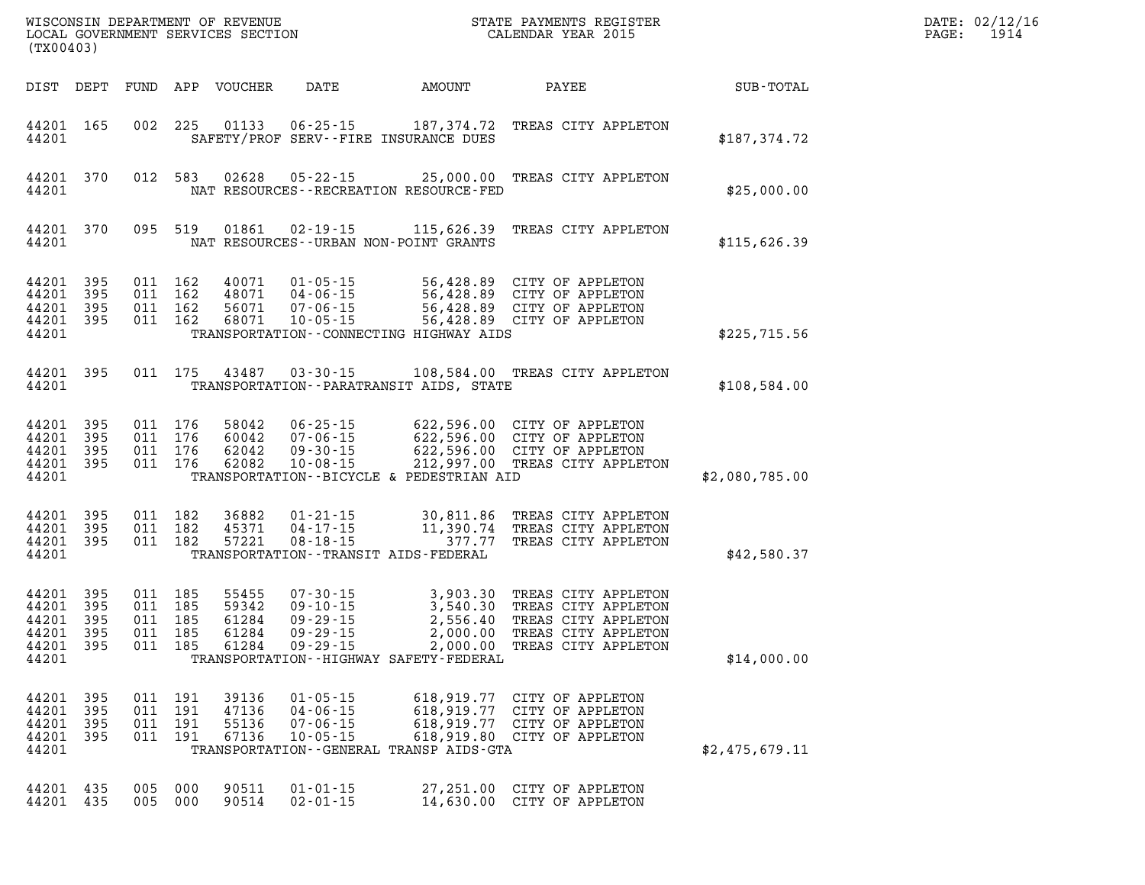| WISCONSIN DEPARTMENT OF REVENUE<br>LOCAL GOVERNMENT SERVICES SECTION<br>(TX00403) |                                 |                                 |                                 |                                           |                                                                                        |                                                                                                         | STATE PAYMENTS REGISTER<br>CALENDAR YEAR 2015                                                                   |                |  |  |  |  |
|-----------------------------------------------------------------------------------|---------------------------------|---------------------------------|---------------------------------|-------------------------------------------|----------------------------------------------------------------------------------------|---------------------------------------------------------------------------------------------------------|-----------------------------------------------------------------------------------------------------------------|----------------|--|--|--|--|
| DIST                                                                              | DEPT                            | FUND                            | APP                             | VOUCHER                                   | DATE                                                                                   | AMOUNT                                                                                                  | PAYEE                                                                                                           | SUB-TOTAL      |  |  |  |  |
| 44201<br>44201                                                                    | 165                             | 002                             | 225                             | 01133                                     | $06 - 25 - 15$                                                                         | 187,374.72<br>SAFETY/PROF SERV--FIRE INSURANCE DUES                                                     | TREAS CITY APPLETON                                                                                             | \$187,374.72   |  |  |  |  |
| 44201<br>44201                                                                    | 370                             | 012                             | 583                             | 02628                                     | $05 - 22 - 15$                                                                         | 25,000.00<br>NAT RESOURCES - - RECREATION RESOURCE - FED                                                | TREAS CITY APPLETON                                                                                             | \$25,000.00    |  |  |  |  |
| 44201<br>44201                                                                    | 370                             | 095                             | 519                             | 01861                                     | $02 - 19 - 15$                                                                         | 115,626.39<br>NAT RESOURCES - - URBAN NON-POINT GRANTS                                                  | TREAS CITY APPLETON                                                                                             | \$115,626.39   |  |  |  |  |
| 44201<br>44201<br>44201<br>44201<br>44201                                         | 395<br>395<br>395<br>395        | 011<br>011<br>011<br>011        | 162<br>162<br>162<br>162        | 40071<br>48071<br>56071<br>68071          | $01 - 05 - 15$<br>$04 - 06 - 15$<br>$07 - 06 - 15$<br>$10 - 05 - 15$                   | 56,428.89<br>56,428.89<br>56,428.89<br>56,428.89<br>TRANSPORTATION--CONNECTING HIGHWAY AIDS             | CITY OF APPLETON<br>CITY OF APPLETON<br>CITY OF APPLETON<br>CITY OF APPLETON                                    | \$225,715.56   |  |  |  |  |
| 44201<br>44201                                                                    | 395                             | 011                             | 175                             | 43487                                     | $03 - 30 - 15$                                                                         | 108,584.00<br>TRANSPORTATION - - PARATRANSIT AIDS, STATE                                                | TREAS CITY APPLETON                                                                                             | \$108,584.00   |  |  |  |  |
| 44201<br>44201<br>44201<br>44201<br>44201                                         | 395<br>395<br>395<br>395        | 011<br>011<br>011<br>011        | 176<br>176<br>176<br>176        | 58042<br>60042<br>62042<br>62082          | $06 - 25 - 15$<br>$07 - 06 - 15$<br>$09 - 30 - 15$<br>$10 - 08 - 15$                   | 622,596.00<br>622,596.00<br>622,596.00<br>212,997.00<br>TRANSPORTATION--BICYCLE & PEDESTRIAN AID        | CITY OF APPLETON<br>CITY OF APPLETON<br>CITY OF APPLETON<br>TREAS CITY APPLETON                                 | \$2,080,785.00 |  |  |  |  |
| 44201<br>44201<br>44201<br>44201                                                  | 395<br>395<br>395               | 011<br>011<br>011               | 182<br>182<br>182               | 36882<br>45371<br>57221                   | $01 - 21 - 15$<br>$04 - 17 - 15$<br>$08 - 18 - 15$                                     | 30,811.86<br>11,390.74<br>377.77<br>TRANSPORTATION - - TRANSIT AIDS - FEDERAL                           | TREAS CITY APPLETON<br>TREAS CITY APPLETON<br>TREAS CITY APPLETON                                               | \$42,580.37    |  |  |  |  |
| 44201<br>44201<br>44201<br>44201<br>44201<br>44201                                | 395<br>395<br>395<br>395<br>395 | 011<br>011<br>011<br>011<br>011 | 185<br>185<br>185<br>185<br>185 | 55455<br>59342<br>61284<br>61284<br>61284 | $07 - 30 - 15$<br>$09 - 10 - 15$<br>$09 - 29 - 15$<br>$09 - 29 - 15$<br>$09 - 29 - 15$ | 3,903.30<br>3,540.30<br>2,556.40<br>2,000.00<br>2,000.00<br>TRANSPORTATION - - HIGHWAY SAFETY - FEDERAL | TREAS CITY APPLETON<br>TREAS CITY APPLETON<br>TREAS CITY APPLETON<br>TREAS CITY APPLETON<br>TREAS CITY APPLETON | \$14,000.00    |  |  |  |  |
| 44201<br>44201<br>44201<br>44201<br>44201                                         | 395<br>395<br>395<br>395        | 011<br>011<br>011<br>011        | 191<br>191<br>191<br>191        | 39136<br>47136<br>55136<br>67136          | $01 - 05 - 15$<br>$04 - 06 - 15$<br>$07 - 06 - 15$<br>$10 - 05 - 15$                   | 618,919.77<br>618,919.77<br>618,919.77<br>618,919.80<br>TRANSPORTATION--GENERAL TRANSP AIDS-GTA         | CITY OF APPLETON<br>CITY OF APPLETON<br>CITY OF APPLETON<br>CITY OF APPLETON                                    | \$2,475,679.11 |  |  |  |  |
| 44201<br>44201                                                                    | 435<br>435                      | 005<br>005                      | 000<br>000                      | 90511<br>90514                            | $01 - 01 - 15$<br>$02 - 01 - 15$                                                       | 27, 251.00<br>14,630.00                                                                                 | CITY OF APPLETON<br>CITY OF APPLETON                                                                            |                |  |  |  |  |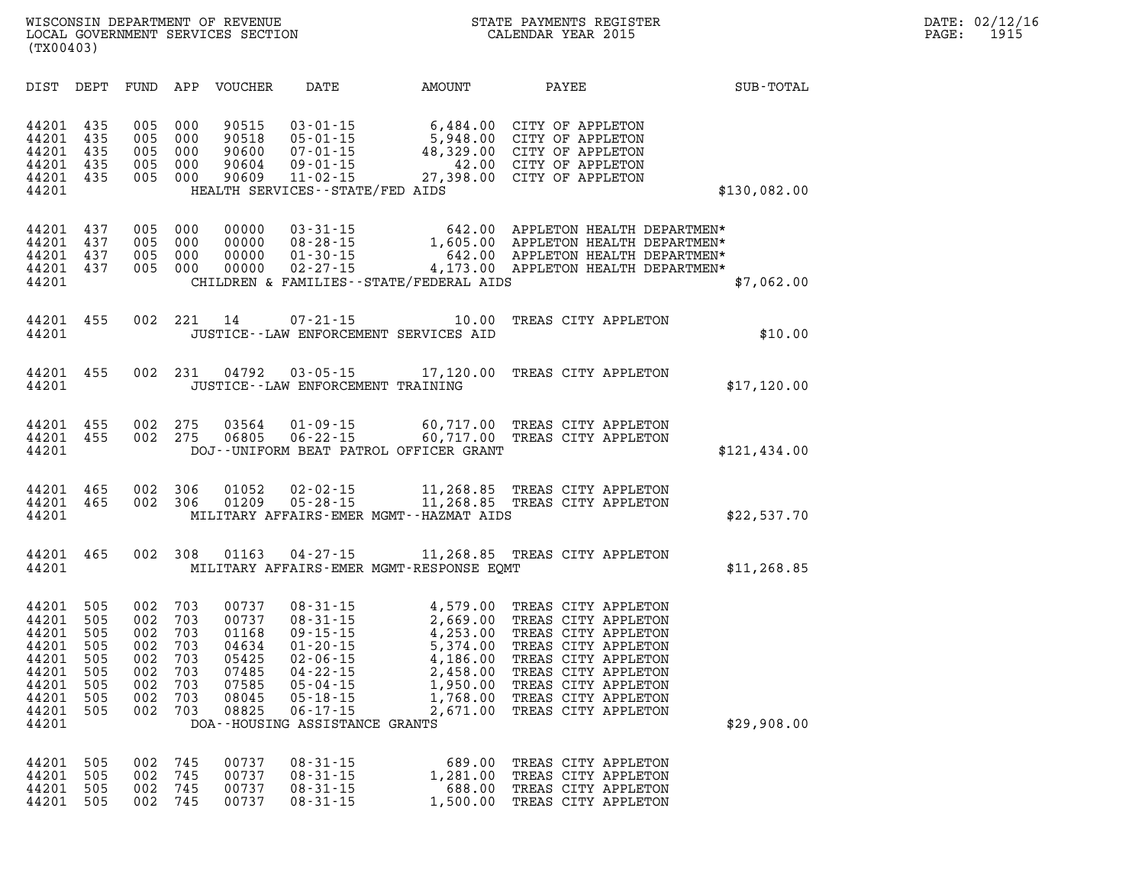| DIST                                                                                   | DEPT                                                        | FUND                                                        | APP                                                         | <b>VOUCHER</b>                                                                | DATE                                                                                                                                                                                             | AMOUNT                                                                                                   | PAYEE                                                                                                                                                                                                       | <b>SUB-TOTAL</b> |
|----------------------------------------------------------------------------------------|-------------------------------------------------------------|-------------------------------------------------------------|-------------------------------------------------------------|-------------------------------------------------------------------------------|--------------------------------------------------------------------------------------------------------------------------------------------------------------------------------------------------|----------------------------------------------------------------------------------------------------------|-------------------------------------------------------------------------------------------------------------------------------------------------------------------------------------------------------------|------------------|
| 44201<br>44201<br>44201<br>44201<br>44201<br>44201                                     | 435<br>435<br>435<br>435<br>435                             | 005<br>005<br>005<br>005<br>005                             | 000<br>000<br>000<br>000<br>000                             | 90515<br>90518<br>90600<br>90604<br>90609                                     | $03 - 01 - 15$<br>$05 - 01 - 15$<br>$07 - 01 - 15$<br>$09 - 01 - 15$<br>$11 - 02 - 15$<br>HEALTH SERVICES - - STATE/FED AIDS                                                                     | 6,484.00<br>5,948.00<br>48,329.00<br>42.00<br>27,398.00                                                  | CITY OF APPLETON<br>CITY OF APPLETON<br>CITY OF APPLETON<br>CITY OF APPLETON<br>CITY OF APPLETON                                                                                                            | \$130,082.00     |
| 44201<br>44201<br>44201<br>44201<br>44201                                              | 437<br>437<br>437<br>437                                    | 005<br>005<br>005<br>005                                    | 000<br>000<br>000<br>000                                    | 00000<br>00000<br>00000<br>00000                                              | $03 - 31 - 15$<br>$08 - 28 - 15$<br>$01 - 30 - 15$<br>$02 - 27 - 15$                                                                                                                             | 642.00<br>1,605.00<br>642.00<br>4,173.00<br>CHILDREN & FAMILIES--STATE/FEDERAL AIDS                      | APPLETON HEALTH DEPARTMEN*<br>APPLETON HEALTH DEPARTMEN*<br>APPLETON HEALTH DEPARTMEN*<br>APPLETON HEALTH DEPARTMEN*                                                                                        | \$7,062.00       |
| 44201<br>44201                                                                         | 455                                                         | 002                                                         | 221                                                         | 14                                                                            | $07 - 21 - 15$                                                                                                                                                                                   | 10.00<br>JUSTICE -- LAW ENFORCEMENT SERVICES AID                                                         | TREAS CITY APPLETON                                                                                                                                                                                         | \$10.00          |
| 44201<br>44201                                                                         | 455                                                         | 002                                                         | 231                                                         | 04792                                                                         | $03 - 05 - 15$                                                                                                                                                                                   | 17,120.00<br>JUSTICE - - LAW ENFORCEMENT TRAINING                                                        | TREAS CITY APPLETON                                                                                                                                                                                         | \$17, 120.00     |
| 44201<br>44201<br>44201                                                                | 455<br>455                                                  | 002<br>002                                                  | 275<br>275                                                  | 03564<br>06805                                                                | $01 - 09 - 15$<br>$06 - 22 - 15$                                                                                                                                                                 | 60,717.00<br>60,717.00<br>DOJ--UNIFORM BEAT PATROL OFFICER GRANT                                         | TREAS CITY APPLETON<br>TREAS CITY APPLETON                                                                                                                                                                  | \$121,434.00     |
| 44201<br>44201<br>44201                                                                | 465<br>465                                                  | 002<br>002                                                  | 306<br>306                                                  | 01052<br>01209                                                                | $02 - 02 - 15$<br>$05 - 28 - 15$                                                                                                                                                                 | 11,268.85<br>11,268.85<br>MILITARY AFFAIRS-EMER MGMT--HAZMAT AIDS                                        | TREAS CITY APPLETON<br>TREAS CITY APPLETON                                                                                                                                                                  | \$22,537.70      |
| 44201<br>44201                                                                         | 465                                                         | 002                                                         | 308                                                         | 01163                                                                         | $04 - 27 - 15$                                                                                                                                                                                   | 11,268.85<br>MILITARY AFFAIRS-EMER MGMT-RESPONSE EQMT                                                    | TREAS CITY APPLETON                                                                                                                                                                                         | \$11, 268.85     |
| 44201<br>44201<br>44201<br>44201<br>44201<br>44201<br>44201<br>44201<br>44201<br>44201 | 505<br>505<br>505<br>505<br>505<br>505<br>505<br>505<br>505 | 002<br>002<br>002<br>002<br>002<br>002<br>002<br>002<br>002 | 703<br>703<br>703<br>703<br>703<br>703<br>703<br>703<br>703 | 00737<br>00737<br>01168<br>04634<br>05425<br>07485<br>07585<br>08045<br>08825 | $08 - 31 - 15$<br>$08 - 31 - 15$<br>$09 - 15 - 15$<br>$01 - 20 - 15$<br>$02 - 06 - 15$<br>$04 - 22 - 15$<br>$05 - 04 - 15$<br>$05 - 18 - 15$<br>$06 - 17 - 15$<br>DOA--HOUSING ASSISTANCE GRANTS | 4,579.00<br>2,669.00<br>4,253.00<br>5,374.00<br>4,186.00<br>2,458.00<br>1,950.00<br>1,768.00<br>2,671.00 | TREAS CITY APPLETON<br>TREAS CITY APPLETON<br>TREAS CITY APPLETON<br>TREAS CITY APPLETON<br>TREAS CITY APPLETON<br>TREAS CITY APPLETON<br>TREAS CITY APPLETON<br>TREAS CITY APPLETON<br>TREAS CITY APPLETON | \$29,908.00      |
| 44201<br>44201<br>44201                                                                | 505<br>505<br>505                                           | 002<br>002<br>002                                           | 745<br>745<br>745                                           | 00737<br>00737<br>00737                                                       | $08 - 31 - 15$<br>$08 - 31 - 15$<br>$08 - 31 - 15$                                                                                                                                               | 689.00<br>1,281.00<br>688.00                                                                             | TREAS CITY APPLETON<br>TREAS CITY APPLETON<br>TREAS CITY APPLETON                                                                                                                                           |                  |

**44201 505 002 745 00737 08-31-15 1,500.00 TREAS CITY APPLETON**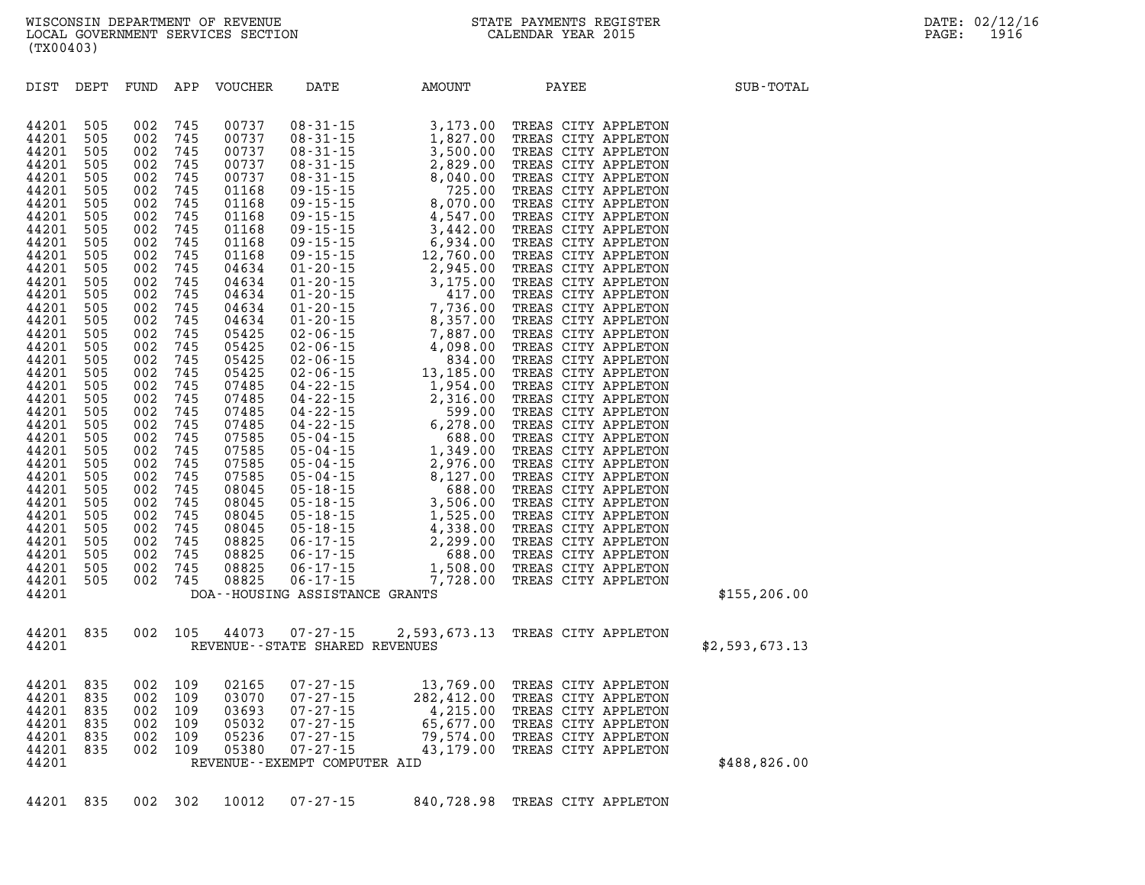| DIST           | DEPT       | FUND       | APP        | VOUCHER        | DATE                              | <b>AMOUNT</b>                                                                                                                                                                                                                                                                                                                                                             | PAYEE                                      | SUB-TOTAL      |
|----------------|------------|------------|------------|----------------|-----------------------------------|---------------------------------------------------------------------------------------------------------------------------------------------------------------------------------------------------------------------------------------------------------------------------------------------------------------------------------------------------------------------------|--------------------------------------------|----------------|
| 44201          | 505        | 002        | 745        | 00737          |                                   | $\begin{array}{cccc} 08\text{-}31\text{-}15 & 3\text{-}173\text{-}00 \\ 08\text{-}31\text{-}15 & 1\text{-}827\text{-}00 \\ 08\text{-}31\text{-}15 & 3\text{-}500\text{-}0 \\ 08\text{-}31\text{-}15 & 2\text{-}820\text{-}00 \\ 08\text{-}31\text{-}15 & 2\text{-}80\text{-}00 \\ 09\text{-}15\text{-}15 & 725\text{-}00 \\ 09\text{-}15\text{-}15 & 4\text{-}547\text{-$ | TREAS CITY APPLETON                        |                |
| 44201          | 505        | 002        | 745        | 00737          |                                   |                                                                                                                                                                                                                                                                                                                                                                           | TREAS CITY APPLETON                        |                |
| 44201          | 505        | 002        | 745        | 00737          |                                   |                                                                                                                                                                                                                                                                                                                                                                           | TREAS CITY APPLETON                        |                |
| 44201          | 505        | 002        | 745        | 00737          |                                   |                                                                                                                                                                                                                                                                                                                                                                           | TREAS CITY APPLETON                        |                |
| 44201          | 505        | 002        | 745        | 00737          |                                   |                                                                                                                                                                                                                                                                                                                                                                           | TREAS CITY APPLETON                        |                |
| 44201          | 505        | 002        | 745        | 01168          |                                   |                                                                                                                                                                                                                                                                                                                                                                           | TREAS CITY APPLETON                        |                |
| 44201          | 505        | 002        | 745        | 01168          |                                   |                                                                                                                                                                                                                                                                                                                                                                           | TREAS CITY APPLETON                        |                |
| 44201<br>44201 | 505        | 002        | 745        | 01168<br>01168 |                                   |                                                                                                                                                                                                                                                                                                                                                                           | TREAS CITY APPLETON                        |                |
|                | 505<br>505 | 002        | 745        |                |                                   |                                                                                                                                                                                                                                                                                                                                                                           | TREAS CITY APPLETON                        |                |
| 44201<br>44201 | 505        | 002<br>002 | 745<br>745 | 01168<br>01168 |                                   |                                                                                                                                                                                                                                                                                                                                                                           | TREAS CITY APPLETON<br>TREAS CITY APPLETON |                |
| 44201          | 505        | 002        | 745        | 04634          |                                   |                                                                                                                                                                                                                                                                                                                                                                           | TREAS CITY APPLETON                        |                |
| 44201          | 505        | 002        | 745        | 04634          |                                   |                                                                                                                                                                                                                                                                                                                                                                           | TREAS CITY APPLETON                        |                |
| 44201          | 505        | 002        | 745        | 04634          |                                   |                                                                                                                                                                                                                                                                                                                                                                           | TREAS CITY APPLETON                        |                |
| 44201          | 505        | 002        | 745        | 04634          |                                   |                                                                                                                                                                                                                                                                                                                                                                           | TREAS CITY APPLETON                        |                |
| 44201          | 505        | 002        | 745        | 04634          |                                   |                                                                                                                                                                                                                                                                                                                                                                           | TREAS CITY APPLETON                        |                |
| 44201          | 505        | 002        | 745        | 05425          |                                   |                                                                                                                                                                                                                                                                                                                                                                           | TREAS CITY APPLETON                        |                |
| 44201          | 505        | 002        | 745        | 05425          |                                   |                                                                                                                                                                                                                                                                                                                                                                           | TREAS CITY APPLETON                        |                |
| 44201          | 505        | 002        | 745        | 05425          |                                   |                                                                                                                                                                                                                                                                                                                                                                           | TREAS CITY APPLETON                        |                |
| 44201          | 505        | 002        | 745        | 05425          |                                   |                                                                                                                                                                                                                                                                                                                                                                           | TREAS CITY APPLETON                        |                |
| 44201          | 505        | 002        | 745        | 07485          |                                   |                                                                                                                                                                                                                                                                                                                                                                           | TREAS CITY APPLETON                        |                |
| 44201          | 505        | 002        | 745        | 07485          |                                   |                                                                                                                                                                                                                                                                                                                                                                           | TREAS CITY APPLETON                        |                |
| 44201          | 505        | 002        | 745        | 07485          |                                   |                                                                                                                                                                                                                                                                                                                                                                           | TREAS CITY APPLETON                        |                |
| 44201          | 505        | 002        | 745        | 07485          |                                   |                                                                                                                                                                                                                                                                                                                                                                           | TREAS CITY APPLETON                        |                |
| 44201          | 505        | 002        | 745        | 07585          |                                   |                                                                                                                                                                                                                                                                                                                                                                           | TREAS CITY APPLETON                        |                |
| 44201          | 505        | 002        | 745        | 07585          |                                   |                                                                                                                                                                                                                                                                                                                                                                           | TREAS CITY APPLETON                        |                |
| 44201          | 505        | 002        | 745        | 07585          |                                   |                                                                                                                                                                                                                                                                                                                                                                           | TREAS CITY APPLETON                        |                |
| 44201          | 505        | 002        | 745        | 07585          |                                   |                                                                                                                                                                                                                                                                                                                                                                           | TREAS CITY APPLETON                        |                |
| 44201<br>44201 | 505        | 002<br>002 | 745<br>745 | 08045<br>08045 |                                   |                                                                                                                                                                                                                                                                                                                                                                           | TREAS CITY APPLETON<br>TREAS CITY APPLETON |                |
| 44201          | 505<br>505 | 002        | 745        | 08045          |                                   |                                                                                                                                                                                                                                                                                                                                                                           | TREAS CITY APPLETON                        |                |
| 44201          | 505        | 002        | 745        | 08045          |                                   |                                                                                                                                                                                                                                                                                                                                                                           | TREAS CITY APPLETON                        |                |
| 44201          | 505        | 002        | 745        | 08825          |                                   |                                                                                                                                                                                                                                                                                                                                                                           | TREAS CITY APPLETON                        |                |
| 44201          | 505        | 002        | 745        | 08825          |                                   |                                                                                                                                                                                                                                                                                                                                                                           | TREAS CITY APPLETON                        |                |
| 44201          | 505        | 002        | 745        | 08825          |                                   |                                                                                                                                                                                                                                                                                                                                                                           | TREAS CITY APPLETON                        |                |
| 44201          | 505        | 002        | 745        | 08825          |                                   |                                                                                                                                                                                                                                                                                                                                                                           | TREAS CITY APPLETON                        |                |
| 44201          |            |            |            |                | DOA--HOUSING ASSISTANCE GRANTS    |                                                                                                                                                                                                                                                                                                                                                                           |                                            | \$155,206.00   |
| 44201          | 835        | 002        | 105        |                | 44073 07-27-15                    |                                                                                                                                                                                                                                                                                                                                                                           | 2,593,673.13 TREAS CITY APPLETON           |                |
| 44201          |            |            |            |                | REVENUE - - STATE SHARED REVENUES |                                                                                                                                                                                                                                                                                                                                                                           |                                            | \$2,593,673.13 |
| 44201          | 835        | 002        | 109        | 02165          |                                   | $\begin{array}{lllll} & & & 13,769.00 \\ & & 13,769.00 \\ & 07-27-15 && 282,412.00 \\ & 07-27-15 && 4,215.00 \\ & 07-27-15 && 65,677.00 \\ & 07-27-15 && 79,574.00 \\ & 07-27-15 && 43.111 \\ & 55.677.00 \\ & 07-27-15 && 43.1111 \\ & 55.679.00 \\ & 07.000 \\ \end{array}$                                                                                             | 13,769.00 TREAS CITY APPLETON              |                |
| 44201          | 835        | 002        | 109        | 03070          |                                   |                                                                                                                                                                                                                                                                                                                                                                           | TREAS CITY APPLETON                        |                |
| 44201          | 835        | 002        | 109        | 03693          |                                   |                                                                                                                                                                                                                                                                                                                                                                           | TREAS CITY APPLETON                        |                |
| 44201          | 835        | 002        | 109        | 05032          |                                   |                                                                                                                                                                                                                                                                                                                                                                           | TREAS CITY APPLETON                        |                |
| 44201          | 835        | 002        | 109        | 05236          |                                   |                                                                                                                                                                                                                                                                                                                                                                           | TREAS CITY APPLETON                        |                |
| 44201          | 835        | 002        | 109        | 05380          |                                   |                                                                                                                                                                                                                                                                                                                                                                           | TREAS CITY APPLETON                        |                |
| 44201          |            |            |            |                | REVENUE--EXEMPT COMPUTER AID      |                                                                                                                                                                                                                                                                                                                                                                           |                                            | \$488,826.00   |
|                |            |            |            |                |                                   |                                                                                                                                                                                                                                                                                                                                                                           |                                            |                |

**44201 835 002 302 10012 07-27-15 840,728.98 TREAS CITY APPLETON**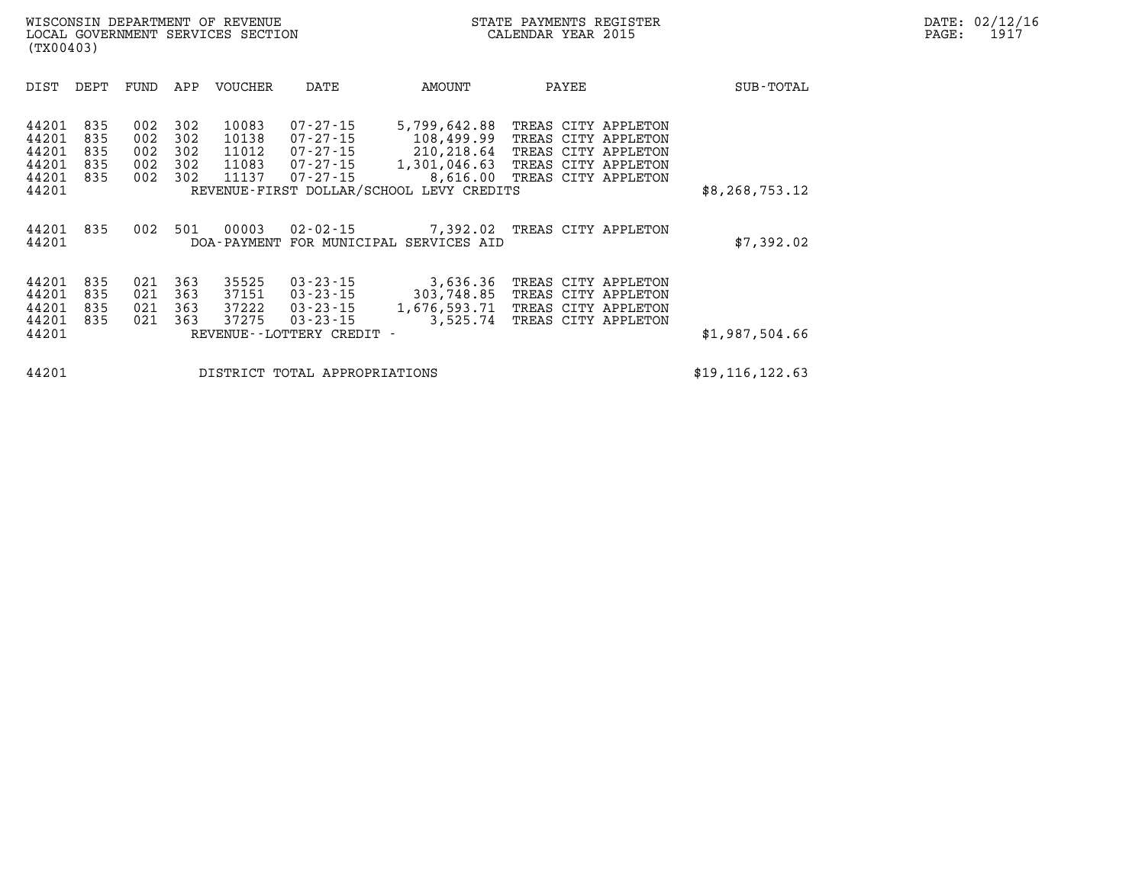| DIST                                               | DEPT                            | FUND                            | APP                             | VOUCHER                                   | DATE                                                                                  | AMOUNT                                                                                                           | PAYEE                                                                                             |                                | SUB-TOTAL         |
|----------------------------------------------------|---------------------------------|---------------------------------|---------------------------------|-------------------------------------------|---------------------------------------------------------------------------------------|------------------------------------------------------------------------------------------------------------------|---------------------------------------------------------------------------------------------------|--------------------------------|-------------------|
| 44201<br>44201<br>44201<br>44201<br>44201<br>44201 | 835<br>835<br>835<br>835<br>835 | 002<br>002<br>002<br>002<br>002 | 302<br>302<br>302<br>302<br>302 | 10083<br>10138<br>11012<br>11083<br>11137 | $07 - 27 - 15$<br>07-27-15<br>07-27-15<br>07-27-15<br>$07 - 27 - 15$                  | 5,799,642.88<br>108,499.99<br>210,218.64<br>1,301,046.63<br>8,616.00<br>REVENUE-FIRST DOLLAR/SCHOOL LEVY CREDITS | TREAS CITY APPLETON<br>TREAS CITY APPLETON<br>TREAS<br>TREAS CITY APPLETON<br>TREAS CITY APPLETON | CITY APPLETON                  | \$8, 268, 753.12  |
|                                                    |                                 |                                 |                                 |                                           |                                                                                       |                                                                                                                  |                                                                                                   |                                |                   |
| 44201<br>44201                                     | 835                             | 002                             | 501                             | 00003<br>DOA - PAYMENT                    | $02 - 02 - 15$                                                                        | 7,392.02<br>FOR MUNICIPAL SERVICES AID                                                                           | TREAS CITY APPLETON                                                                               |                                | \$7,392.02        |
| 44201<br>44201<br>44201<br>44201<br>44201          | 835<br>835<br>835<br>835        | 021<br>021<br>021<br>021        | 363<br>363<br>363<br>363        | 35525<br>37151<br>37222<br>37275          | $03 - 23 - 15$<br>03-23-15<br>03-23-15<br>$03 - 23 - 15$<br>REVENUE--LOTTERY CREDIT - | 3,636.36<br>303,748.85<br>1,676,593.71<br>3,525.74                                                               | TREAS CITY APPLETON<br>TREAS CITY APPLETON<br>TREAS<br>TREAS                                      | CITY APPLETON<br>CITY APPLETON | \$1,987,504.66    |
| 44201                                              |                                 |                                 |                                 |                                           | DISTRICT TOTAL APPROPRIATIONS                                                         |                                                                                                                  |                                                                                                   |                                | \$19, 116, 122.63 |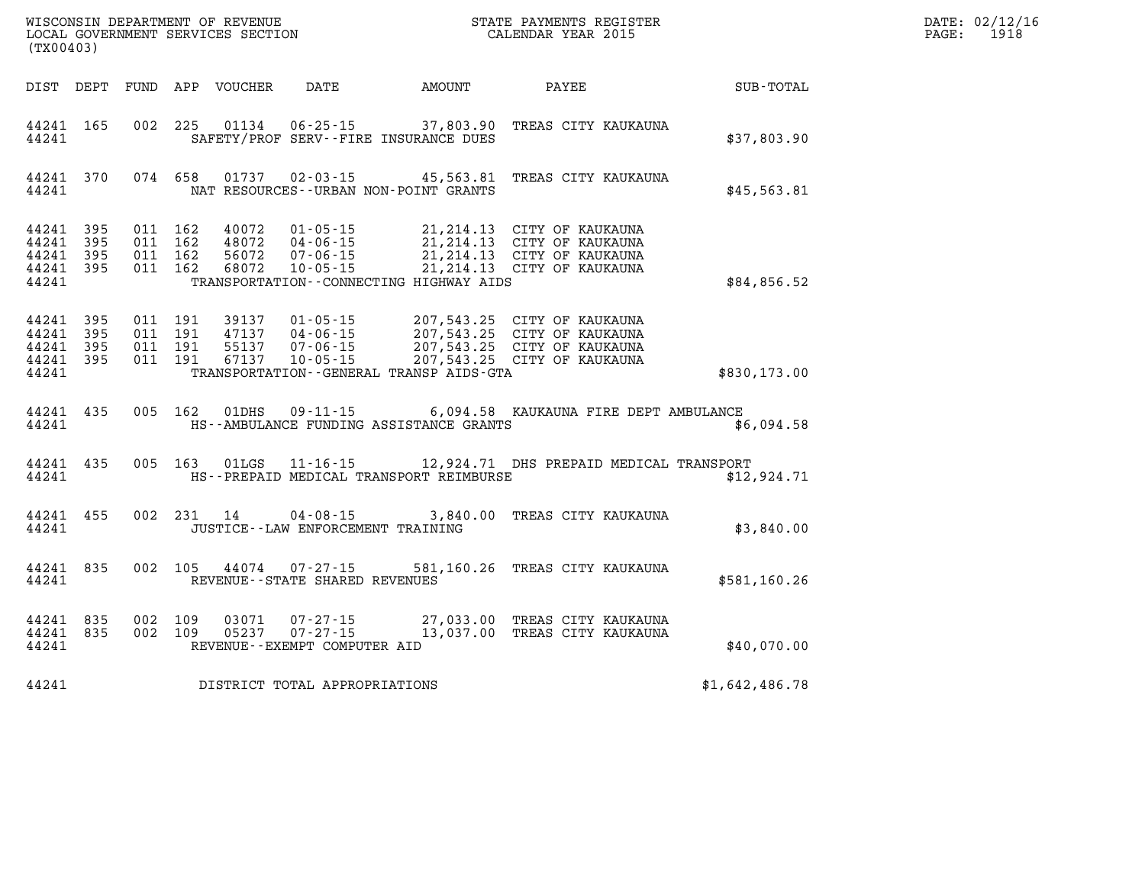|                                                           | (TX00403)              |  |                               |                                          |                                                    |                                              |                                                                                                                                                                                           |                  | DATE: 02/12/1<br>$\mathtt{PAGE:}$<br>1918 |
|-----------------------------------------------------------|------------------------|--|-------------------------------|------------------------------------------|----------------------------------------------------|----------------------------------------------|-------------------------------------------------------------------------------------------------------------------------------------------------------------------------------------------|------------------|-------------------------------------------|
|                                                           |                        |  |                               |                                          |                                                    | DIST DEPT FUND APP VOUCHER DATE AMOUNT PAYEE |                                                                                                                                                                                           | <b>SUB-TOTAL</b> |                                           |
| 44241 165<br>44241                                        |                        |  |                               |                                          |                                                    | SAFETY/PROF SERV--FIRE INSURANCE DUES        | 002 225 01134 06-25-15 37,803.90 TREAS CITY KAUKAUNA                                                                                                                                      | \$37,803.90      |                                           |
| 44241                                                     | 44241 370              |  |                               | 074 658 01737                            |                                                    | NAT RESOURCES - - URBAN NON - POINT GRANTS   | 02-03-15 45,563.81 TREAS CITY KAUKAUNA                                                                                                                                                    | \$45,563.81      |                                           |
| 44241 395<br>44241 395<br>44241 395<br>44241 395<br>44241 |                        |  | 011 162<br>011 162<br>011 162 | 011 162 68072                            | 48072 04-06-15<br>56072 07-06-15<br>$10 - 05 - 15$ | TRANSPORTATION -- CONNECTING HIGHWAY AIDS    | 40072  01-05-15  21,214.13  CITY OF KAUKAUNA<br>48072  04-06-15  21,214.13  CITY OF KAUKAUNA<br>21, 214.13 CITY OF KAUKAUNA<br>21, 214.13 CITY OF KAUKAUNA<br>21, 214.13 CITY OF KAUKAUNA | \$84,856.52      |                                           |
| 44241 395<br>44241<br>44241 395<br>44241 395<br>44241     | 395                    |  | 011 191<br>011 191<br>011 191 | 011 191 39137<br>47137<br>55137<br>67137 |                                                    | TRANSPORTATION -- GENERAL TRANSP AIDS-GTA    | 01-05-15 207,543.25 CITY OF KAUKAUNA<br>04-06-15 207,543.25 CITY OF KAUKAUNA<br>07-06-15 207,543.25 CITY OF KAUKAUNA<br>10-05-15 207,543.25 CITY OF KAUKAUNA                              | \$830,173.00     |                                           |
| 44241                                                     | 44241 435              |  |                               | 005 162 01DHS                            |                                                    | HS--AMBULANCE FUNDING ASSISTANCE GRANTS      | 09-11-15 6,094.58 KAUKAUNA FIRE DEPT AMBULANCE                                                                                                                                            | \$6,094.58       |                                           |
| 44241 435<br>44241                                        |                        |  |                               | 005 163 01LGS                            |                                                    | HS--PREPAID MEDICAL TRANSPORT REIMBURSE      | 11-16-15 12,924.71 DHS PREPAID MEDICAL TRANSPORT                                                                                                                                          | \$12,924.71      |                                           |
| 44241 455<br>44241                                        |                        |  |                               |                                          |                                                    | JUSTICE - - LAW ENFORCEMENT TRAINING         | 002 231 14 04-08-15 3,840.00 TREAS CITY KAUKAUNA                                                                                                                                          | \$3,840.00       |                                           |
| 44241                                                     | 44241 835              |  |                               |                                          | REVENUE--STATE SHARED REVENUES                     |                                              | 002 105 44074 07-27-15 581,160.26 TREAS CITY KAUKAUNA                                                                                                                                     | \$581,160.26     |                                           |
| 44241                                                     | 44241 835<br>44241 835 |  | 002 109<br>002 109            |                                          | REVENUE--EXEMPT COMPUTER AID                       |                                              | 27,033.00 TREAS CITY KAUKAUNA<br>05237 07-27-15 13,037.00 TREAS CITY KAUKAUNA                                                                                                             | \$40,070.00      |                                           |
| 44241                                                     |                        |  |                               |                                          | DISTRICT TOTAL APPROPRIATIONS                      |                                              |                                                                                                                                                                                           | \$1,642,486.78   |                                           |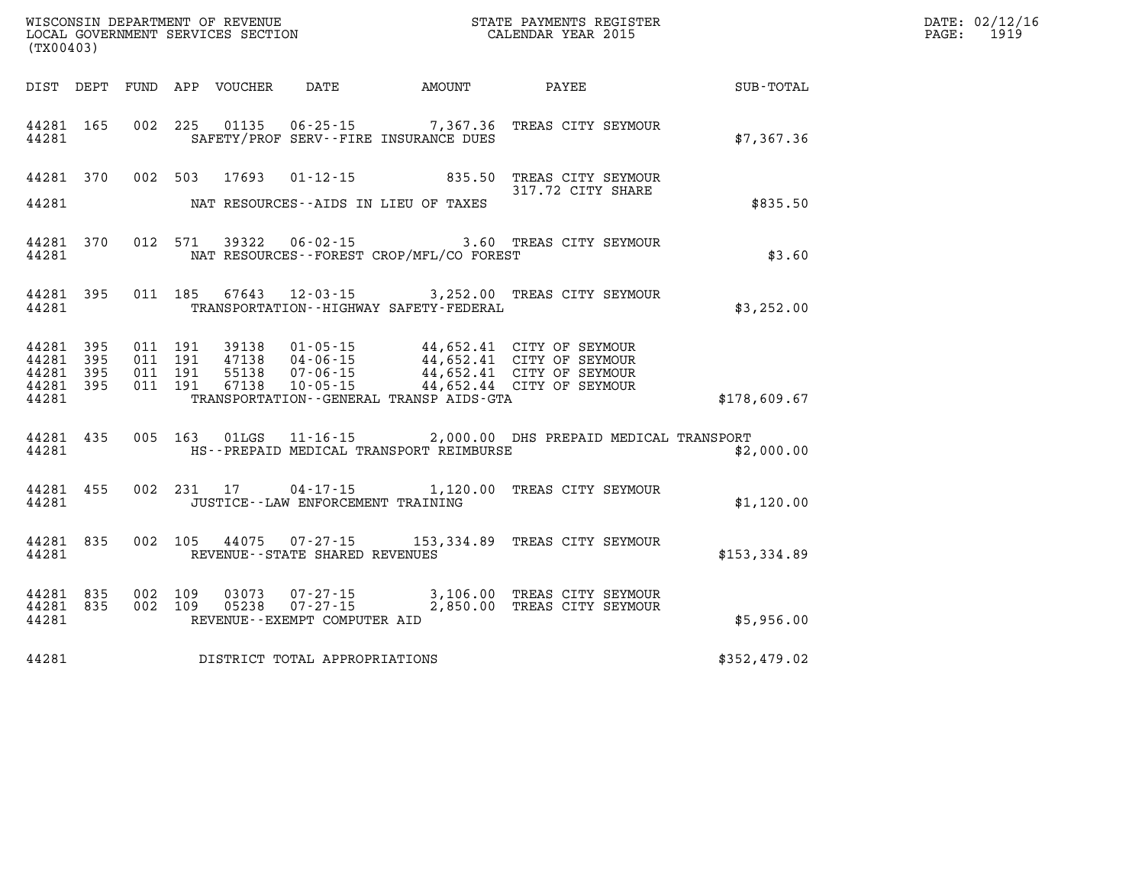| WISCONSIN DEPARTMENT OF REVENUE         | PAYMENTS REGISTER<br>3TATE | 02/12/16<br>DATE:      |
|-----------------------------------------|----------------------------|------------------------|
| SERVICES SECTION<br>LOCAL<br>GOVERNMENT | CALENDAR YEAR 2015         | 1910<br>PAGE<br>-- - - |

| (TX00403)                                                 | LOCAL GOVERNMENT SERVICES SECTION              | CALENDAR YEAR 2015                                                                                                                                                                                             |              | 1919<br>PAGE: |
|-----------------------------------------------------------|------------------------------------------------|----------------------------------------------------------------------------------------------------------------------------------------------------------------------------------------------------------------|--------------|---------------|
|                                                           |                                                | DIST DEPT FUND APP VOUCHER DATE AMOUNT PAYEE SUB-TOTAL                                                                                                                                                         |              |               |
| 44281 165<br>44281                                        | SAFETY/PROF SERV--FIRE INSURANCE DUES          | 002 225 01135 06-25-15 7,367.36 TREAS CITY SEYMOUR                                                                                                                                                             | \$7,367.36   |               |
|                                                           | 44281 MAT RESOURCES--AIDS IN LIEU OF TAXES     | 44281 370 002 503 17693 01-12-15 835.50 TREAS CITY SEYMOUR<br>317.72 CITY SHARE                                                                                                                                | \$835.50     |               |
| 44281 370<br>44281                                        | NAT RESOURCES--FOREST CROP/MFL/CO FOREST       | 012 571 39322 06-02-15 3.60 TREAS CITY SEYMOUR                                                                                                                                                                 | \$3.60       |               |
| 44281 395<br>44281                                        | TRANSPORTATION - - HIGHWAY SAFETY - FEDERAL    | 011 185 67643 12-03-15 3,252.00 TREAS CITY SEYMOUR                                                                                                                                                             | \$3,252.00   |               |
| 44281 395<br>44281 395<br>44281 395<br>44281 395<br>44281 | TRANSPORTATION--GENERAL TRANSP AIDS-GTA        | 011 191 39138 01-05-15 44,652.41 CITY OF SEYMOUR<br>011 191 47138 04-06-15 44,652.41 CITY OF SEYMOUR<br>011 191 55138 07-06-15 44,652.41 CITY OF SEYMOUR<br>011 191 67138 10-05-15 44,652.44 CITY OF SEYMOUR   | \$178,609.67 |               |
|                                                           | 44281 MES--PREPAID MEDICAL TRANSPORT REIMBURSE | 44281 435 005 163 01LGS 11-16-15 2,000.00 DHS PREPAID MEDICAL TRANSPORT                                                                                                                                        | \$2,000.00   |               |
| 44281                                                     | JUSTICE - - LAW ENFORCEMENT TRAINING           | 44281 455 002 231 17 04-17-15 1,120.00 TREAS CITY SEYMOUR                                                                                                                                                      | \$1,120.00   |               |
|                                                           | 44281 REVENUE - STATE SHARED REVENUES          | 44281 835 002 105 44075 07-27-15 153,334.89 TREAS CITY SEYMOUR                                                                                                                                                 | \$153,334.89 |               |
| 44281                                                     | REVENUE--EXEMPT COMPUTER AID                   | $\begin{array}{cccccc} 44281 & 835 & 002 & 109 & 03073 & 07-27-15 & & 3,106.00 & \text{TREAS CITY SEYMOUR} \\ 44281 & 835 & 002 & 109 & 05238 & 07-27-15 & & 2,850.00 & \text{TREAS CITY SEYMOUR} \end{array}$ | \$5,956.00   |               |
| 44281                                                     | DISTRICT TOTAL APPROPRIATIONS                  |                                                                                                                                                                                                                | \$352,479.02 |               |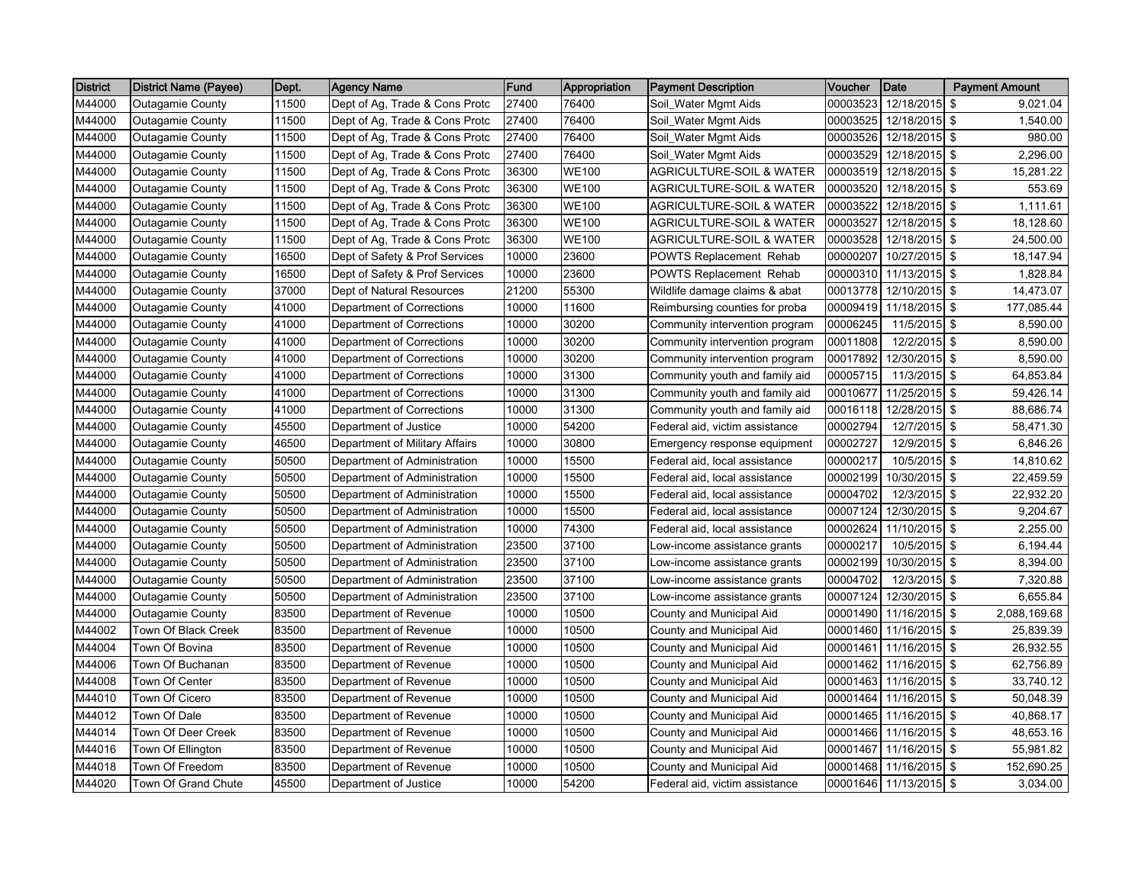| <b>District</b> | <b>District Name (Payee)</b> | Dept. | <b>Agency Name</b>             | <b>Fund</b> | Appropriation | <b>Payment Description</b>          | <b>Voucher</b> | Date           | <b>Payment Amount</b> |
|-----------------|------------------------------|-------|--------------------------------|-------------|---------------|-------------------------------------|----------------|----------------|-----------------------|
| M44000          | <b>Outagamie County</b>      | 11500 | Dept of Ag, Trade & Cons Protc | 27400       | 76400         | Soil_Water Mgmt Aids                | 00003523       | 12/18/2015 \$  | 9,021.04              |
| M44000          | <b>Outagamie County</b>      | 11500 | Dept of Ag, Trade & Cons Protc | 27400       | 76400         | Soil_Water Mgmt Aids                | 00003525       | 12/18/2015 \$  | 1,540.00              |
| M44000          | <b>Outagamie County</b>      | 11500 | Dept of Ag, Trade & Cons Protc | 27400       | 76400         | Soil_Water Mgmt Aids                | 00003526       | 12/18/2015 \$  | 980.00                |
| M44000          | <b>Outagamie County</b>      | 11500 | Dept of Ag, Trade & Cons Protc | 27400       | 76400         | Soil_Water Mgmt Aids                | 00003529       | 12/18/2015 \$  | 2,296.00              |
| M44000          | <b>Outagamie County</b>      | 11500 | Dept of Ag, Trade & Cons Protc | 36300       | <b>WE100</b>  | <b>AGRICULTURE-SOIL &amp; WATER</b> | 00003519       | 12/18/2015 \$  | 15,281.22             |
| M44000          | <b>Outagamie County</b>      | 11500 | Dept of Ag, Trade & Cons Protc | 36300       | <b>WE100</b>  | <b>AGRICULTURE-SOIL &amp; WATER</b> | 00003520       | 12/18/2015 \$  | 553.69                |
| M44000          | Outagamie County             | 11500 | Dept of Ag, Trade & Cons Protc | 36300       | <b>WE100</b>  | <b>AGRICULTURE-SOIL &amp; WATER</b> | 00003522       | 12/18/2015 \$  | 1,111.61              |
| M44000          | <b>Outagamie County</b>      | 11500 | Dept of Ag, Trade & Cons Protc | 36300       | <b>WE100</b>  | AGRICULTURE-SOIL & WATER            | 00003527       | 12/18/2015 \$  | 18,128.60             |
| M44000          | <b>Outagamie County</b>      | 11500 | Dept of Ag, Trade & Cons Protc | 36300       | <b>WE100</b>  | AGRICULTURE-SOIL & WATER            | 00003528       | 12/18/2015 \$  | 24,500.00             |
| M44000          | <b>Outagamie County</b>      | 16500 | Dept of Safety & Prof Services | 10000       | 23600         | <b>POWTS Replacement Rehab</b>      | 00000207       | 10/27/2015 \$  | 18,147.94             |
| M44000          | <b>Outagamie County</b>      | 16500 | Dept of Safety & Prof Services | 10000       | 23600         | POWTS Replacement Rehab             | 00000310       | 11/13/2015 \$  | 1,828.84              |
| M44000          | <b>Outagamie County</b>      | 37000 | Dept of Natural Resources      | 21200       | 55300         | Wildlife damage claims & abat       | 00013778       | 12/10/2015 \$  | 14,473.07             |
| M44000          | <b>Outagamie County</b>      | 41000 | Department of Corrections      | 10000       | 11600         | Reimbursing counties for proba      | 00009419       | 11/18/2015 \$  | 177,085.44            |
| M44000          | <b>Outagamie County</b>      | 41000 | Department of Corrections      | 10000       | 30200         | Community intervention program      | 00006245       | 11/5/2015 \$   | 8,590.00              |
| M44000          | <b>Outagamie County</b>      | 41000 | Department of Corrections      | 10000       | 30200         | Community intervention program      | 00011808       | 12/2/2015 \$   | 8,590.00              |
| M44000          | <b>Outagamie County</b>      | 41000 | Department of Corrections      | 10000       | 30200         | Community intervention program      | 00017892       | 12/30/2015 \$  | 8,590.00              |
| M44000          | <b>Outagamie County</b>      | 41000 | Department of Corrections      | 10000       | 31300         | Community youth and family aid      | 00005715       | 11/3/2015 \$   | 64,853.84             |
| M44000          | <b>Outagamie County</b>      | 41000 | Department of Corrections      | 10000       | 31300         | Community youth and family aid      | 00010677       | 11/25/2015 \$  | 59,426.14             |
| M44000          | <b>Outagamie County</b>      | 41000 | Department of Corrections      | 10000       | 31300         | Community youth and family aid      | 00016118       | 12/28/2015 \$  | 88.686.74             |
| M44000          | <b>Outagamie County</b>      | 45500 | Department of Justice          | 10000       | 54200         | Federal aid, victim assistance      | 00002794       | $12/7/2015$ \$ | 58,471.30             |
| M44000          | <b>Outagamie County</b>      | 46500 | Department of Military Affairs | 10000       | 30800         | Emergency response equipment        | 00002727       | 12/9/2015 \$   | 6,846.26              |
| M44000          | Outagamie County             | 50500 | Department of Administration   | 10000       | 15500         | Federal aid, local assistance       | 00000217       | 10/5/2015 \$   | 14,810.62             |
| M44000          | <b>Outagamie County</b>      | 50500 | Department of Administration   | 10000       | 15500         | Federal aid, local assistance       | 00002199       | 10/30/2015 \$  | 22,459.59             |
| M44000          | <b>Outagamie County</b>      | 50500 | Department of Administration   | 10000       | 15500         | Federal aid, local assistance       | 00004702       | 12/3/2015 \$   | 22,932.20             |
| M44000          | <b>Outagamie County</b>      | 50500 | Department of Administration   | 10000       | 15500         | Federal aid, local assistance       | 00007124       | 12/30/2015 \$  | 9,204.67              |
| M44000          | <b>Outagamie County</b>      | 50500 | Department of Administration   | 10000       | 74300         | Federal aid, local assistance       | 00002624       | 11/10/2015 \$  | 2,255.00              |
| M44000          | <b>Outagamie County</b>      | 50500 | Department of Administration   | 23500       | 37100         | Low-income assistance grants        | 00000217       | 10/5/2015 \$   | 6,194.44              |
| M44000          | <b>Outagamie County</b>      | 50500 | Department of Administration   | 23500       | 37100         | Low-income assistance grants        | 00002199       | 10/30/2015 \$  | 8,394.00              |
| M44000          | <b>Outagamie County</b>      | 50500 | Department of Administration   | 23500       | 37100         | Low-income assistance grants        | 00004702       | $12/3/2015$ \$ | 7,320.88              |
| M44000          | Outagamie County             | 50500 | Department of Administration   | 23500       | 37100         | Low-income assistance grants        | 00007124       | 12/30/2015 \$  | 6,655.84              |
| M44000          | Outagamie County             | 83500 | Department of Revenue          | 10000       | 10500         | County and Municipal Aid            | 00001490       | 11/16/2015 \$  | 2,088,169.68          |
| M44002          | Town Of Black Creek          | 83500 | Department of Revenue          | 10000       | 10500         | County and Municipal Aid            | 00001460       | 11/16/2015 \$  | 25,839.39             |
| M44004          | Town Of Bovina               | 83500 | Department of Revenue          | 10000       | 10500         | County and Municipal Aid            | 00001461       | 11/16/2015 \$  | 26,932.55             |
| M44006          | Town Of Buchanan             | 83500 | Department of Revenue          | 10000       | 10500         | County and Municipal Aid            | 00001462       | 11/16/2015 \$  | 62,756.89             |
| M44008          | Town Of Center               | 83500 | Department of Revenue          | 10000       | 10500         | County and Municipal Aid            | 00001463       | 11/16/2015 \$  | 33,740.12             |
| M44010          | Town Of Cicero               | 83500 | Department of Revenue          | 10000       | 10500         | County and Municipal Aid            | 00001464       | 11/16/2015 \$  | 50,048.39             |
| M44012          | Town Of Dale                 | 83500 | Department of Revenue          | 10000       | 10500         | County and Municipal Aid            | 00001465       | 11/16/2015 \$  | 40,868.17             |
| M44014          | Town Of Deer Creek           | 83500 | Department of Revenue          | 10000       | 10500         | County and Municipal Aid            | 00001466       | 11/16/2015 \$  | 48,653.16             |
| M44016          | Town Of Ellington            | 83500 | Department of Revenue          | 10000       | 10500         | County and Municipal Aid            | 00001467       | 11/16/2015 \$  | 55,981.82             |
| M44018          | Town Of Freedom              | 83500 | Department of Revenue          | 10000       | 10500         | County and Municipal Aid            | 00001468       | 11/16/2015 \$  | 152,690.25            |
| M44020          | Town Of Grand Chute          | 45500 | Department of Justice          | 10000       | 54200         | Federal aid, victim assistance      | 00001646       | 11/13/2015 \$  | 3,034.00              |